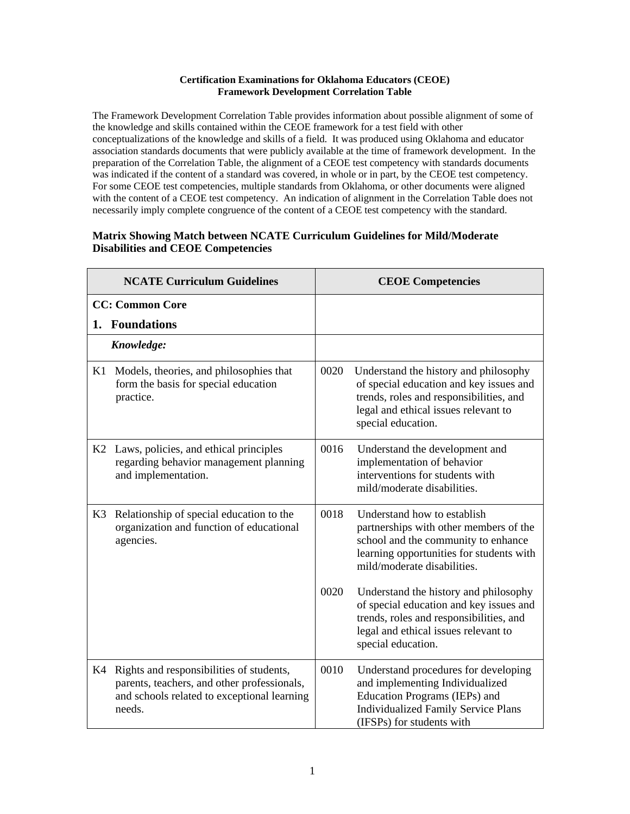## **Certification Examinations for Oklahoma Educators (CEOE) Framework Development Correlation Table**

The Framework Development Correlation Table provides information about possible alignment of some of the knowledge and skills contained within the CEOE framework for a test field with other conceptualizations of the knowledge and skills of a field. It was produced using Oklahoma and educator association standards documents that were publicly available at the time of framework development. In the preparation of the Correlation Table, the alignment of a CEOE test competency with standards documents was indicated if the content of a standard was covered, in whole or in part, by the CEOE test competency. For some CEOE test competencies, multiple standards from Oklahoma, or other documents were aligned with the content of a CEOE test competency. An indication of alignment in the Correlation Table does not necessarily imply complete congruence of the content of a CEOE test competency with the standard.

## **Matrix Showing Match between NCATE Curriculum Guidelines for Mild/Moderate Disabilities and CEOE Competencies**

|    | <b>NCATE Curriculum Guidelines</b>                                                                                                               |      | <b>CEOE Competencies</b>                                                                                                                                                                  |
|----|--------------------------------------------------------------------------------------------------------------------------------------------------|------|-------------------------------------------------------------------------------------------------------------------------------------------------------------------------------------------|
|    | <b>CC: Common Core</b>                                                                                                                           |      |                                                                                                                                                                                           |
| 1. | <b>Foundations</b>                                                                                                                               |      |                                                                                                                                                                                           |
|    | Knowledge:                                                                                                                                       |      |                                                                                                                                                                                           |
| K1 | Models, theories, and philosophies that<br>form the basis for special education<br>practice.                                                     | 0020 | Understand the history and philosophy<br>of special education and key issues and<br>trends, roles and responsibilities, and<br>legal and ethical issues relevant to<br>special education. |
| K2 | Laws, policies, and ethical principles<br>regarding behavior management planning<br>and implementation.                                          | 0016 | Understand the development and<br>implementation of behavior<br>interventions for students with<br>mild/moderate disabilities.                                                            |
| K3 | Relationship of special education to the<br>organization and function of educational<br>agencies.                                                | 0018 | Understand how to establish<br>partnerships with other members of the<br>school and the community to enhance<br>learning opportunities for students with<br>mild/moderate disabilities.   |
|    |                                                                                                                                                  | 0020 | Understand the history and philosophy<br>of special education and key issues and<br>trends, roles and responsibilities, and<br>legal and ethical issues relevant to<br>special education. |
| K4 | Rights and responsibilities of students,<br>parents, teachers, and other professionals,<br>and schools related to exceptional learning<br>needs. | 0010 | Understand procedures for developing<br>and implementing Individualized<br>Education Programs (IEPs) and<br><b>Individualized Family Service Plans</b><br>(IFSPs) for students with       |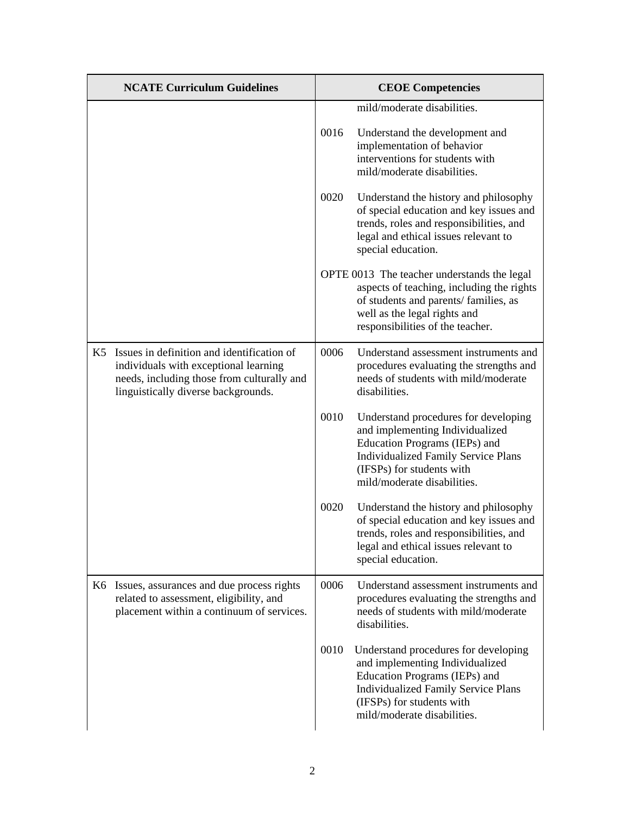| <b>NCATE Curriculum Guidelines</b>                                                                                                                                          | <b>CEOE</b> Competencies |                                                                                                                                                                                                                    |
|-----------------------------------------------------------------------------------------------------------------------------------------------------------------------------|--------------------------|--------------------------------------------------------------------------------------------------------------------------------------------------------------------------------------------------------------------|
|                                                                                                                                                                             |                          | mild/moderate disabilities.                                                                                                                                                                                        |
|                                                                                                                                                                             | 0016                     | Understand the development and<br>implementation of behavior<br>interventions for students with<br>mild/moderate disabilities.                                                                                     |
|                                                                                                                                                                             | 0020                     | Understand the history and philosophy<br>of special education and key issues and<br>trends, roles and responsibilities, and<br>legal and ethical issues relevant to<br>special education.                          |
|                                                                                                                                                                             |                          | OPTE 0013 The teacher understands the legal<br>aspects of teaching, including the rights<br>of students and parents/ families, as<br>well as the legal rights and<br>responsibilities of the teacher.              |
| K5 Issues in definition and identification of<br>individuals with exceptional learning<br>needs, including those from culturally and<br>linguistically diverse backgrounds. | 0006                     | Understand assessment instruments and<br>procedures evaluating the strengths and<br>needs of students with mild/moderate<br>disabilities.                                                                          |
|                                                                                                                                                                             | 0010                     | Understand procedures for developing<br>and implementing Individualized<br>Education Programs (IEPs) and<br><b>Individualized Family Service Plans</b><br>(IFSPs) for students with<br>mild/moderate disabilities. |
|                                                                                                                                                                             | 0020                     | Understand the history and philosophy<br>of special education and key issues and<br>trends, roles and responsibilities, and<br>legal and ethical issues relevant to<br>special education.                          |
| K6 Issues, assurances and due process rights<br>related to assessment, eligibility, and<br>placement within a continuum of services.                                        | 0006                     | Understand assessment instruments and<br>procedures evaluating the strengths and<br>needs of students with mild/moderate<br>disabilities.                                                                          |
|                                                                                                                                                                             | 0010                     | Understand procedures for developing<br>and implementing Individualized<br>Education Programs (IEPs) and<br><b>Individualized Family Service Plans</b><br>(IFSPs) for students with<br>mild/moderate disabilities. |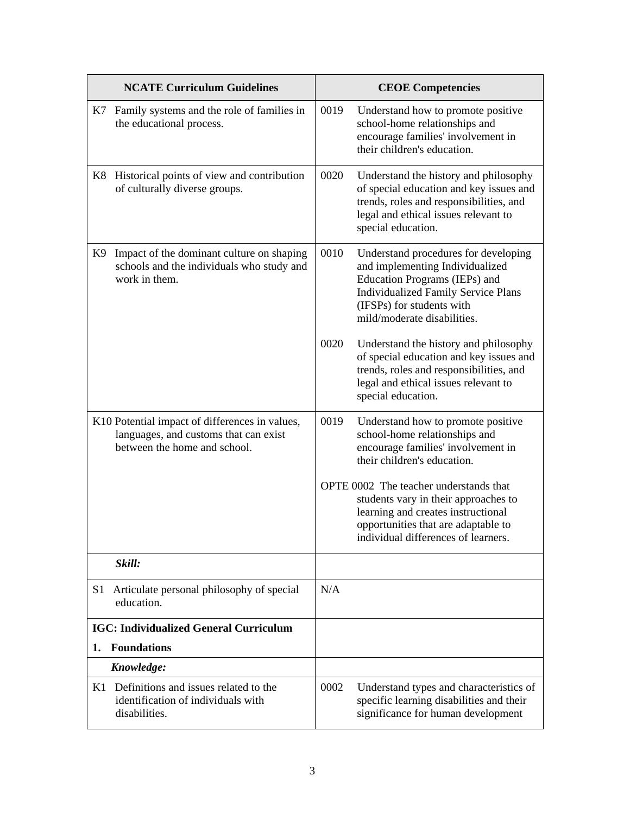|    | <b>NCATE Curriculum Guidelines</b>                                                                                      |      | <b>CEOE Competencies</b>                                                                                                                                                                                           |
|----|-------------------------------------------------------------------------------------------------------------------------|------|--------------------------------------------------------------------------------------------------------------------------------------------------------------------------------------------------------------------|
|    | K7 Family systems and the role of families in<br>the educational process.                                               | 0019 | Understand how to promote positive<br>school-home relationships and<br>encourage families' involvement in<br>their children's education.                                                                           |
|    | K8 Historical points of view and contribution<br>of culturally diverse groups.                                          | 0020 | Understand the history and philosophy<br>of special education and key issues and<br>trends, roles and responsibilities, and<br>legal and ethical issues relevant to<br>special education.                          |
| K9 | Impact of the dominant culture on shaping<br>schools and the individuals who study and<br>work in them.                 | 0010 | Understand procedures for developing<br>and implementing Individualized<br>Education Programs (IEPs) and<br><b>Individualized Family Service Plans</b><br>(IFSPs) for students with<br>mild/moderate disabilities. |
|    |                                                                                                                         | 0020 | Understand the history and philosophy<br>of special education and key issues and<br>trends, roles and responsibilities, and<br>legal and ethical issues relevant to<br>special education.                          |
|    | K10 Potential impact of differences in values,<br>languages, and customs that can exist<br>between the home and school. | 0019 | Understand how to promote positive<br>school-home relationships and<br>encourage families' involvement in<br>their children's education.                                                                           |
|    |                                                                                                                         |      | OPTE 0002 The teacher understands that<br>students vary in their approaches to<br>learning and creates instructional<br>opportunities that are adaptable to<br>individual differences of learners.                 |
|    | Skill:                                                                                                                  |      |                                                                                                                                                                                                                    |
| S1 | Articulate personal philosophy of special<br>education.                                                                 | N/A  |                                                                                                                                                                                                                    |
|    | <b>IGC: Individualized General Curriculum</b>                                                                           |      |                                                                                                                                                                                                                    |
| 1. | <b>Foundations</b>                                                                                                      |      |                                                                                                                                                                                                                    |
|    | Knowledge:                                                                                                              |      |                                                                                                                                                                                                                    |
|    | K1 Definitions and issues related to the<br>identification of individuals with<br>disabilities.                         | 0002 | Understand types and characteristics of<br>specific learning disabilities and their<br>significance for human development                                                                                          |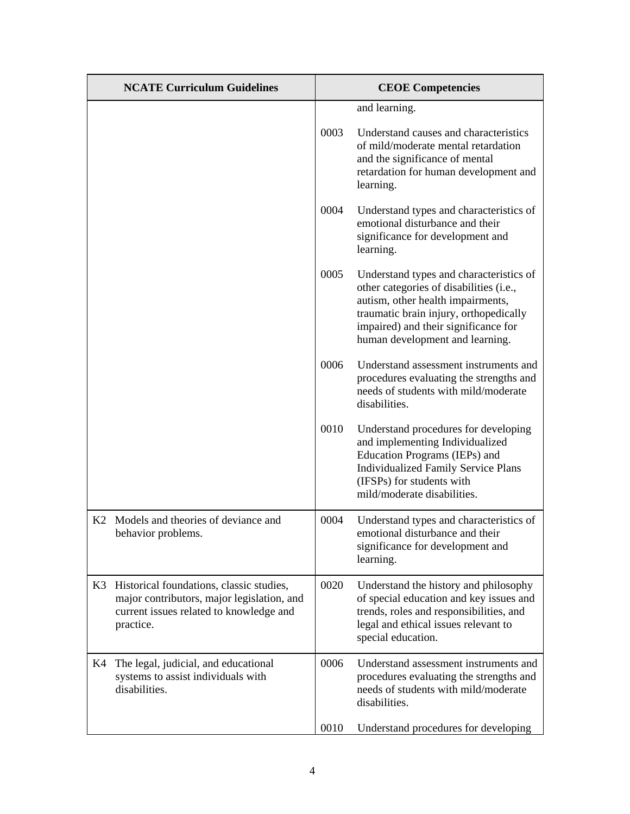|    | <b>NCATE Curriculum Guidelines</b>                                                                                                                |      | <b>CEOE Competencies</b>                                                                                                                                                                                                                     |
|----|---------------------------------------------------------------------------------------------------------------------------------------------------|------|----------------------------------------------------------------------------------------------------------------------------------------------------------------------------------------------------------------------------------------------|
|    |                                                                                                                                                   |      | and learning.                                                                                                                                                                                                                                |
|    |                                                                                                                                                   | 0003 | Understand causes and characteristics<br>of mild/moderate mental retardation<br>and the significance of mental<br>retardation for human development and<br>learning.                                                                         |
|    |                                                                                                                                                   | 0004 | Understand types and characteristics of<br>emotional disturbance and their<br>significance for development and<br>learning.                                                                                                                  |
|    |                                                                                                                                                   | 0005 | Understand types and characteristics of<br>other categories of disabilities (i.e.,<br>autism, other health impairments,<br>traumatic brain injury, orthopedically<br>impaired) and their significance for<br>human development and learning. |
|    |                                                                                                                                                   | 0006 | Understand assessment instruments and<br>procedures evaluating the strengths and<br>needs of students with mild/moderate<br>disabilities.                                                                                                    |
|    |                                                                                                                                                   | 0010 | Understand procedures for developing<br>and implementing Individualized<br>Education Programs (IEPs) and<br><b>Individualized Family Service Plans</b><br>(IFSPs) for students with<br>mild/moderate disabilities.                           |
|    | K <sub>2</sub> Models and theories of deviance and<br>behavior problems.                                                                          | 0004 | Understand types and characteristics of<br>emotional disturbance and their<br>significance for development and<br>learning.                                                                                                                  |
|    | K3 Historical foundations, classic studies,<br>major contributors, major legislation, and<br>current issues related to knowledge and<br>practice. | 0020 | Understand the history and philosophy<br>of special education and key issues and<br>trends, roles and responsibilities, and<br>legal and ethical issues relevant to<br>special education.                                                    |
| K4 | The legal, judicial, and educational<br>systems to assist individuals with<br>disabilities.                                                       | 0006 | Understand assessment instruments and<br>procedures evaluating the strengths and<br>needs of students with mild/moderate<br>disabilities.                                                                                                    |
|    |                                                                                                                                                   | 0010 | Understand procedures for developing                                                                                                                                                                                                         |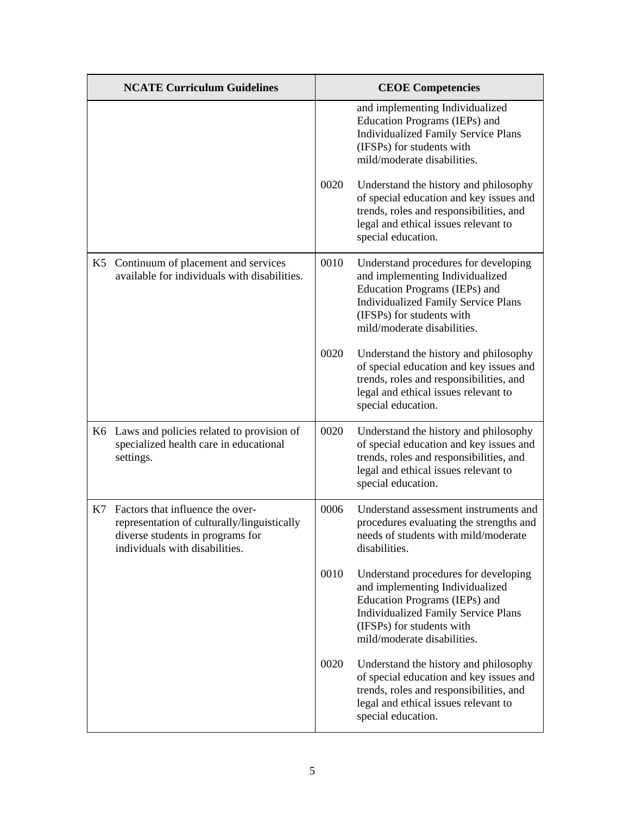|    | <b>NCATE Curriculum Guidelines</b>                                                                                                                    |      | <b>CEOE Competencies</b>                                                                                                                                                                                           |
|----|-------------------------------------------------------------------------------------------------------------------------------------------------------|------|--------------------------------------------------------------------------------------------------------------------------------------------------------------------------------------------------------------------|
|    |                                                                                                                                                       |      | and implementing Individualized<br>Education Programs (IEPs) and<br><b>Individualized Family Service Plans</b><br>(IFSPs) for students with<br>mild/moderate disabilities.                                         |
|    |                                                                                                                                                       | 0020 | Understand the history and philosophy<br>of special education and key issues and<br>trends, roles and responsibilities, and<br>legal and ethical issues relevant to<br>special education.                          |
|    | K5 Continuum of placement and services<br>available for individuals with disabilities.                                                                | 0010 | Understand procedures for developing<br>and implementing Individualized<br>Education Programs (IEPs) and<br><b>Individualized Family Service Plans</b><br>(IFSPs) for students with<br>mild/moderate disabilities. |
|    |                                                                                                                                                       | 0020 | Understand the history and philosophy<br>of special education and key issues and<br>trends, roles and responsibilities, and<br>legal and ethical issues relevant to<br>special education.                          |
|    | K6 Laws and policies related to provision of<br>specialized health care in educational<br>settings.                                                   | 0020 | Understand the history and philosophy<br>of special education and key issues and<br>trends, roles and responsibilities, and<br>legal and ethical issues relevant to<br>special education.                          |
| K7 | Factors that influence the over-<br>representation of culturally/linguistically<br>diverse students in programs for<br>individuals with disabilities. | 0006 | Understand assessment instruments and<br>procedures evaluating the strengths and<br>needs of students with mild/moderate<br>disabilities.                                                                          |
|    |                                                                                                                                                       | 0010 | Understand procedures for developing<br>and implementing Individualized<br>Education Programs (IEPs) and<br><b>Individualized Family Service Plans</b><br>(IFSPs) for students with<br>mild/moderate disabilities. |
|    |                                                                                                                                                       | 0020 | Understand the history and philosophy<br>of special education and key issues and<br>trends, roles and responsibilities, and<br>legal and ethical issues relevant to<br>special education.                          |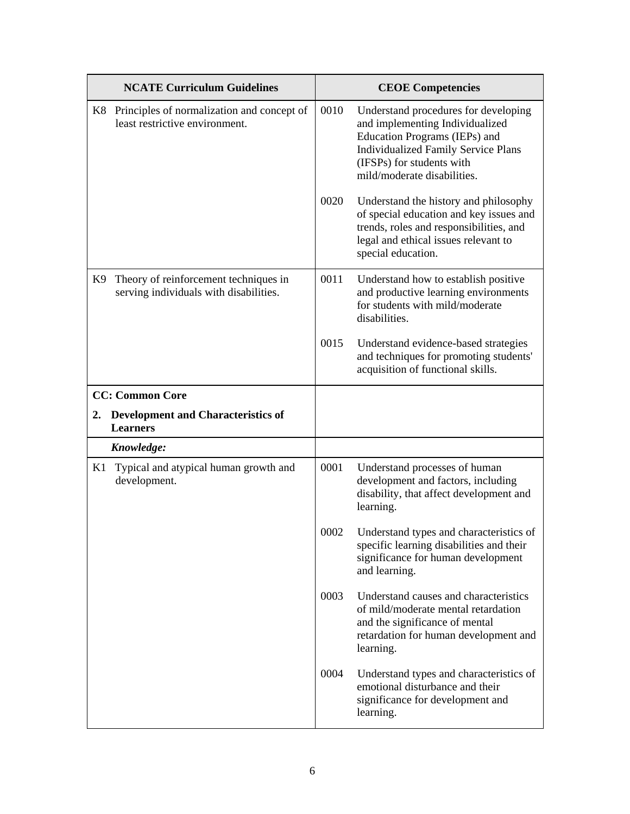|               | <b>NCATE Curriculum Guidelines</b>                                              |      | <b>CEOE Competencies</b>                                                                                                                                                                                           |
|---------------|---------------------------------------------------------------------------------|------|--------------------------------------------------------------------------------------------------------------------------------------------------------------------------------------------------------------------|
|               | K8 Principles of normalization and concept of<br>least restrictive environment. | 0010 | Understand procedures for developing<br>and implementing Individualized<br>Education Programs (IEPs) and<br><b>Individualized Family Service Plans</b><br>(IFSPs) for students with<br>mild/moderate disabilities. |
|               |                                                                                 | 0020 | Understand the history and philosophy<br>of special education and key issues and<br>trends, roles and responsibilities, and<br>legal and ethical issues relevant to<br>special education.                          |
| K9            | Theory of reinforcement techniques in<br>serving individuals with disabilities. | 0011 | Understand how to establish positive<br>and productive learning environments<br>for students with mild/moderate<br>disabilities.                                                                                   |
|               |                                                                                 | 0015 | Understand evidence-based strategies<br>and techniques for promoting students'<br>acquisition of functional skills.                                                                                                |
|               | <b>CC: Common Core</b>                                                          |      |                                                                                                                                                                                                                    |
| $2_{\bullet}$ | <b>Development and Characteristics of</b><br><b>Learners</b>                    |      |                                                                                                                                                                                                                    |
|               | Knowledge:                                                                      |      |                                                                                                                                                                                                                    |
| K1            | Typical and atypical human growth and<br>development.                           | 0001 | Understand processes of human<br>development and factors, including<br>disability, that affect development and<br>learning.                                                                                        |
|               |                                                                                 | 0002 | Understand types and characteristics of<br>specific learning disabilities and their<br>significance for human development<br>and learning.                                                                         |
|               |                                                                                 | 0003 | Understand causes and characteristics<br>of mild/moderate mental retardation<br>and the significance of mental<br>retardation for human development and<br>learning.                                               |
|               |                                                                                 | 0004 | Understand types and characteristics of<br>emotional disturbance and their<br>significance for development and<br>learning.                                                                                        |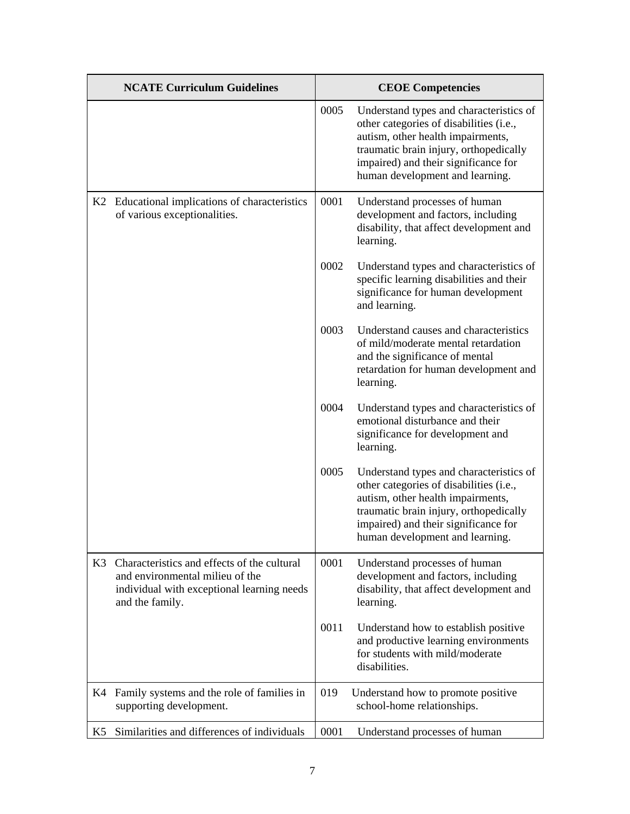|    | <b>NCATE Curriculum Guidelines</b>                                                                                                              |      | <b>CEOE Competencies</b>                                                                                                                                                                                                                     |
|----|-------------------------------------------------------------------------------------------------------------------------------------------------|------|----------------------------------------------------------------------------------------------------------------------------------------------------------------------------------------------------------------------------------------------|
|    |                                                                                                                                                 | 0005 | Understand types and characteristics of<br>other categories of disabilities (i.e.,<br>autism, other health impairments,<br>traumatic brain injury, orthopedically<br>impaired) and their significance for<br>human development and learning. |
|    | K2 Educational implications of characteristics<br>of various exceptionalities.                                                                  | 0001 | Understand processes of human<br>development and factors, including<br>disability, that affect development and<br>learning.                                                                                                                  |
|    |                                                                                                                                                 | 0002 | Understand types and characteristics of<br>specific learning disabilities and their<br>significance for human development<br>and learning.                                                                                                   |
|    |                                                                                                                                                 | 0003 | Understand causes and characteristics<br>of mild/moderate mental retardation<br>and the significance of mental<br>retardation for human development and<br>learning.                                                                         |
|    |                                                                                                                                                 | 0004 | Understand types and characteristics of<br>emotional disturbance and their<br>significance for development and<br>learning.                                                                                                                  |
|    |                                                                                                                                                 | 0005 | Understand types and characteristics of<br>other categories of disabilities (i.e.,<br>autism, other health impairments,<br>traumatic brain injury, orthopedically<br>impaired) and their significance for<br>human development and learning. |
| K3 | Characteristics and effects of the cultural<br>and environmental milieu of the<br>individual with exceptional learning needs<br>and the family. | 0001 | Understand processes of human<br>development and factors, including<br>disability, that affect development and<br>learning.                                                                                                                  |
|    |                                                                                                                                                 | 0011 | Understand how to establish positive<br>and productive learning environments<br>for students with mild/moderate<br>disabilities.                                                                                                             |
| K4 | Family systems and the role of families in<br>supporting development.                                                                           | 019  | Understand how to promote positive<br>school-home relationships.                                                                                                                                                                             |
| K5 | Similarities and differences of individuals                                                                                                     | 0001 | Understand processes of human                                                                                                                                                                                                                |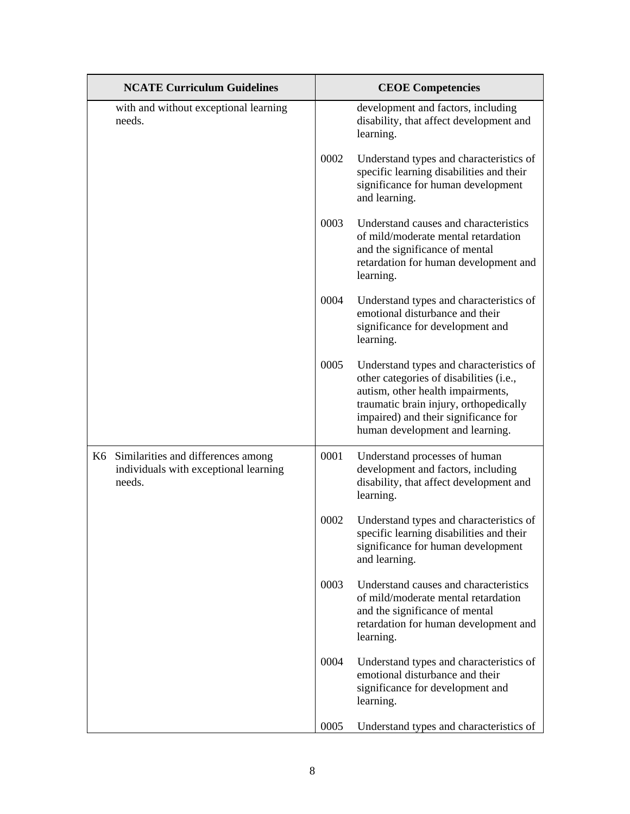| <b>NCATE Curriculum Guidelines</b>                                                       |      | <b>CEOE Competencies</b>                                                                                                                                                                                                                     |
|------------------------------------------------------------------------------------------|------|----------------------------------------------------------------------------------------------------------------------------------------------------------------------------------------------------------------------------------------------|
| with and without exceptional learning<br>needs.                                          |      | development and factors, including<br>disability, that affect development and<br>learning.                                                                                                                                                   |
|                                                                                          | 0002 | Understand types and characteristics of<br>specific learning disabilities and their<br>significance for human development<br>and learning.                                                                                                   |
|                                                                                          | 0003 | Understand causes and characteristics<br>of mild/moderate mental retardation<br>and the significance of mental<br>retardation for human development and<br>learning.                                                                         |
|                                                                                          | 0004 | Understand types and characteristics of<br>emotional disturbance and their<br>significance for development and<br>learning.                                                                                                                  |
|                                                                                          | 0005 | Understand types and characteristics of<br>other categories of disabilities (i.e.,<br>autism, other health impairments,<br>traumatic brain injury, orthopedically<br>impaired) and their significance for<br>human development and learning. |
| K6 Similarities and differences among<br>individuals with exceptional learning<br>needs. | 0001 | Understand processes of human<br>development and factors, including<br>disability, that affect development and<br>learning.                                                                                                                  |
|                                                                                          | 0002 | Understand types and characteristics of<br>specific learning disabilities and their<br>significance for human development<br>and learning.                                                                                                   |
|                                                                                          | 0003 | Understand causes and characteristics<br>of mild/moderate mental retardation<br>and the significance of mental<br>retardation for human development and<br>learning.                                                                         |
|                                                                                          | 0004 | Understand types and characteristics of<br>emotional disturbance and their<br>significance for development and<br>learning.                                                                                                                  |
|                                                                                          | 0005 | Understand types and characteristics of                                                                                                                                                                                                      |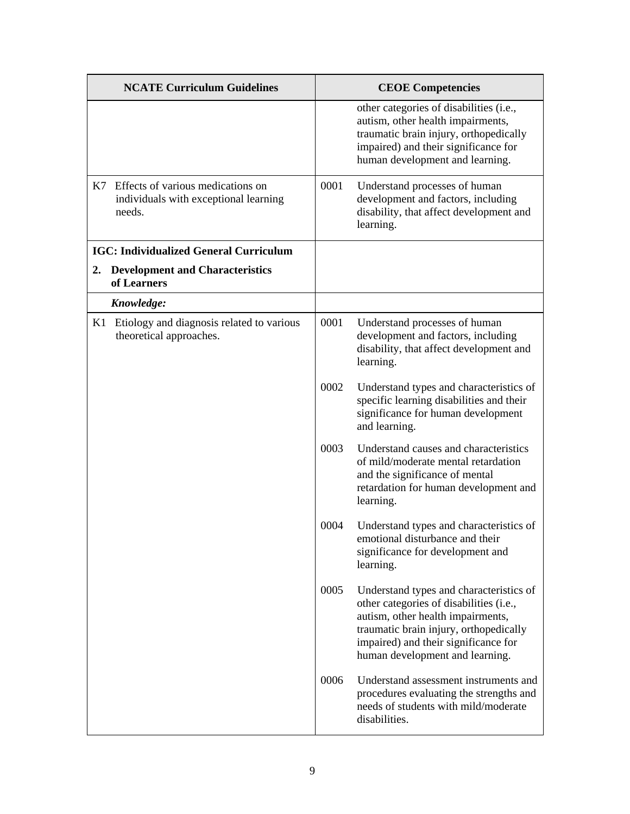|    | <b>NCATE Curriculum Guidelines</b>                                                      |      | <b>CEOE Competencies</b>                                                                                                                                                                                                                     |
|----|-----------------------------------------------------------------------------------------|------|----------------------------------------------------------------------------------------------------------------------------------------------------------------------------------------------------------------------------------------------|
|    |                                                                                         |      | other categories of disabilities (i.e.,<br>autism, other health impairments,<br>traumatic brain injury, orthopedically<br>impaired) and their significance for<br>human development and learning.                                            |
|    | K7 Effects of various medications on<br>individuals with exceptional learning<br>needs. | 0001 | Understand processes of human<br>development and factors, including<br>disability, that affect development and<br>learning.                                                                                                                  |
|    | <b>IGC: Individualized General Curriculum</b>                                           |      |                                                                                                                                                                                                                                              |
| 2. | <b>Development and Characteristics</b><br>of Learners                                   |      |                                                                                                                                                                                                                                              |
|    | Knowledge:                                                                              |      |                                                                                                                                                                                                                                              |
| K1 | Etiology and diagnosis related to various<br>theoretical approaches.                    | 0001 | Understand processes of human<br>development and factors, including<br>disability, that affect development and<br>learning.                                                                                                                  |
|    |                                                                                         | 0002 | Understand types and characteristics of<br>specific learning disabilities and their<br>significance for human development<br>and learning.                                                                                                   |
|    |                                                                                         | 0003 | Understand causes and characteristics<br>of mild/moderate mental retardation<br>and the significance of mental<br>retardation for human development and<br>learning.                                                                         |
|    |                                                                                         | 0004 | Understand types and characteristics of<br>emotional disturbance and their<br>significance for development and<br>learning.                                                                                                                  |
|    |                                                                                         | 0005 | Understand types and characteristics of<br>other categories of disabilities (i.e.,<br>autism, other health impairments,<br>traumatic brain injury, orthopedically<br>impaired) and their significance for<br>human development and learning. |
|    |                                                                                         | 0006 | Understand assessment instruments and<br>procedures evaluating the strengths and<br>needs of students with mild/moderate<br>disabilities.                                                                                                    |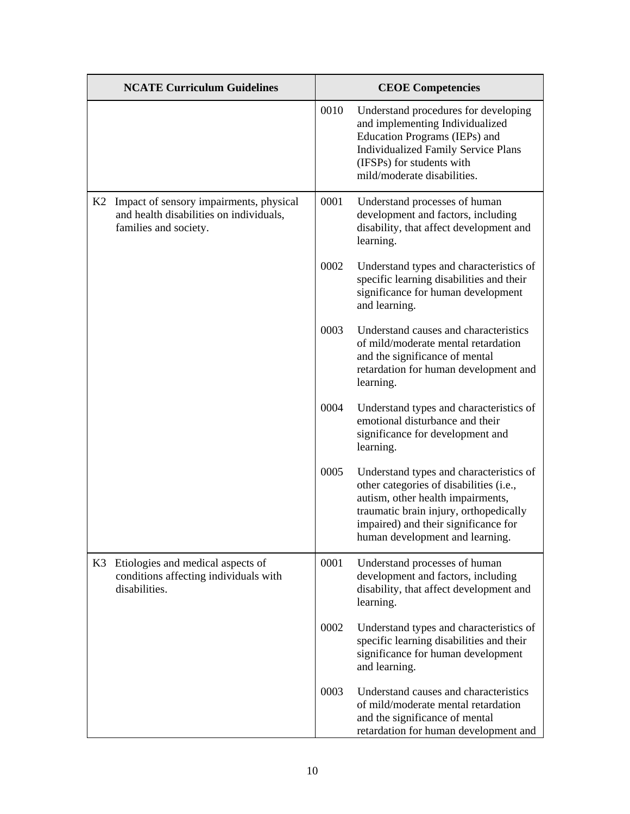|    | <b>NCATE Curriculum Guidelines</b>                                                                          |      | <b>CEOE Competencies</b>                                                                                                                                                                                                                     |
|----|-------------------------------------------------------------------------------------------------------------|------|----------------------------------------------------------------------------------------------------------------------------------------------------------------------------------------------------------------------------------------------|
|    |                                                                                                             | 0010 | Understand procedures for developing<br>and implementing Individualized<br>Education Programs (IEPs) and<br><b>Individualized Family Service Plans</b><br>(IFSPs) for students with<br>mild/moderate disabilities.                           |
| K2 | Impact of sensory impairments, physical<br>and health disabilities on individuals,<br>families and society. | 0001 | Understand processes of human<br>development and factors, including<br>disability, that affect development and<br>learning.                                                                                                                  |
|    |                                                                                                             | 0002 | Understand types and characteristics of<br>specific learning disabilities and their<br>significance for human development<br>and learning.                                                                                                   |
|    |                                                                                                             | 0003 | Understand causes and characteristics<br>of mild/moderate mental retardation<br>and the significance of mental<br>retardation for human development and<br>learning.                                                                         |
|    |                                                                                                             | 0004 | Understand types and characteristics of<br>emotional disturbance and their<br>significance for development and<br>learning.                                                                                                                  |
|    |                                                                                                             | 0005 | Understand types and characteristics of<br>other categories of disabilities (i.e.,<br>autism, other health impairments,<br>traumatic brain injury, orthopedically<br>impaired) and their significance for<br>human development and learning. |
| K3 | Etiologies and medical aspects of<br>conditions affecting individuals with<br>disabilities.                 | 0001 | Understand processes of human<br>development and factors, including<br>disability, that affect development and<br>learning.                                                                                                                  |
|    |                                                                                                             | 0002 | Understand types and characteristics of<br>specific learning disabilities and their<br>significance for human development<br>and learning.                                                                                                   |
|    |                                                                                                             | 0003 | Understand causes and characteristics<br>of mild/moderate mental retardation<br>and the significance of mental<br>retardation for human development and                                                                                      |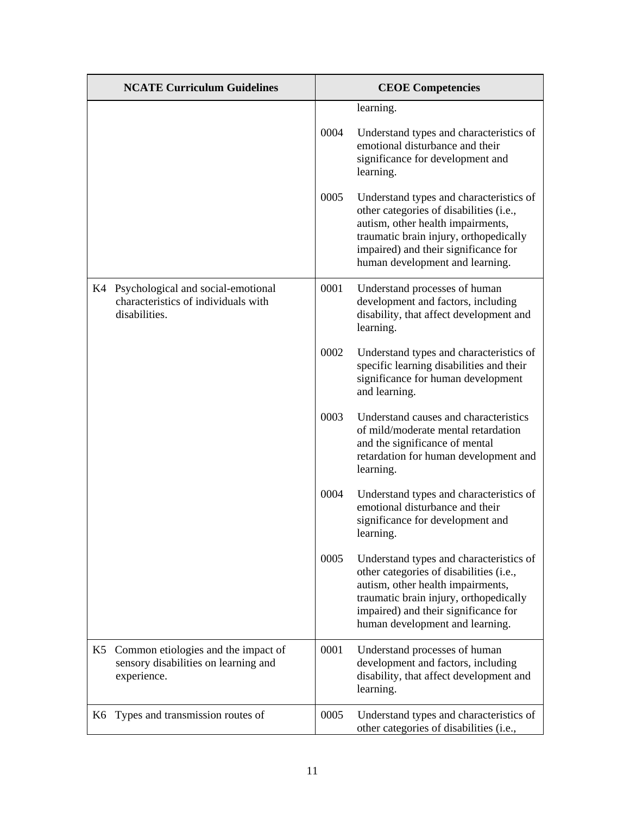|    | <b>NCATE Curriculum Guidelines</b>                                                            |      | <b>CEOE</b> Competencies                                                                                                                                                                                                                     |
|----|-----------------------------------------------------------------------------------------------|------|----------------------------------------------------------------------------------------------------------------------------------------------------------------------------------------------------------------------------------------------|
|    |                                                                                               |      | learning.                                                                                                                                                                                                                                    |
|    |                                                                                               | 0004 | Understand types and characteristics of<br>emotional disturbance and their<br>significance for development and<br>learning.                                                                                                                  |
|    |                                                                                               | 0005 | Understand types and characteristics of<br>other categories of disabilities (i.e.,<br>autism, other health impairments,<br>traumatic brain injury, orthopedically<br>impaired) and their significance for<br>human development and learning. |
|    | K4 Psychological and social-emotional<br>characteristics of individuals with<br>disabilities. | 0001 | Understand processes of human<br>development and factors, including<br>disability, that affect development and<br>learning.                                                                                                                  |
|    |                                                                                               | 0002 | Understand types and characteristics of<br>specific learning disabilities and their<br>significance for human development<br>and learning.                                                                                                   |
|    |                                                                                               | 0003 | Understand causes and characteristics<br>of mild/moderate mental retardation<br>and the significance of mental<br>retardation for human development and<br>learning.                                                                         |
|    |                                                                                               | 0004 | Understand types and characteristics of<br>emotional disturbance and their<br>significance for development and<br>learning.                                                                                                                  |
|    |                                                                                               | 0005 | Understand types and characteristics of<br>other categories of disabilities (i.e.,<br>autism, other health impairments,<br>traumatic brain injury, orthopedically<br>impaired) and their significance for<br>human development and learning. |
| K5 | Common etiologies and the impact of<br>sensory disabilities on learning and<br>experience.    | 0001 | Understand processes of human<br>development and factors, including<br>disability, that affect development and<br>learning.                                                                                                                  |
|    | K6 Types and transmission routes of                                                           | 0005 | Understand types and characteristics of<br>other categories of disabilities (i.e.,                                                                                                                                                           |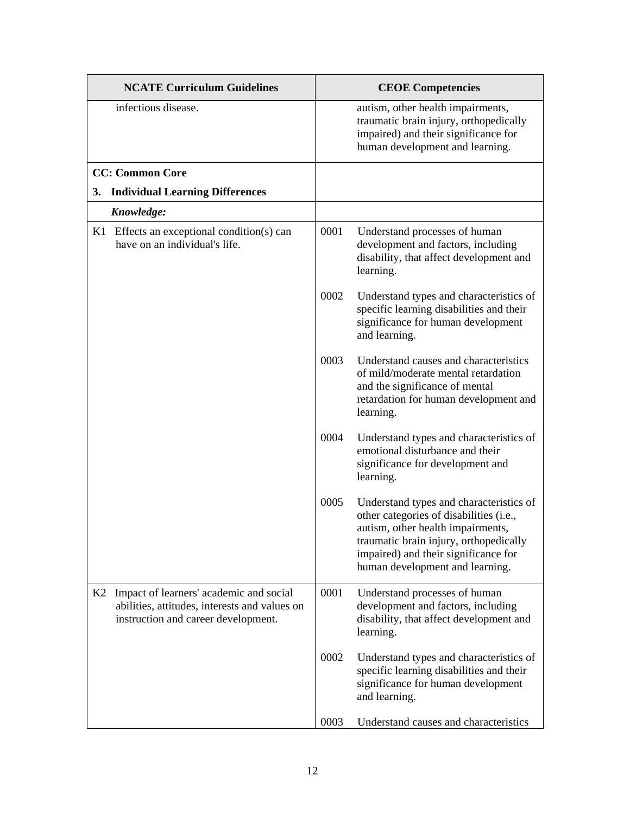| <b>NCATE Curriculum Guidelines</b> |                                                                                                                                 |      | <b>CEOE</b> Competencies                                                                                                                                                                                                                     |
|------------------------------------|---------------------------------------------------------------------------------------------------------------------------------|------|----------------------------------------------------------------------------------------------------------------------------------------------------------------------------------------------------------------------------------------------|
|                                    | infectious disease.                                                                                                             |      | autism, other health impairments,<br>traumatic brain injury, orthopedically<br>impaired) and their significance for<br>human development and learning.                                                                                       |
|                                    | <b>CC: Common Core</b>                                                                                                          |      |                                                                                                                                                                                                                                              |
| 3.                                 | <b>Individual Learning Differences</b>                                                                                          |      |                                                                                                                                                                                                                                              |
|                                    | Knowledge:                                                                                                                      |      |                                                                                                                                                                                                                                              |
|                                    | $K1$ Effects an exceptional condition(s) can<br>have on an individual's life.                                                   | 0001 | Understand processes of human<br>development and factors, including<br>disability, that affect development and<br>learning.                                                                                                                  |
|                                    |                                                                                                                                 | 0002 | Understand types and characteristics of<br>specific learning disabilities and their<br>significance for human development<br>and learning.                                                                                                   |
|                                    |                                                                                                                                 | 0003 | Understand causes and characteristics<br>of mild/moderate mental retardation<br>and the significance of mental<br>retardation for human development and<br>learning.                                                                         |
|                                    |                                                                                                                                 | 0004 | Understand types and characteristics of<br>emotional disturbance and their<br>significance for development and<br>learning.                                                                                                                  |
|                                    |                                                                                                                                 | 0005 | Understand types and characteristics of<br>other categories of disabilities (i.e.,<br>autism, other health impairments,<br>traumatic brain injury, orthopedically<br>impaired) and their significance for<br>human development and learning. |
| K2                                 | Impact of learners' academic and social<br>abilities, attitudes, interests and values on<br>instruction and career development. | 0001 | Understand processes of human<br>development and factors, including<br>disability, that affect development and<br>learning.                                                                                                                  |
|                                    |                                                                                                                                 | 0002 | Understand types and characteristics of<br>specific learning disabilities and their<br>significance for human development<br>and learning.                                                                                                   |
|                                    |                                                                                                                                 | 0003 | Understand causes and characteristics                                                                                                                                                                                                        |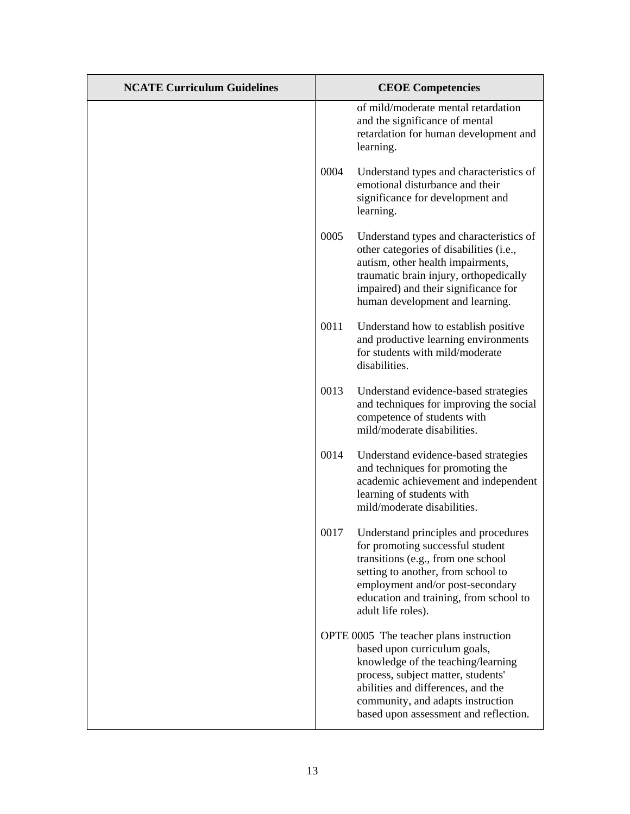| <b>NCATE Curriculum Guidelines</b> | <b>CEOE</b> Competencies                                                                                                                                                                                                                                                |
|------------------------------------|-------------------------------------------------------------------------------------------------------------------------------------------------------------------------------------------------------------------------------------------------------------------------|
|                                    | of mild/moderate mental retardation<br>and the significance of mental<br>retardation for human development and<br>learning.                                                                                                                                             |
|                                    | 0004<br>Understand types and characteristics of<br>emotional disturbance and their<br>significance for development and<br>learning.                                                                                                                                     |
|                                    | 0005<br>Understand types and characteristics of<br>other categories of disabilities (i.e.,<br>autism, other health impairments,<br>traumatic brain injury, orthopedically<br>impaired) and their significance for<br>human development and learning.                    |
|                                    | 0011<br>Understand how to establish positive<br>and productive learning environments<br>for students with mild/moderate<br>disabilities.                                                                                                                                |
|                                    | 0013<br>Understand evidence-based strategies<br>and techniques for improving the social<br>competence of students with<br>mild/moderate disabilities.                                                                                                                   |
|                                    | 0014<br>Understand evidence-based strategies<br>and techniques for promoting the<br>academic achievement and independent<br>learning of students with<br>mild/moderate disabilities.                                                                                    |
|                                    | 0017<br>Understand principles and procedures<br>for promoting successful student<br>transitions (e.g., from one school<br>setting to another, from school to<br>employment and/or post-secondary<br>education and training, from school to<br>adult life roles).        |
|                                    | OPTE 0005 The teacher plans instruction<br>based upon curriculum goals,<br>knowledge of the teaching/learning<br>process, subject matter, students'<br>abilities and differences, and the<br>community, and adapts instruction<br>based upon assessment and reflection. |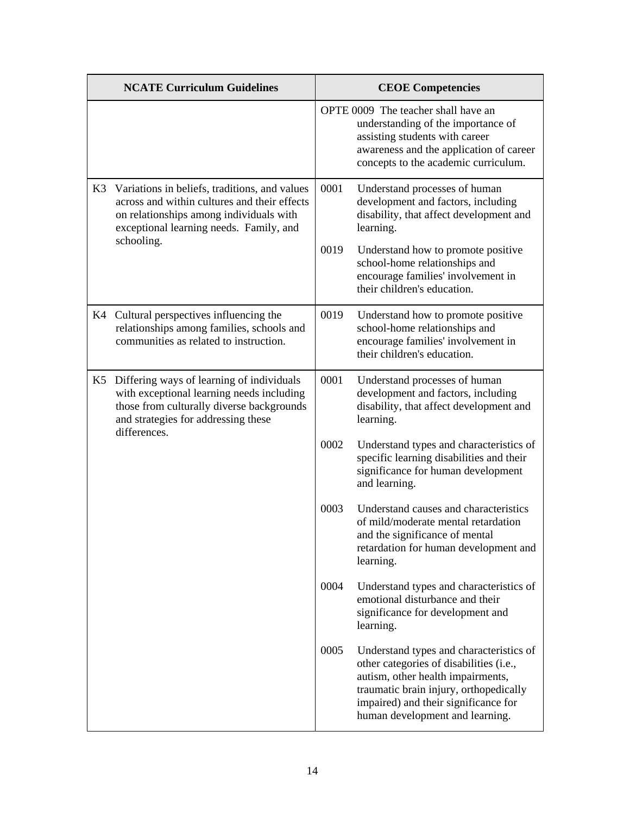|                  | <b>NCATE Curriculum Guidelines</b>                                                                                                                                                         |      | <b>CEOE Competencies</b>                                                                                                                                                                                                                     |
|------------------|--------------------------------------------------------------------------------------------------------------------------------------------------------------------------------------------|------|----------------------------------------------------------------------------------------------------------------------------------------------------------------------------------------------------------------------------------------------|
|                  |                                                                                                                                                                                            |      | OPTE 0009 The teacher shall have an<br>understanding of the importance of<br>assisting students with career<br>awareness and the application of career<br>concepts to the academic curriculum.                                               |
| K3<br>schooling. | Variations in beliefs, traditions, and values<br>across and within cultures and their effects<br>on relationships among individuals with<br>exceptional learning needs. Family, and        | 0001 | Understand processes of human<br>development and factors, including<br>disability, that affect development and<br>learning.                                                                                                                  |
|                  |                                                                                                                                                                                            | 0019 | Understand how to promote positive<br>school-home relationships and<br>encourage families' involvement in<br>their children's education.                                                                                                     |
|                  | K4 Cultural perspectives influencing the<br>relationships among families, schools and<br>communities as related to instruction.                                                            | 0019 | Understand how to promote positive<br>school-home relationships and<br>encourage families' involvement in<br>their children's education.                                                                                                     |
| K5               | Differing ways of learning of individuals<br>with exceptional learning needs including<br>those from culturally diverse backgrounds<br>and strategies for addressing these<br>differences. | 0001 | Understand processes of human<br>development and factors, including<br>disability, that affect development and<br>learning.                                                                                                                  |
|                  |                                                                                                                                                                                            | 0002 | Understand types and characteristics of<br>specific learning disabilities and their<br>significance for human development<br>and learning.                                                                                                   |
|                  |                                                                                                                                                                                            | 0003 | Understand causes and characteristics<br>of mild/moderate mental retardation<br>and the significance of mental<br>retardation for human development and<br>learning.                                                                         |
|                  |                                                                                                                                                                                            | 0004 | Understand types and characteristics of<br>emotional disturbance and their<br>significance for development and<br>learning.                                                                                                                  |
|                  |                                                                                                                                                                                            | 0005 | Understand types and characteristics of<br>other categories of disabilities (i.e.,<br>autism, other health impairments,<br>traumatic brain injury, orthopedically<br>impaired) and their significance for<br>human development and learning. |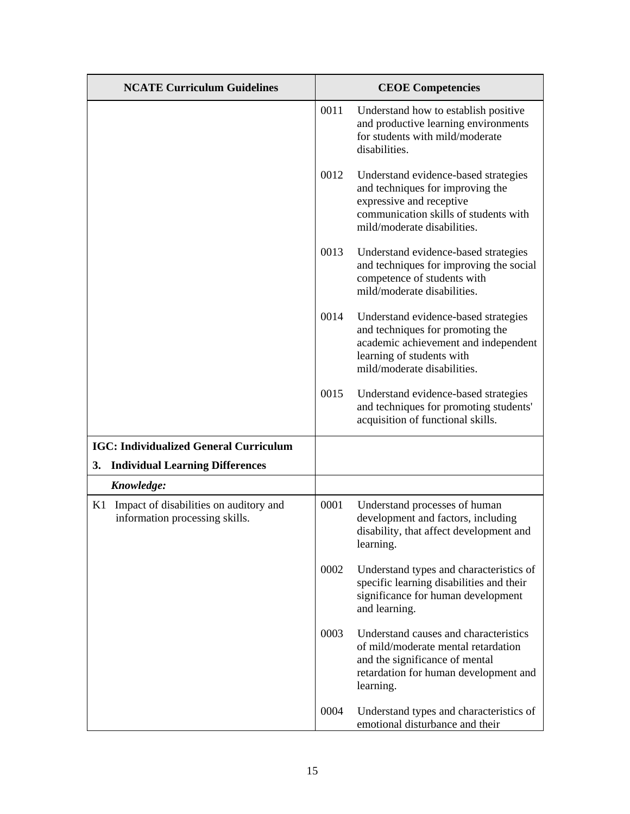| <b>NCATE Curriculum Guidelines</b>                                          |      | <b>CEOE Competencies</b>                                                                                                                                                     |
|-----------------------------------------------------------------------------|------|------------------------------------------------------------------------------------------------------------------------------------------------------------------------------|
|                                                                             | 0011 | Understand how to establish positive<br>and productive learning environments<br>for students with mild/moderate<br>disabilities.                                             |
|                                                                             | 0012 | Understand evidence-based strategies<br>and techniques for improving the<br>expressive and receptive<br>communication skills of students with<br>mild/moderate disabilities. |
|                                                                             | 0013 | Understand evidence-based strategies<br>and techniques for improving the social<br>competence of students with<br>mild/moderate disabilities.                                |
|                                                                             | 0014 | Understand evidence-based strategies<br>and techniques for promoting the<br>academic achievement and independent<br>learning of students with<br>mild/moderate disabilities. |
|                                                                             | 0015 | Understand evidence-based strategies<br>and techniques for promoting students'<br>acquisition of functional skills.                                                          |
| <b>IGC: Individualized General Curriculum</b>                               |      |                                                                                                                                                                              |
| <b>Individual Learning Differences</b><br>3.                                |      |                                                                                                                                                                              |
| Knowledge:                                                                  |      |                                                                                                                                                                              |
| K1 Impact of disabilities on auditory and<br>information processing skills. | 0001 | Understand processes of human<br>development and factors, including<br>disability, that affect development and<br>learning.                                                  |
|                                                                             | 0002 | Understand types and characteristics of<br>specific learning disabilities and their<br>significance for human development<br>and learning.                                   |
|                                                                             | 0003 | Understand causes and characteristics<br>of mild/moderate mental retardation<br>and the significance of mental<br>retardation for human development and<br>learning.         |
|                                                                             | 0004 | Understand types and characteristics of<br>emotional disturbance and their                                                                                                   |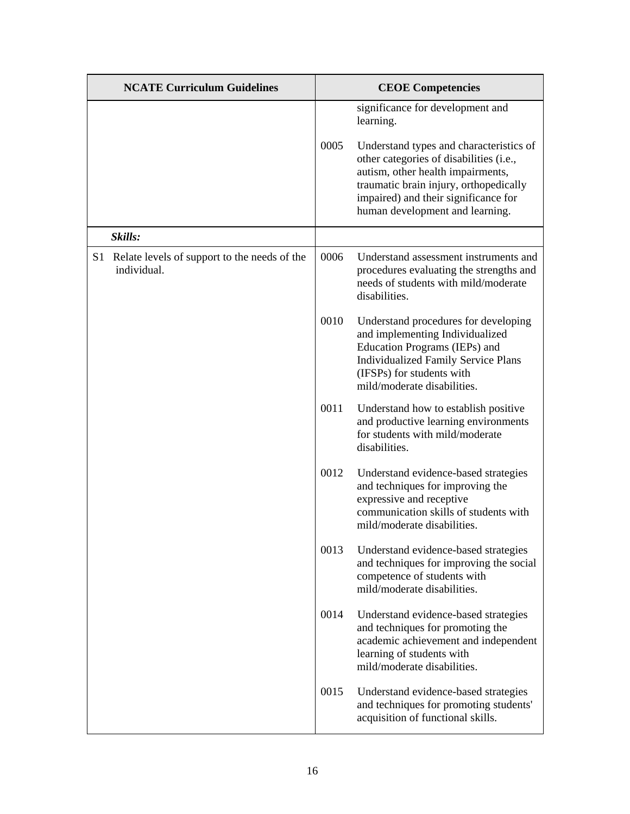| <b>NCATE Curriculum Guidelines</b>                             |      | <b>CEOE Competencies</b>                                                                                                                                                                                                                                                                      |
|----------------------------------------------------------------|------|-----------------------------------------------------------------------------------------------------------------------------------------------------------------------------------------------------------------------------------------------------------------------------------------------|
|                                                                | 0005 | significance for development and<br>learning.<br>Understand types and characteristics of<br>other categories of disabilities (i.e.,<br>autism, other health impairments,<br>traumatic brain injury, orthopedically<br>impaired) and their significance for<br>human development and learning. |
| Skills:                                                        |      |                                                                                                                                                                                                                                                                                               |
| S1 Relate levels of support to the needs of the<br>individual. | 0006 | Understand assessment instruments and<br>procedures evaluating the strengths and<br>needs of students with mild/moderate<br>disabilities.                                                                                                                                                     |
|                                                                | 0010 | Understand procedures for developing<br>and implementing Individualized<br>Education Programs (IEPs) and<br><b>Individualized Family Service Plans</b><br>(IFSPs) for students with<br>mild/moderate disabilities.                                                                            |
|                                                                | 0011 | Understand how to establish positive<br>and productive learning environments<br>for students with mild/moderate<br>disabilities.                                                                                                                                                              |
|                                                                | 0012 | Understand evidence-based strategies<br>and techniques for improving the<br>expressive and receptive<br>communication skills of students with<br>mild/moderate disabilities.                                                                                                                  |
|                                                                | 0013 | Understand evidence-based strategies<br>and techniques for improving the social<br>competence of students with<br>mild/moderate disabilities.                                                                                                                                                 |
|                                                                | 0014 | Understand evidence-based strategies<br>and techniques for promoting the<br>academic achievement and independent<br>learning of students with<br>mild/moderate disabilities.                                                                                                                  |
|                                                                | 0015 | Understand evidence-based strategies<br>and techniques for promoting students'<br>acquisition of functional skills.                                                                                                                                                                           |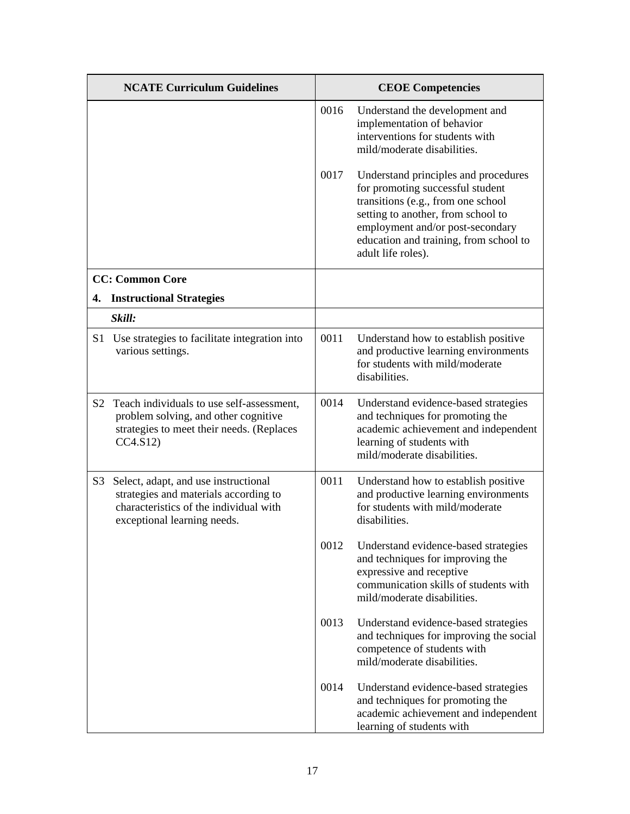|                | <b>NCATE Curriculum Guidelines</b>                                                                                                                     |      | <b>CEOE Competencies</b>                                                                                                                                                                                                                                 |
|----------------|--------------------------------------------------------------------------------------------------------------------------------------------------------|------|----------------------------------------------------------------------------------------------------------------------------------------------------------------------------------------------------------------------------------------------------------|
|                |                                                                                                                                                        | 0016 | Understand the development and<br>implementation of behavior<br>interventions for students with<br>mild/moderate disabilities.                                                                                                                           |
|                |                                                                                                                                                        | 0017 | Understand principles and procedures<br>for promoting successful student<br>transitions (e.g., from one school<br>setting to another, from school to<br>employment and/or post-secondary<br>education and training, from school to<br>adult life roles). |
|                | <b>CC: Common Core</b>                                                                                                                                 |      |                                                                                                                                                                                                                                                          |
|                | 4. Instructional Strategies                                                                                                                            |      |                                                                                                                                                                                                                                                          |
|                | Skill:                                                                                                                                                 |      |                                                                                                                                                                                                                                                          |
| S <sub>1</sub> | Use strategies to facilitate integration into<br>various settings.                                                                                     | 0011 | Understand how to establish positive<br>and productive learning environments<br>for students with mild/moderate<br>disabilities.                                                                                                                         |
| S2             | Teach individuals to use self-assessment,<br>problem solving, and other cognitive<br>strategies to meet their needs. (Replaces<br>CC4.S12              | 0014 | Understand evidence-based strategies<br>and techniques for promoting the<br>academic achievement and independent<br>learning of students with<br>mild/moderate disabilities.                                                                             |
| S <sub>3</sub> | Select, adapt, and use instructional<br>strategies and materials according to<br>characteristics of the individual with<br>exceptional learning needs. | 0011 | Understand how to establish positive<br>and productive learning environments<br>for students with mild/moderate<br>disabilities.                                                                                                                         |
|                |                                                                                                                                                        | 0012 | Understand evidence-based strategies<br>and techniques for improving the<br>expressive and receptive<br>communication skills of students with<br>mild/moderate disabilities.                                                                             |
|                |                                                                                                                                                        | 0013 | Understand evidence-based strategies<br>and techniques for improving the social<br>competence of students with<br>mild/moderate disabilities.                                                                                                            |
|                |                                                                                                                                                        | 0014 | Understand evidence-based strategies<br>and techniques for promoting the<br>academic achievement and independent<br>learning of students with                                                                                                            |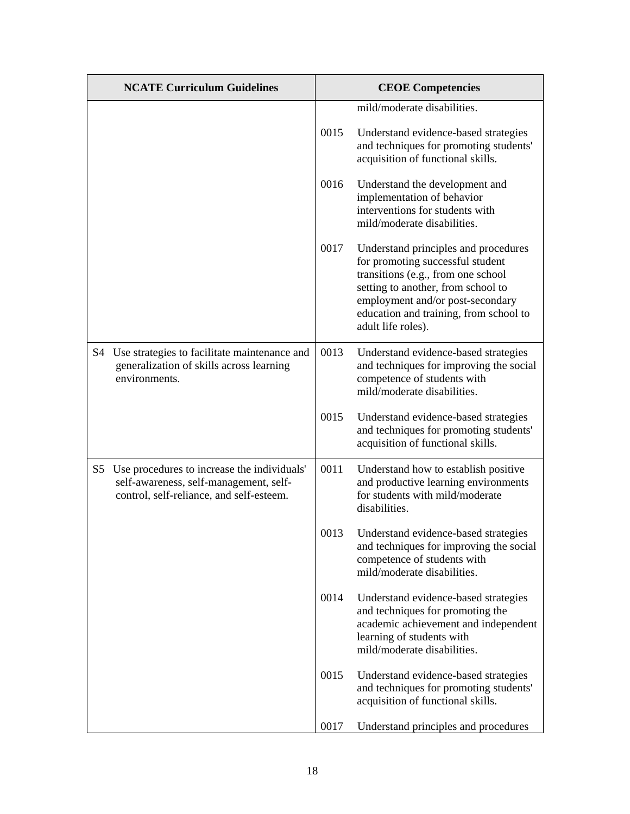|    | <b>NCATE Curriculum Guidelines</b>                                                                                                |      | <b>CEOE Competencies</b>                                                                                                                                                                                                                                 |
|----|-----------------------------------------------------------------------------------------------------------------------------------|------|----------------------------------------------------------------------------------------------------------------------------------------------------------------------------------------------------------------------------------------------------------|
|    |                                                                                                                                   |      | mild/moderate disabilities.                                                                                                                                                                                                                              |
|    |                                                                                                                                   | 0015 | Understand evidence-based strategies<br>and techniques for promoting students'<br>acquisition of functional skills.                                                                                                                                      |
|    |                                                                                                                                   | 0016 | Understand the development and<br>implementation of behavior<br>interventions for students with<br>mild/moderate disabilities.                                                                                                                           |
|    |                                                                                                                                   | 0017 | Understand principles and procedures<br>for promoting successful student<br>transitions (e.g., from one school<br>setting to another, from school to<br>employment and/or post-secondary<br>education and training, from school to<br>adult life roles). |
| S4 | Use strategies to facilitate maintenance and<br>generalization of skills across learning<br>environments.                         | 0013 | Understand evidence-based strategies<br>and techniques for improving the social<br>competence of students with<br>mild/moderate disabilities.                                                                                                            |
|    |                                                                                                                                   | 0015 | Understand evidence-based strategies<br>and techniques for promoting students'<br>acquisition of functional skills.                                                                                                                                      |
| S5 | Use procedures to increase the individuals'<br>self-awareness, self-management, self-<br>control, self-reliance, and self-esteem. | 0011 | Understand how to establish positive<br>and productive learning environments<br>for students with mild/moderate<br>disabilities.                                                                                                                         |
|    |                                                                                                                                   | 0013 | Understand evidence-based strategies<br>and techniques for improving the social<br>competence of students with<br>mild/moderate disabilities.                                                                                                            |
|    |                                                                                                                                   | 0014 | Understand evidence-based strategies<br>and techniques for promoting the<br>academic achievement and independent<br>learning of students with<br>mild/moderate disabilities.                                                                             |
|    |                                                                                                                                   | 0015 | Understand evidence-based strategies<br>and techniques for promoting students'<br>acquisition of functional skills.                                                                                                                                      |
|    |                                                                                                                                   | 0017 | Understand principles and procedures                                                                                                                                                                                                                     |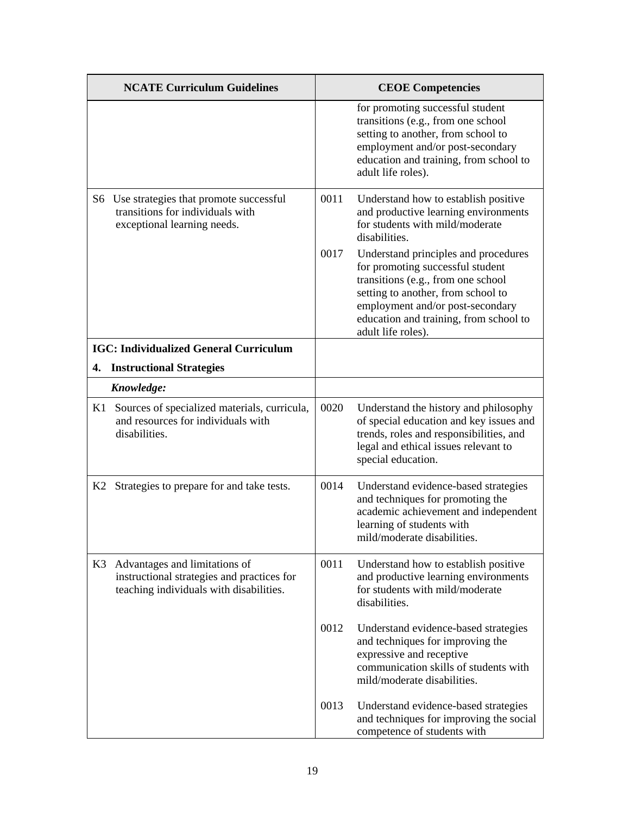|    | <b>NCATE Curriculum Guidelines</b>                                                                                     |      | <b>CEOE Competencies</b>                                                                                                                                                                                                                                 |
|----|------------------------------------------------------------------------------------------------------------------------|------|----------------------------------------------------------------------------------------------------------------------------------------------------------------------------------------------------------------------------------------------------------|
|    |                                                                                                                        |      | for promoting successful student<br>transitions (e.g., from one school<br>setting to another, from school to<br>employment and/or post-secondary<br>education and training, from school to<br>adult life roles).                                         |
|    | S6 Use strategies that promote successful<br>transitions for individuals with<br>exceptional learning needs.           | 0011 | Understand how to establish positive<br>and productive learning environments<br>for students with mild/moderate<br>disabilities.                                                                                                                         |
|    |                                                                                                                        | 0017 | Understand principles and procedures<br>for promoting successful student<br>transitions (e.g., from one school<br>setting to another, from school to<br>employment and/or post-secondary<br>education and training, from school to<br>adult life roles). |
|    | <b>IGC: Individualized General Curriculum</b>                                                                          |      |                                                                                                                                                                                                                                                          |
|    | 4. Instructional Strategies                                                                                            |      |                                                                                                                                                                                                                                                          |
|    | Knowledge:                                                                                                             |      |                                                                                                                                                                                                                                                          |
| K1 | Sources of specialized materials, curricula,<br>and resources for individuals with<br>disabilities.                    | 0020 | Understand the history and philosophy<br>of special education and key issues and<br>trends, roles and responsibilities, and<br>legal and ethical issues relevant to<br>special education.                                                                |
|    | K2 Strategies to prepare for and take tests.                                                                           | 0014 | Understand evidence-based strategies<br>and techniques for promoting the<br>academic achievement and independent<br>learning of students with<br>mild/moderate disabilities.                                                                             |
| K3 | Advantages and limitations of<br>instructional strategies and practices for<br>teaching individuals with disabilities. | 0011 | Understand how to establish positive<br>and productive learning environments<br>for students with mild/moderate<br>disabilities.                                                                                                                         |
|    |                                                                                                                        | 0012 | Understand evidence-based strategies<br>and techniques for improving the<br>expressive and receptive<br>communication skills of students with<br>mild/moderate disabilities.                                                                             |
|    |                                                                                                                        | 0013 | Understand evidence-based strategies<br>and techniques for improving the social<br>competence of students with                                                                                                                                           |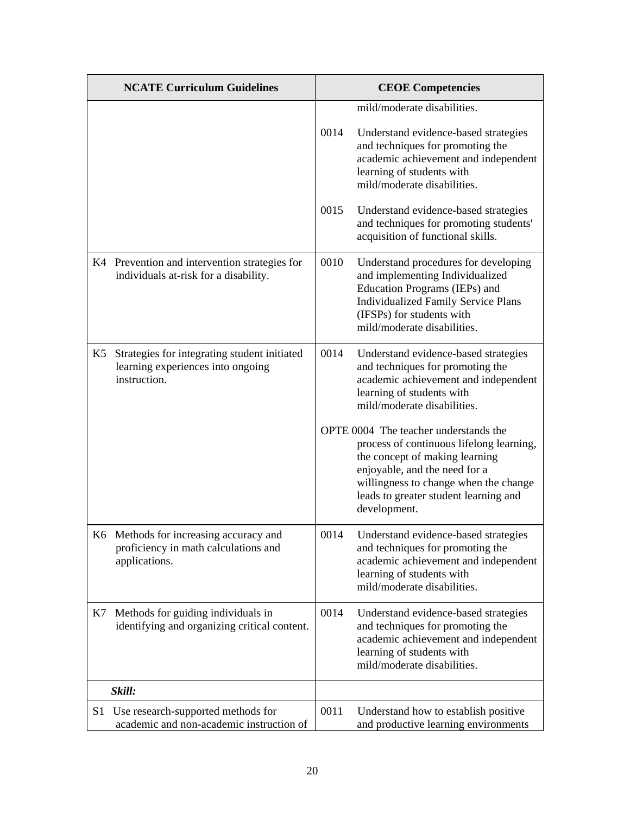|    | <b>NCATE Curriculum Guidelines</b>                                                                |      | <b>CEOE Competencies</b>                                                                                                                                                                                                                               |
|----|---------------------------------------------------------------------------------------------------|------|--------------------------------------------------------------------------------------------------------------------------------------------------------------------------------------------------------------------------------------------------------|
|    |                                                                                                   |      | mild/moderate disabilities.                                                                                                                                                                                                                            |
|    |                                                                                                   | 0014 | Understand evidence-based strategies<br>and techniques for promoting the<br>academic achievement and independent<br>learning of students with<br>mild/moderate disabilities.                                                                           |
|    |                                                                                                   | 0015 | Understand evidence-based strategies<br>and techniques for promoting students'<br>acquisition of functional skills.                                                                                                                                    |
|    | K4 Prevention and intervention strategies for<br>individuals at-risk for a disability.            | 0010 | Understand procedures for developing<br>and implementing Individualized<br>Education Programs (IEPs) and<br><b>Individualized Family Service Plans</b><br>(IFSPs) for students with<br>mild/moderate disabilities.                                     |
| K5 | Strategies for integrating student initiated<br>learning experiences into ongoing<br>instruction. | 0014 | Understand evidence-based strategies<br>and techniques for promoting the<br>academic achievement and independent<br>learning of students with<br>mild/moderate disabilities.                                                                           |
|    |                                                                                                   |      | OPTE 0004 The teacher understands the<br>process of continuous lifelong learning,<br>the concept of making learning<br>enjoyable, and the need for a<br>willingness to change when the change<br>leads to greater student learning and<br>development. |
|    | K6 Methods for increasing accuracy and<br>proficiency in math calculations and<br>applications.   | 0014 | Understand evidence-based strategies<br>and techniques for promoting the<br>academic achievement and independent<br>learning of students with<br>mild/moderate disabilities.                                                                           |
| K7 | Methods for guiding individuals in<br>identifying and organizing critical content.                | 0014 | Understand evidence-based strategies<br>and techniques for promoting the<br>academic achievement and independent<br>learning of students with<br>mild/moderate disabilities.                                                                           |
|    | Skill:                                                                                            |      |                                                                                                                                                                                                                                                        |
| S1 | Use research-supported methods for<br>academic and non-academic instruction of                    | 0011 | Understand how to establish positive<br>and productive learning environments                                                                                                                                                                           |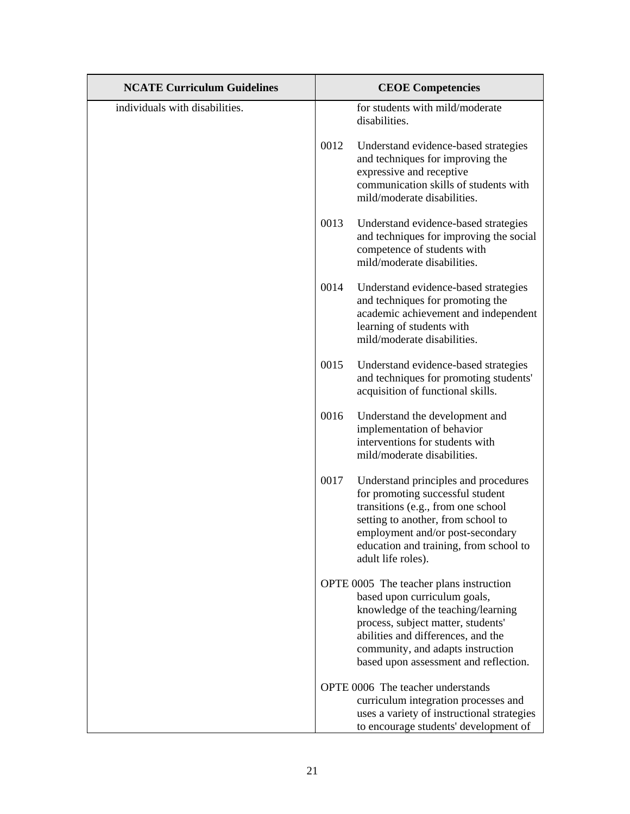| <b>NCATE Curriculum Guidelines</b> | <b>CEOE Competencies</b>                                                                                                                                                                                                                                                |
|------------------------------------|-------------------------------------------------------------------------------------------------------------------------------------------------------------------------------------------------------------------------------------------------------------------------|
| individuals with disabilities.     | for students with mild/moderate<br>disabilities.                                                                                                                                                                                                                        |
|                                    | 0012<br>Understand evidence-based strategies<br>and techniques for improving the<br>expressive and receptive<br>communication skills of students with<br>mild/moderate disabilities.                                                                                    |
|                                    | 0013<br>Understand evidence-based strategies<br>and techniques for improving the social<br>competence of students with<br>mild/moderate disabilities.                                                                                                                   |
|                                    | 0014<br>Understand evidence-based strategies<br>and techniques for promoting the<br>academic achievement and independent<br>learning of students with<br>mild/moderate disabilities.                                                                                    |
|                                    | 0015<br>Understand evidence-based strategies<br>and techniques for promoting students'<br>acquisition of functional skills.                                                                                                                                             |
|                                    | 0016<br>Understand the development and<br>implementation of behavior<br>interventions for students with<br>mild/moderate disabilities.                                                                                                                                  |
|                                    | 0017<br>Understand principles and procedures<br>for promoting successful student<br>transitions (e.g., from one school<br>setting to another, from school to<br>employment and/or post-secondary<br>education and training, from school to<br>adult life roles).        |
|                                    | OPTE 0005 The teacher plans instruction<br>based upon curriculum goals,<br>knowledge of the teaching/learning<br>process, subject matter, students'<br>abilities and differences, and the<br>community, and adapts instruction<br>based upon assessment and reflection. |
|                                    | OPTE 0006 The teacher understands<br>curriculum integration processes and<br>uses a variety of instructional strategies<br>to encourage students' development of                                                                                                        |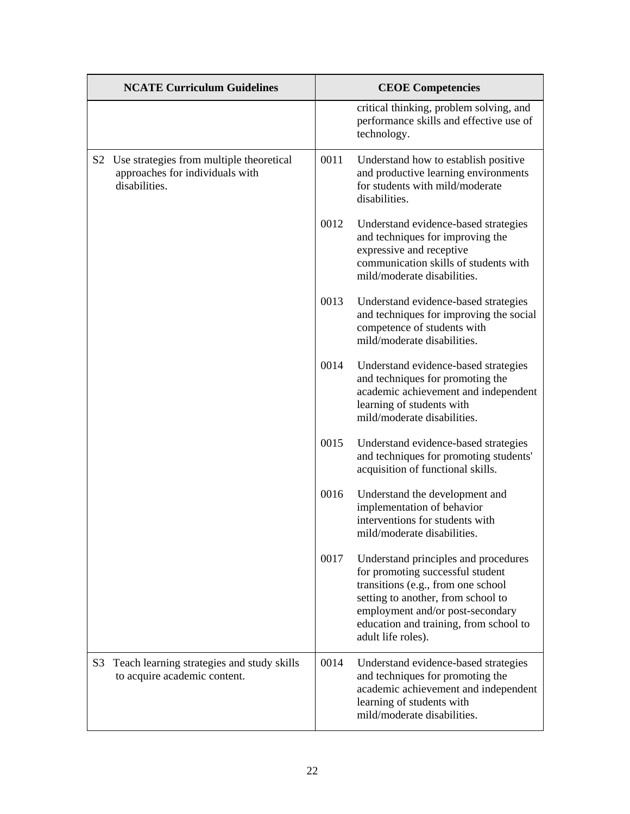| <b>NCATE Curriculum Guidelines</b>                                                              | <b>CEOE Competencies</b>                                                                                                                                                                                                                                         |
|-------------------------------------------------------------------------------------------------|------------------------------------------------------------------------------------------------------------------------------------------------------------------------------------------------------------------------------------------------------------------|
|                                                                                                 | critical thinking, problem solving, and<br>performance skills and effective use of<br>technology.                                                                                                                                                                |
| S2 Use strategies from multiple theoretical<br>approaches for individuals with<br>disabilities. | 0011<br>Understand how to establish positive<br>and productive learning environments<br>for students with mild/moderate<br>disabilities.                                                                                                                         |
|                                                                                                 | 0012<br>Understand evidence-based strategies<br>and techniques for improving the<br>expressive and receptive<br>communication skills of students with<br>mild/moderate disabilities.                                                                             |
|                                                                                                 | 0013<br>Understand evidence-based strategies<br>and techniques for improving the social<br>competence of students with<br>mild/moderate disabilities.                                                                                                            |
|                                                                                                 | 0014<br>Understand evidence-based strategies<br>and techniques for promoting the<br>academic achievement and independent<br>learning of students with<br>mild/moderate disabilities.                                                                             |
|                                                                                                 | 0015<br>Understand evidence-based strategies<br>and techniques for promoting students'<br>acquisition of functional skills.                                                                                                                                      |
|                                                                                                 | 0016<br>Understand the development and<br>implementation of behavior<br>interventions for students with<br>mild/moderate disabilities.                                                                                                                           |
|                                                                                                 | 0017<br>Understand principles and procedures<br>for promoting successful student<br>transitions (e.g., from one school<br>setting to another, from school to<br>employment and/or post-secondary<br>education and training, from school to<br>adult life roles). |
| Teach learning strategies and study skills<br>S3<br>to acquire academic content.                | Understand evidence-based strategies<br>0014<br>and techniques for promoting the<br>academic achievement and independent<br>learning of students with<br>mild/moderate disabilities.                                                                             |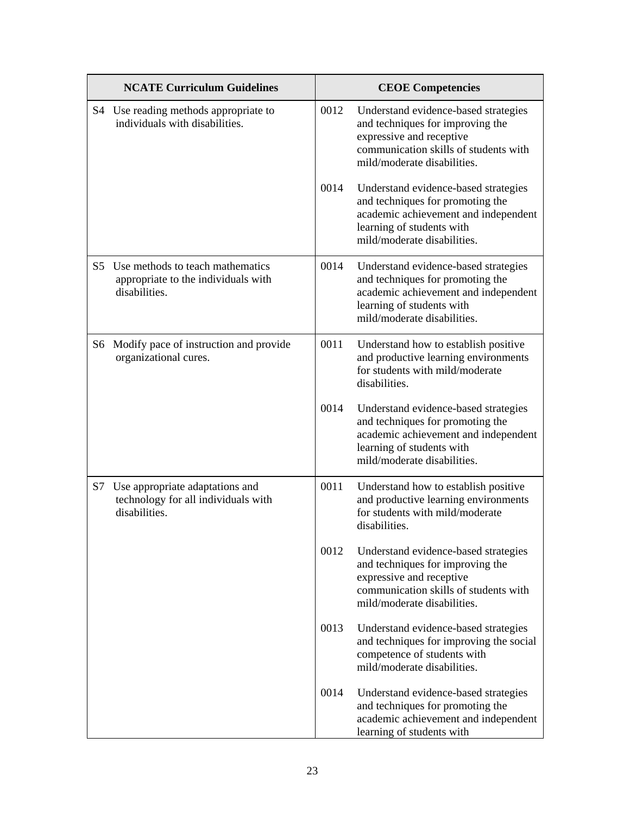|                | <b>NCATE Curriculum Guidelines</b>                                                       |      | <b>CEOE Competencies</b>                                                                                                                                                     |
|----------------|------------------------------------------------------------------------------------------|------|------------------------------------------------------------------------------------------------------------------------------------------------------------------------------|
|                | S4 Use reading methods appropriate to<br>individuals with disabilities.                  | 0012 | Understand evidence-based strategies<br>and techniques for improving the<br>expressive and receptive<br>communication skills of students with<br>mild/moderate disabilities. |
|                |                                                                                          | 0014 | Understand evidence-based strategies<br>and techniques for promoting the<br>academic achievement and independent<br>learning of students with<br>mild/moderate disabilities. |
| S <sub>5</sub> | Use methods to teach mathematics<br>appropriate to the individuals with<br>disabilities. | 0014 | Understand evidence-based strategies<br>and techniques for promoting the<br>academic achievement and independent<br>learning of students with<br>mild/moderate disabilities. |
| S6             | Modify pace of instruction and provide<br>organizational cures.                          | 0011 | Understand how to establish positive<br>and productive learning environments<br>for students with mild/moderate<br>disabilities.                                             |
|                |                                                                                          | 0014 | Understand evidence-based strategies<br>and techniques for promoting the<br>academic achievement and independent<br>learning of students with<br>mild/moderate disabilities. |
| S7             | Use appropriate adaptations and<br>technology for all individuals with<br>disabilities.  | 0011 | Understand how to establish positive<br>and productive learning environments<br>for students with mild/moderate<br>disabilities.                                             |
|                |                                                                                          | 0012 | Understand evidence-based strategies<br>and techniques for improving the<br>expressive and receptive<br>communication skills of students with<br>mild/moderate disabilities. |
|                |                                                                                          | 0013 | Understand evidence-based strategies<br>and techniques for improving the social<br>competence of students with<br>mild/moderate disabilities.                                |
|                |                                                                                          | 0014 | Understand evidence-based strategies<br>and techniques for promoting the<br>academic achievement and independent<br>learning of students with                                |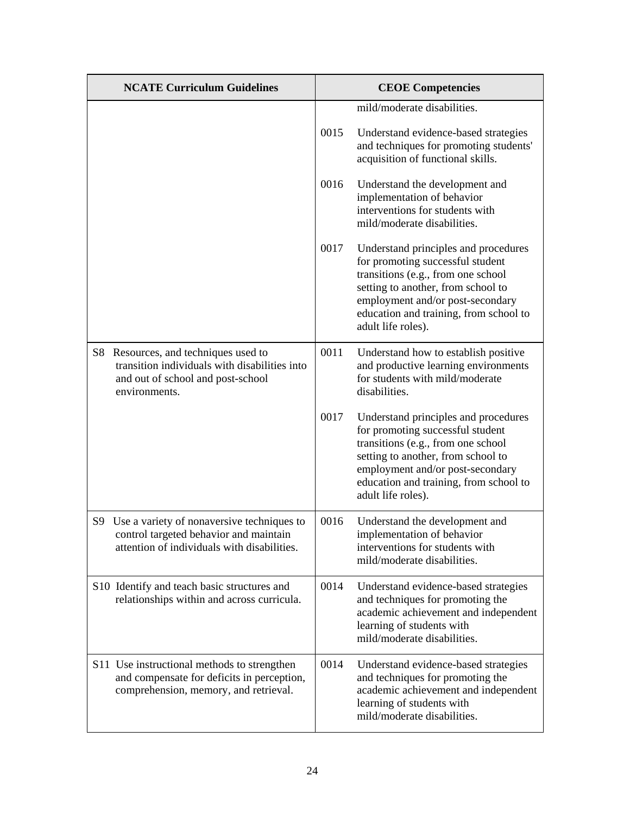| <b>NCATE Curriculum Guidelines</b>                                                                                                             | <b>CEOE Competencies</b>                                                                                                                                                                                                                                         |
|------------------------------------------------------------------------------------------------------------------------------------------------|------------------------------------------------------------------------------------------------------------------------------------------------------------------------------------------------------------------------------------------------------------------|
|                                                                                                                                                | mild/moderate disabilities.                                                                                                                                                                                                                                      |
|                                                                                                                                                | 0015<br>Understand evidence-based strategies<br>and techniques for promoting students'<br>acquisition of functional skills.                                                                                                                                      |
|                                                                                                                                                | 0016<br>Understand the development and<br>implementation of behavior<br>interventions for students with<br>mild/moderate disabilities.                                                                                                                           |
|                                                                                                                                                | 0017<br>Understand principles and procedures<br>for promoting successful student<br>transitions (e.g., from one school<br>setting to another, from school to<br>employment and/or post-secondary<br>education and training, from school to<br>adult life roles). |
| Resources, and techniques used to<br>S8<br>transition individuals with disabilities into<br>and out of school and post-school<br>environments. | 0011<br>Understand how to establish positive<br>and productive learning environments<br>for students with mild/moderate<br>disabilities.                                                                                                                         |
|                                                                                                                                                | 0017<br>Understand principles and procedures<br>for promoting successful student<br>transitions (e.g., from one school<br>setting to another, from school to<br>employment and/or post-secondary<br>education and training, from school to<br>adult life roles). |
| S9 Use a variety of nonaversive techniques to<br>control targeted behavior and maintain<br>attention of individuals with disabilities.         | 0016<br>Understand the development and<br>implementation of behavior<br>interventions for students with<br>mild/moderate disabilities.                                                                                                                           |
| S10 Identify and teach basic structures and<br>relationships within and across curricula.                                                      | 0014<br>Understand evidence-based strategies<br>and techniques for promoting the<br>academic achievement and independent<br>learning of students with<br>mild/moderate disabilities.                                                                             |
| S11 Use instructional methods to strengthen<br>and compensate for deficits in perception,<br>comprehension, memory, and retrieval.             | 0014<br>Understand evidence-based strategies<br>and techniques for promoting the<br>academic achievement and independent<br>learning of students with<br>mild/moderate disabilities.                                                                             |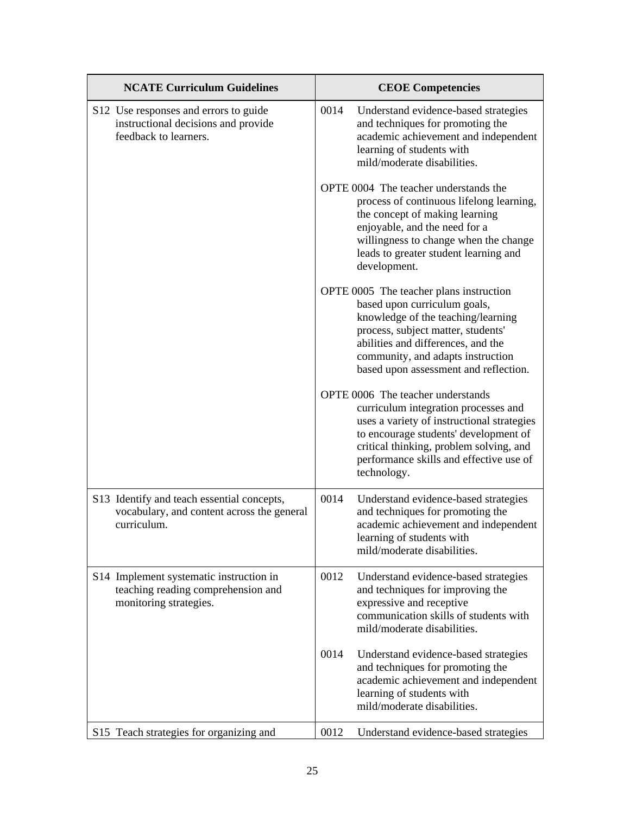| <b>NCATE Curriculum Guidelines</b>                                                                      | <b>CEOE Competencies</b>                                                                                                                                                                                                                                                |
|---------------------------------------------------------------------------------------------------------|-------------------------------------------------------------------------------------------------------------------------------------------------------------------------------------------------------------------------------------------------------------------------|
| S12 Use responses and errors to guide<br>instructional decisions and provide<br>feedback to learners.   | 0014<br>Understand evidence-based strategies<br>and techniques for promoting the<br>academic achievement and independent<br>learning of students with<br>mild/moderate disabilities.                                                                                    |
|                                                                                                         | OPTE 0004 The teacher understands the<br>process of continuous lifelong learning,<br>the concept of making learning<br>enjoyable, and the need for a<br>willingness to change when the change<br>leads to greater student learning and<br>development.                  |
|                                                                                                         | OPTE 0005 The teacher plans instruction<br>based upon curriculum goals,<br>knowledge of the teaching/learning<br>process, subject matter, students'<br>abilities and differences, and the<br>community, and adapts instruction<br>based upon assessment and reflection. |
|                                                                                                         | OPTE 0006 The teacher understands<br>curriculum integration processes and<br>uses a variety of instructional strategies<br>to encourage students' development of<br>critical thinking, problem solving, and<br>performance skills and effective use of<br>technology.   |
| S13 Identify and teach essential concepts,<br>vocabulary, and content across the general<br>curriculum. | 0014<br>Understand evidence-based strategies<br>and techniques for promoting the<br>academic achievement and independent<br>learning of students with<br>mild/moderate disabilities.                                                                                    |
| S14 Implement systematic instruction in<br>teaching reading comprehension and<br>monitoring strategies. | 0012<br>Understand evidence-based strategies<br>and techniques for improving the<br>expressive and receptive<br>communication skills of students with<br>mild/moderate disabilities.                                                                                    |
|                                                                                                         | 0014<br>Understand evidence-based strategies<br>and techniques for promoting the<br>academic achievement and independent<br>learning of students with<br>mild/moderate disabilities.                                                                                    |
| S15 Teach strategies for organizing and                                                                 | 0012<br>Understand evidence-based strategies                                                                                                                                                                                                                            |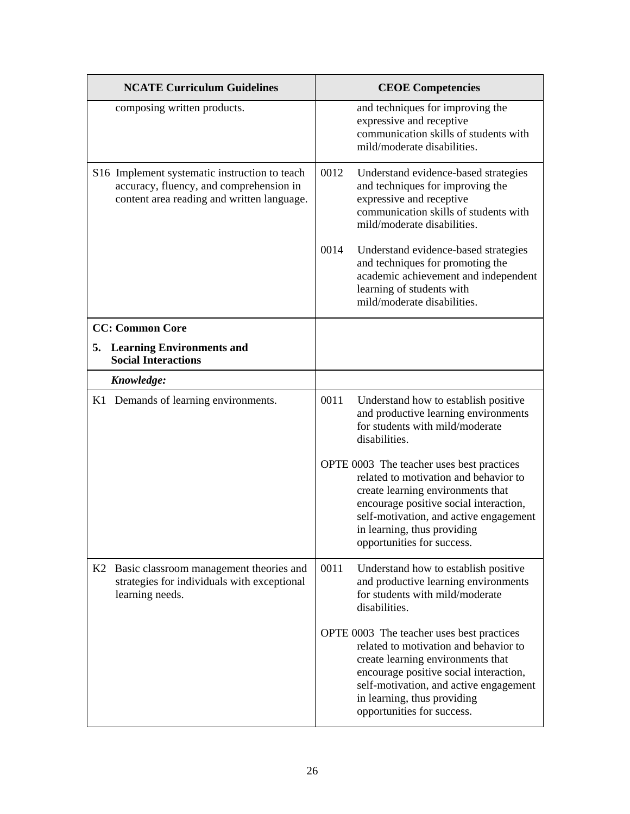| <b>NCATE Curriculum Guidelines</b>                                                                                                     | <b>CEOE Competencies</b>                                                                                                                                                                                                                                                 |
|----------------------------------------------------------------------------------------------------------------------------------------|--------------------------------------------------------------------------------------------------------------------------------------------------------------------------------------------------------------------------------------------------------------------------|
| composing written products.                                                                                                            | and techniques for improving the<br>expressive and receptive<br>communication skills of students with<br>mild/moderate disabilities.                                                                                                                                     |
| S16 Implement systematic instruction to teach<br>accuracy, fluency, and comprehension in<br>content area reading and written language. | 0012<br>Understand evidence-based strategies<br>and techniques for improving the<br>expressive and receptive<br>communication skills of students with<br>mild/moderate disabilities.                                                                                     |
|                                                                                                                                        | 0014<br>Understand evidence-based strategies<br>and techniques for promoting the<br>academic achievement and independent<br>learning of students with<br>mild/moderate disabilities.                                                                                     |
| <b>CC: Common Core</b>                                                                                                                 |                                                                                                                                                                                                                                                                          |
| 5. Learning Environments and<br><b>Social Interactions</b>                                                                             |                                                                                                                                                                                                                                                                          |
| Knowledge:                                                                                                                             |                                                                                                                                                                                                                                                                          |
| K1 Demands of learning environments.                                                                                                   | 0011<br>Understand how to establish positive<br>and productive learning environments<br>for students with mild/moderate<br>disabilities.                                                                                                                                 |
|                                                                                                                                        | OPTE 0003 The teacher uses best practices<br>related to motivation and behavior to<br>create learning environments that<br>encourage positive social interaction,<br>self-motivation, and active engagement<br>in learning, thus providing<br>opportunities for success. |
| Basic classroom management theories and<br>K2<br>strategies for individuals with exceptional<br>learning needs.                        | 0011<br>Understand how to establish positive<br>and productive learning environments<br>for students with mild/moderate<br>disabilities.                                                                                                                                 |
|                                                                                                                                        | OPTE 0003 The teacher uses best practices<br>related to motivation and behavior to<br>create learning environments that<br>encourage positive social interaction,<br>self-motivation, and active engagement<br>in learning, thus providing<br>opportunities for success. |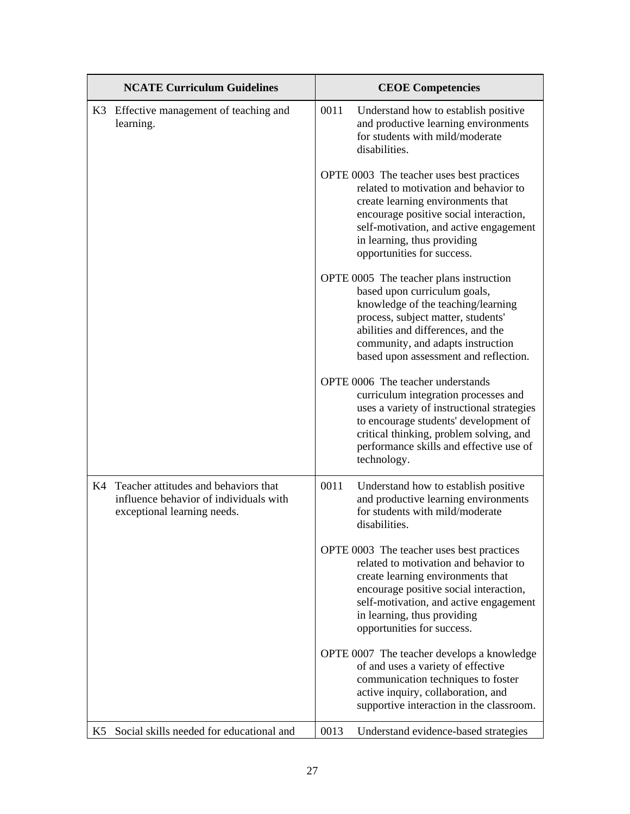|    | <b>NCATE Curriculum Guidelines</b>                                                                               | <b>CEOE Competencies</b>                                                                                                                                                                                                                                                 |
|----|------------------------------------------------------------------------------------------------------------------|--------------------------------------------------------------------------------------------------------------------------------------------------------------------------------------------------------------------------------------------------------------------------|
|    | K3 Effective management of teaching and<br>learning.                                                             | 0011<br>Understand how to establish positive<br>and productive learning environments<br>for students with mild/moderate<br>disabilities.                                                                                                                                 |
|    |                                                                                                                  | OPTE 0003 The teacher uses best practices<br>related to motivation and behavior to<br>create learning environments that<br>encourage positive social interaction,<br>self-motivation, and active engagement<br>in learning, thus providing<br>opportunities for success. |
|    |                                                                                                                  | OPTE 0005 The teacher plans instruction<br>based upon curriculum goals,<br>knowledge of the teaching/learning<br>process, subject matter, students'<br>abilities and differences, and the<br>community, and adapts instruction<br>based upon assessment and reflection.  |
|    |                                                                                                                  | OPTE 0006 The teacher understands<br>curriculum integration processes and<br>uses a variety of instructional strategies<br>to encourage students' development of<br>critical thinking, problem solving, and<br>performance skills and effective use of<br>technology.    |
|    | K4 Teacher attitudes and behaviors that<br>influence behavior of individuals with<br>exceptional learning needs. | 0011<br>Understand how to establish positive<br>and productive learning environments<br>for students with mild/moderate<br>disabilities.                                                                                                                                 |
|    |                                                                                                                  | OPTE 0003 The teacher uses best practices<br>related to motivation and behavior to<br>create learning environments that<br>encourage positive social interaction,<br>self-motivation, and active engagement<br>in learning, thus providing<br>opportunities for success. |
|    |                                                                                                                  | OPTE 0007 The teacher develops a knowledge<br>of and uses a variety of effective<br>communication techniques to foster<br>active inquiry, collaboration, and<br>supportive interaction in the classroom.                                                                 |
| K5 | Social skills needed for educational and                                                                         | 0013<br>Understand evidence-based strategies                                                                                                                                                                                                                             |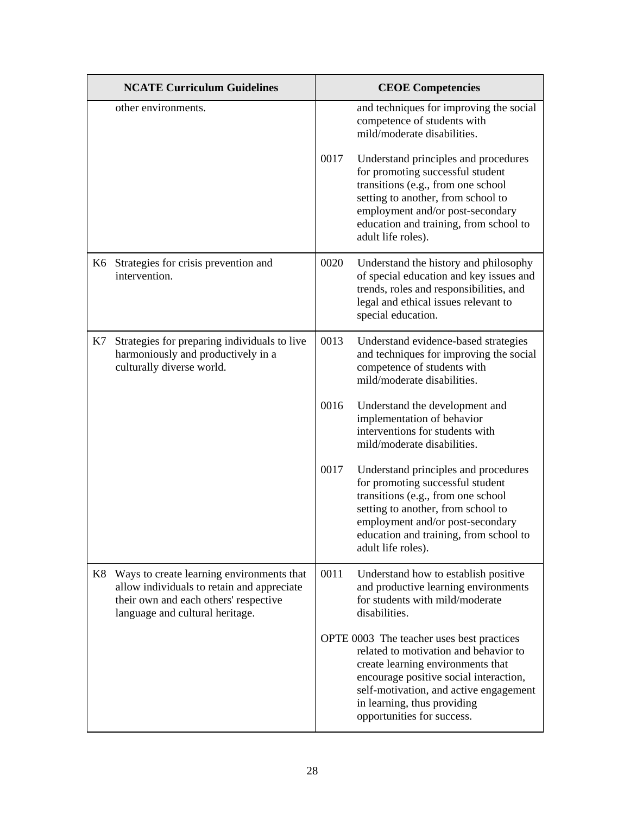|    | <b>NCATE Curriculum Guidelines</b>                                                                                                                                  |      | <b>CEOE Competencies</b>                                                                                                                                                                                                                                                 |
|----|---------------------------------------------------------------------------------------------------------------------------------------------------------------------|------|--------------------------------------------------------------------------------------------------------------------------------------------------------------------------------------------------------------------------------------------------------------------------|
|    | other environments.                                                                                                                                                 |      | and techniques for improving the social<br>competence of students with<br>mild/moderate disabilities.                                                                                                                                                                    |
|    |                                                                                                                                                                     | 0017 | Understand principles and procedures<br>for promoting successful student<br>transitions (e.g., from one school<br>setting to another, from school to<br>employment and/or post-secondary<br>education and training, from school to<br>adult life roles).                 |
|    | K6 Strategies for crisis prevention and<br>intervention.                                                                                                            | 0020 | Understand the history and philosophy<br>of special education and key issues and<br>trends, roles and responsibilities, and<br>legal and ethical issues relevant to<br>special education.                                                                                |
| K7 | Strategies for preparing individuals to live<br>harmoniously and productively in a<br>culturally diverse world.                                                     | 0013 | Understand evidence-based strategies<br>and techniques for improving the social<br>competence of students with<br>mild/moderate disabilities.                                                                                                                            |
|    |                                                                                                                                                                     | 0016 | Understand the development and<br>implementation of behavior<br>interventions for students with<br>mild/moderate disabilities.                                                                                                                                           |
|    |                                                                                                                                                                     | 0017 | Understand principles and procedures<br>for promoting successful student<br>transitions (e.g., from one school<br>setting to another, from school to<br>employment and/or post-secondary<br>education and training, from school to<br>adult life roles).                 |
| K8 | Ways to create learning environments that<br>allow individuals to retain and appreciate<br>their own and each others' respective<br>language and cultural heritage. | 0011 | Understand how to establish positive<br>and productive learning environments<br>for students with mild/moderate<br>disabilities.                                                                                                                                         |
|    |                                                                                                                                                                     |      | OPTE 0003 The teacher uses best practices<br>related to motivation and behavior to<br>create learning environments that<br>encourage positive social interaction,<br>self-motivation, and active engagement<br>in learning, thus providing<br>opportunities for success. |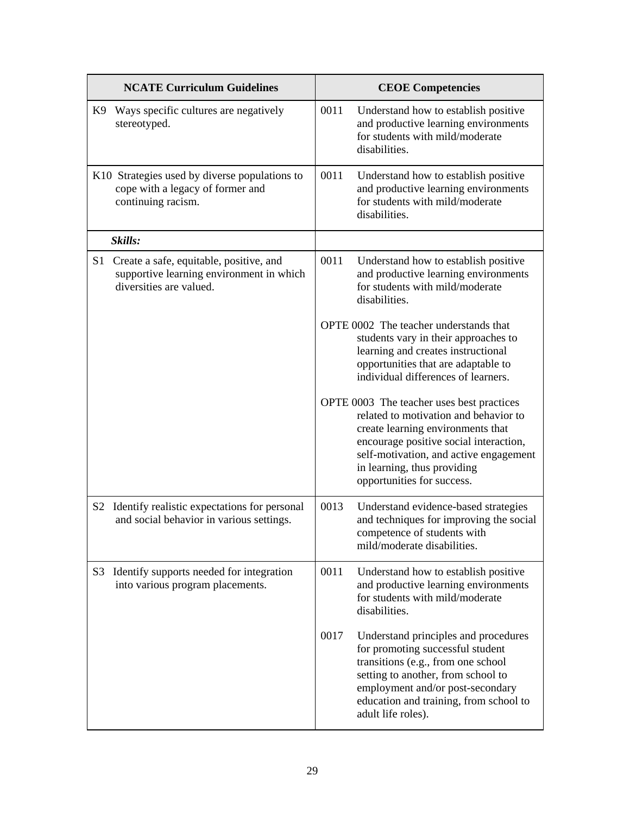|                | <b>NCATE Curriculum Guidelines</b>                                                                             |      | <b>CEOE Competencies</b>                                                                                                                                                                                                                                                 |
|----------------|----------------------------------------------------------------------------------------------------------------|------|--------------------------------------------------------------------------------------------------------------------------------------------------------------------------------------------------------------------------------------------------------------------------|
|                | K9 Ways specific cultures are negatively<br>stereotyped.                                                       | 0011 | Understand how to establish positive<br>and productive learning environments<br>for students with mild/moderate<br>disabilities.                                                                                                                                         |
|                | K10 Strategies used by diverse populations to<br>cope with a legacy of former and<br>continuing racism.        | 0011 | Understand how to establish positive<br>and productive learning environments<br>for students with mild/moderate<br>disabilities.                                                                                                                                         |
|                | Skills:                                                                                                        |      |                                                                                                                                                                                                                                                                          |
| S1             | Create a safe, equitable, positive, and<br>supportive learning environment in which<br>diversities are valued. | 0011 | Understand how to establish positive<br>and productive learning environments<br>for students with mild/moderate<br>disabilities.                                                                                                                                         |
|                |                                                                                                                |      | OPTE 0002 The teacher understands that<br>students vary in their approaches to<br>learning and creates instructional<br>opportunities that are adaptable to<br>individual differences of learners.                                                                       |
|                |                                                                                                                |      | OPTE 0003 The teacher uses best practices<br>related to motivation and behavior to<br>create learning environments that<br>encourage positive social interaction,<br>self-motivation, and active engagement<br>in learning, thus providing<br>opportunities for success. |
| S <sub>2</sub> | Identify realistic expectations for personal<br>and social behavior in various settings.                       | 0013 | Understand evidence-based strategies<br>and techniques for improving the social<br>competence of students with<br>mild/moderate disabilities.                                                                                                                            |
|                | S3 Identify supports needed for integration<br>into various program placements.                                | 0011 | Understand how to establish positive<br>and productive learning environments<br>for students with mild/moderate<br>disabilities.                                                                                                                                         |
|                |                                                                                                                | 0017 | Understand principles and procedures<br>for promoting successful student<br>transitions (e.g., from one school<br>setting to another, from school to<br>employment and/or post-secondary<br>education and training, from school to<br>adult life roles).                 |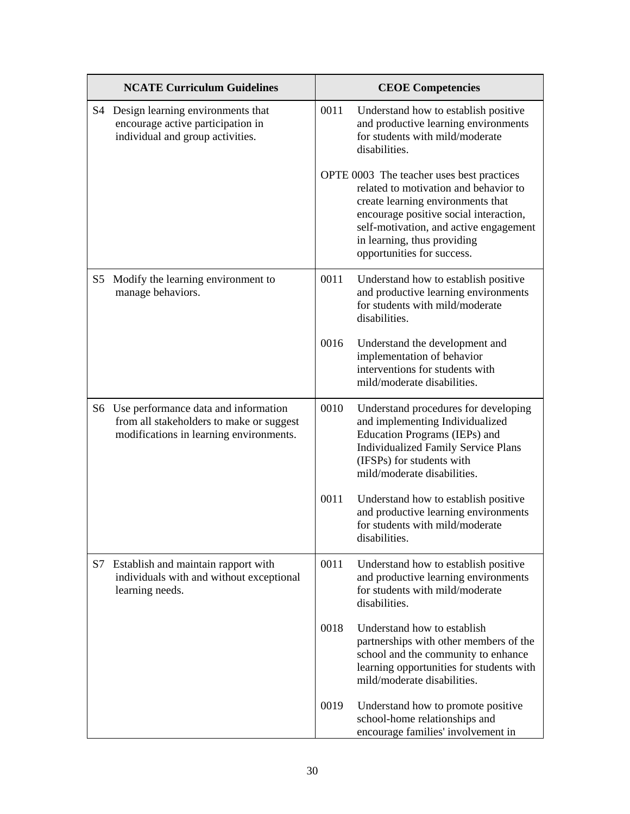|    | <b>NCATE Curriculum Guidelines</b>                                                                                             |      | <b>CEOE Competencies</b>                                                                                                                                                                                                                                                 |
|----|--------------------------------------------------------------------------------------------------------------------------------|------|--------------------------------------------------------------------------------------------------------------------------------------------------------------------------------------------------------------------------------------------------------------------------|
|    | S4 Design learning environments that<br>encourage active participation in<br>individual and group activities.                  | 0011 | Understand how to establish positive<br>and productive learning environments<br>for students with mild/moderate<br>disabilities.                                                                                                                                         |
|    |                                                                                                                                |      | OPTE 0003 The teacher uses best practices<br>related to motivation and behavior to<br>create learning environments that<br>encourage positive social interaction,<br>self-motivation, and active engagement<br>in learning, thus providing<br>opportunities for success. |
| S5 | Modify the learning environment to<br>manage behaviors.                                                                        | 0011 | Understand how to establish positive<br>and productive learning environments<br>for students with mild/moderate<br>disabilities.                                                                                                                                         |
|    |                                                                                                                                | 0016 | Understand the development and<br>implementation of behavior<br>interventions for students with<br>mild/moderate disabilities.                                                                                                                                           |
|    | S6 Use performance data and information<br>from all stakeholders to make or suggest<br>modifications in learning environments. | 0010 | Understand procedures for developing<br>and implementing Individualized<br>Education Programs (IEPs) and<br><b>Individualized Family Service Plans</b><br>(IFSPs) for students with<br>mild/moderate disabilities.                                                       |
|    |                                                                                                                                | 0011 | Understand how to establish positive<br>and productive learning environments<br>for students with mild/moderate<br>disabilities.                                                                                                                                         |
| S7 | Establish and maintain rapport with<br>individuals with and without exceptional<br>learning needs.                             | 0011 | Understand how to establish positive<br>and productive learning environments<br>for students with mild/moderate<br>disabilities.                                                                                                                                         |
|    |                                                                                                                                | 0018 | Understand how to establish<br>partnerships with other members of the<br>school and the community to enhance<br>learning opportunities for students with<br>mild/moderate disabilities.                                                                                  |
|    |                                                                                                                                | 0019 | Understand how to promote positive<br>school-home relationships and<br>encourage families' involvement in                                                                                                                                                                |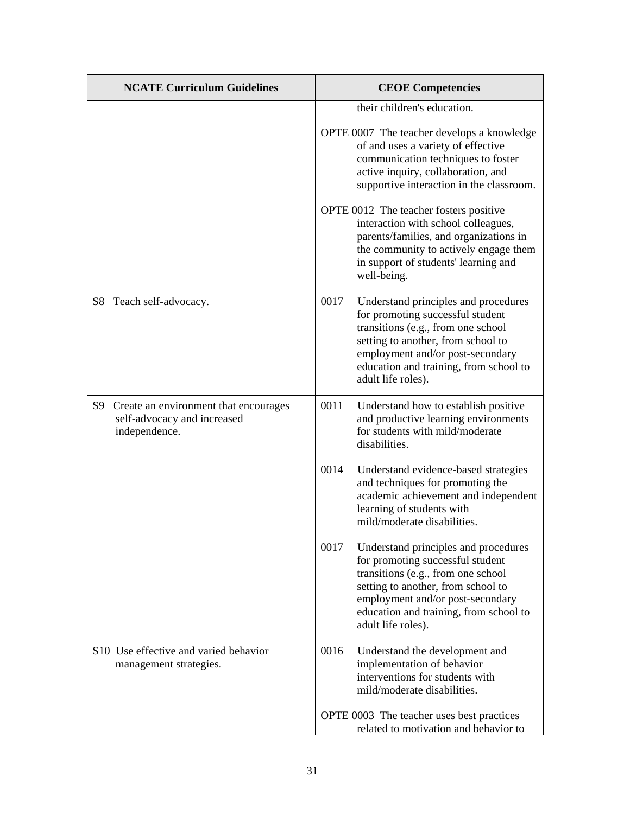| <b>NCATE Curriculum Guidelines</b>                                                       |      | <b>CEOE Competencies</b>                                                                                                                                                                                                                                 |
|------------------------------------------------------------------------------------------|------|----------------------------------------------------------------------------------------------------------------------------------------------------------------------------------------------------------------------------------------------------------|
|                                                                                          |      | their children's education.<br>OPTE 0007 The teacher develops a knowledge<br>of and uses a variety of effective<br>communication techniques to foster<br>active inquiry, collaboration, and<br>supportive interaction in the classroom.                  |
|                                                                                          |      | OPTE 0012 The teacher fosters positive<br>interaction with school colleagues,<br>parents/families, and organizations in<br>the community to actively engage them<br>in support of students' learning and<br>well-being.                                  |
| S8 Teach self-advocacy.                                                                  | 0017 | Understand principles and procedures<br>for promoting successful student<br>transitions (e.g., from one school<br>setting to another, from school to<br>employment and/or post-secondary<br>education and training, from school to<br>adult life roles). |
| S9 Create an environment that encourages<br>self-advocacy and increased<br>independence. | 0011 | Understand how to establish positive<br>and productive learning environments<br>for students with mild/moderate<br>disabilities.                                                                                                                         |
|                                                                                          | 0014 | Understand evidence-based strategies<br>and techniques for promoting the<br>academic achievement and independent<br>learning of students with<br>mild/moderate disabilities.                                                                             |
|                                                                                          | 0017 | Understand principles and procedures<br>for promoting successful student<br>transitions (e.g., from one school<br>setting to another, from school to<br>employment and/or post-secondary<br>education and training, from school to<br>adult life roles). |
| S <sub>10</sub> Use effective and varied behavior<br>management strategies.              | 0016 | Understand the development and<br>implementation of behavior<br>interventions for students with<br>mild/moderate disabilities.                                                                                                                           |
|                                                                                          |      | OPTE 0003 The teacher uses best practices<br>related to motivation and behavior to                                                                                                                                                                       |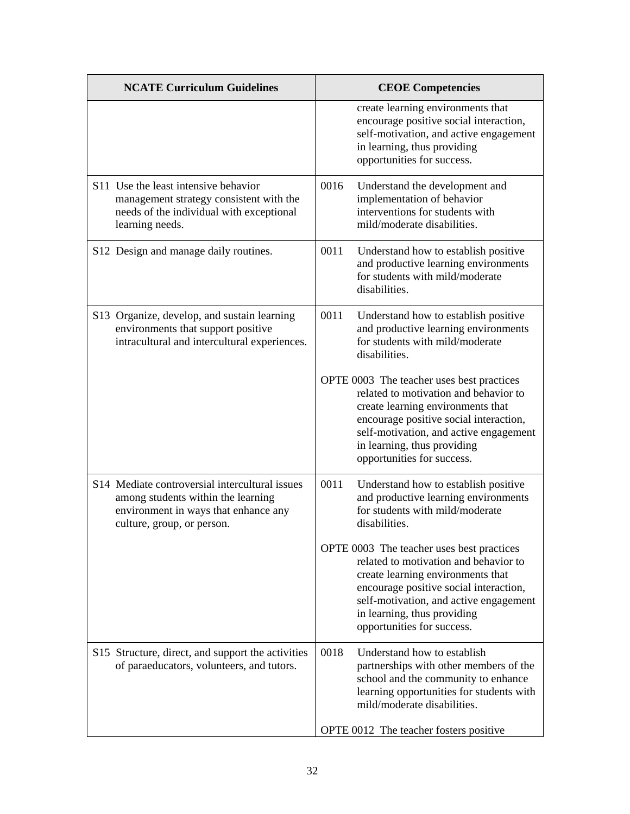| <b>NCATE Curriculum Guidelines</b>                                                                                                                         | <b>CEOE</b> Competencies                                                                                                                                                                                                                                                 |
|------------------------------------------------------------------------------------------------------------------------------------------------------------|--------------------------------------------------------------------------------------------------------------------------------------------------------------------------------------------------------------------------------------------------------------------------|
|                                                                                                                                                            | create learning environments that<br>encourage positive social interaction,<br>self-motivation, and active engagement<br>in learning, thus providing<br>opportunities for success.                                                                                       |
| S11 Use the least intensive behavior<br>management strategy consistent with the<br>needs of the individual with exceptional<br>learning needs.             | 0016<br>Understand the development and<br>implementation of behavior<br>interventions for students with<br>mild/moderate disabilities.                                                                                                                                   |
| S12 Design and manage daily routines.                                                                                                                      | 0011<br>Understand how to establish positive<br>and productive learning environments<br>for students with mild/moderate<br>disabilities.                                                                                                                                 |
| S13 Organize, develop, and sustain learning<br>environments that support positive<br>intracultural and intercultural experiences.                          | 0011<br>Understand how to establish positive<br>and productive learning environments<br>for students with mild/moderate<br>disabilities.                                                                                                                                 |
|                                                                                                                                                            | OPTE 0003 The teacher uses best practices<br>related to motivation and behavior to<br>create learning environments that<br>encourage positive social interaction,<br>self-motivation, and active engagement<br>in learning, thus providing<br>opportunities for success. |
| S14 Mediate controversial intercultural issues<br>among students within the learning<br>environment in ways that enhance any<br>culture, group, or person. | 0011<br>Understand how to establish positive<br>and productive learning environments<br>for students with mild/moderate<br>disabilities.                                                                                                                                 |
|                                                                                                                                                            | OPTE 0003 The teacher uses best practices<br>related to motivation and behavior to<br>create learning environments that<br>encourage positive social interaction,<br>self-motivation, and active engagement<br>in learning, thus providing<br>opportunities for success. |
| S15 Structure, direct, and support the activities<br>of paraeducators, volunteers, and tutors.                                                             | Understand how to establish<br>0018<br>partnerships with other members of the<br>school and the community to enhance<br>learning opportunities for students with<br>mild/moderate disabilities.                                                                          |
|                                                                                                                                                            | OPTE 0012 The teacher fosters positive                                                                                                                                                                                                                                   |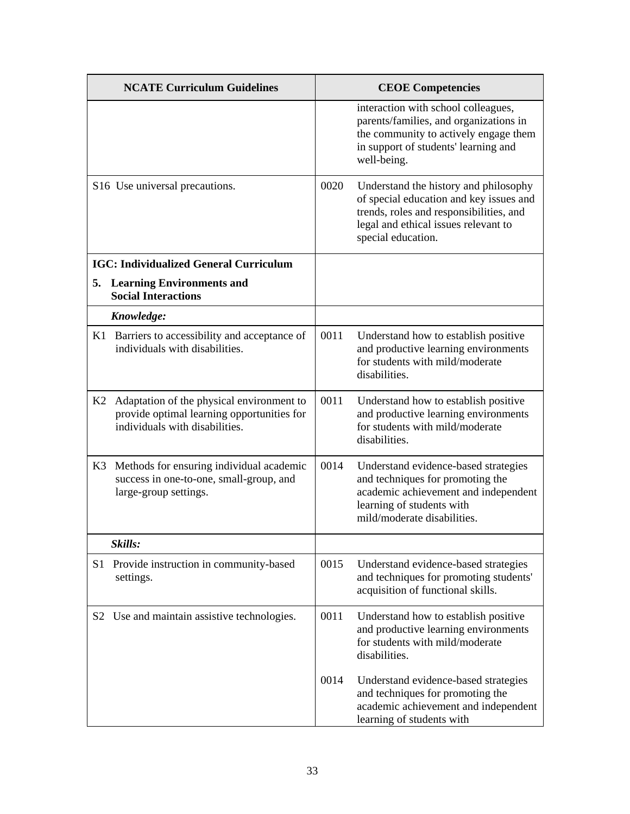|                | <b>NCATE Curriculum Guidelines</b>                                                                                        |      | <b>CEOE Competencies</b>                                                                                                                                                                  |
|----------------|---------------------------------------------------------------------------------------------------------------------------|------|-------------------------------------------------------------------------------------------------------------------------------------------------------------------------------------------|
|                |                                                                                                                           |      | interaction with school colleagues,<br>parents/families, and organizations in<br>the community to actively engage them<br>in support of students' learning and<br>well-being.             |
|                | S16 Use universal precautions.                                                                                            | 0020 | Understand the history and philosophy<br>of special education and key issues and<br>trends, roles and responsibilities, and<br>legal and ethical issues relevant to<br>special education. |
|                | <b>IGC: Individualized General Curriculum</b>                                                                             |      |                                                                                                                                                                                           |
|                | 5. Learning Environments and<br><b>Social Interactions</b>                                                                |      |                                                                                                                                                                                           |
|                | Knowledge:                                                                                                                |      |                                                                                                                                                                                           |
|                | K1 Barriers to accessibility and acceptance of<br>individuals with disabilities.                                          | 0011 | Understand how to establish positive<br>and productive learning environments<br>for students with mild/moderate<br>disabilities.                                                          |
| K2             | Adaptation of the physical environment to<br>provide optimal learning opportunities for<br>individuals with disabilities. | 0011 | Understand how to establish positive<br>and productive learning environments<br>for students with mild/moderate<br>disabilities.                                                          |
| K3             | Methods for ensuring individual academic<br>success in one-to-one, small-group, and<br>large-group settings.              | 0014 | Understand evidence-based strategies<br>and techniques for promoting the<br>academic achievement and independent<br>learning of students with<br>mild/moderate disabilities.              |
|                | Skills:                                                                                                                   |      |                                                                                                                                                                                           |
| S1             | Provide instruction in community-based<br>settings.                                                                       | 0015 | Understand evidence-based strategies<br>and techniques for promoting students'<br>acquisition of functional skills.                                                                       |
| S <sub>2</sub> | Use and maintain assistive technologies.                                                                                  | 0011 | Understand how to establish positive<br>and productive learning environments<br>for students with mild/moderate<br>disabilities.                                                          |
|                |                                                                                                                           | 0014 | Understand evidence-based strategies<br>and techniques for promoting the<br>academic achievement and independent<br>learning of students with                                             |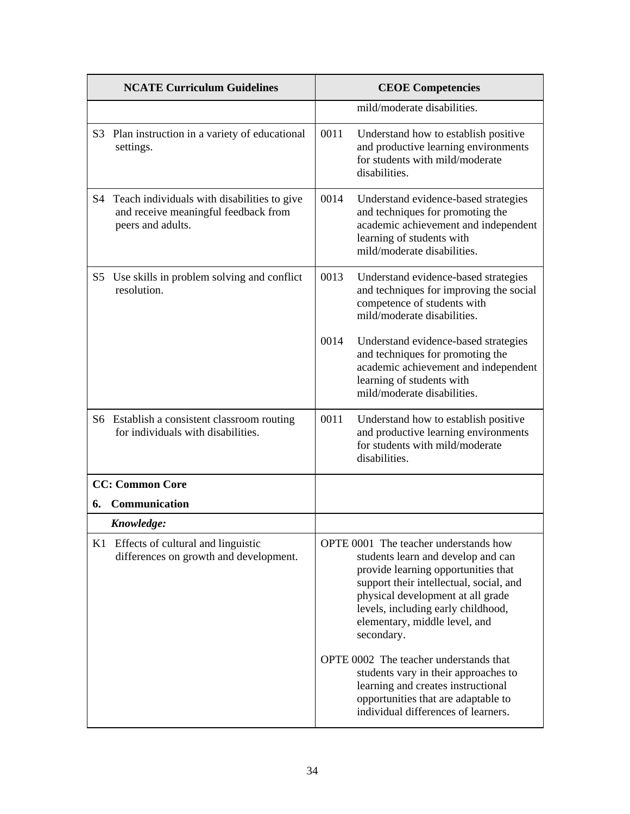|    | <b>NCATE Curriculum Guidelines</b>                                                                       |      | <b>CEOE Competencies</b>                                                                                                                                                                                                                                                                |
|----|----------------------------------------------------------------------------------------------------------|------|-----------------------------------------------------------------------------------------------------------------------------------------------------------------------------------------------------------------------------------------------------------------------------------------|
|    |                                                                                                          |      | mild/moderate disabilities.                                                                                                                                                                                                                                                             |
|    | S3 Plan instruction in a variety of educational<br>settings.                                             | 0011 | Understand how to establish positive<br>and productive learning environments<br>for students with mild/moderate<br>disabilities.                                                                                                                                                        |
| S4 | Teach individuals with disabilities to give<br>and receive meaningful feedback from<br>peers and adults. | 0014 | Understand evidence-based strategies<br>and techniques for promoting the<br>academic achievement and independent<br>learning of students with<br>mild/moderate disabilities.                                                                                                            |
|    | S5 Use skills in problem solving and conflict<br>resolution.                                             | 0013 | Understand evidence-based strategies<br>and techniques for improving the social<br>competence of students with<br>mild/moderate disabilities.                                                                                                                                           |
|    |                                                                                                          | 0014 | Understand evidence-based strategies<br>and techniques for promoting the<br>academic achievement and independent<br>learning of students with<br>mild/moderate disabilities.                                                                                                            |
|    | S6 Establish a consistent classroom routing<br>for individuals with disabilities.                        | 0011 | Understand how to establish positive<br>and productive learning environments<br>for students with mild/moderate<br>disabilities.                                                                                                                                                        |
|    | <b>CC: Common Core</b>                                                                                   |      |                                                                                                                                                                                                                                                                                         |
|    | 6. Communication                                                                                         |      |                                                                                                                                                                                                                                                                                         |
|    | Knowledge:                                                                                               |      |                                                                                                                                                                                                                                                                                         |
|    | K1 Effects of cultural and linguistic<br>differences on growth and development.                          |      | OPTE 0001 The teacher understands how<br>students learn and develop and can<br>provide learning opportunities that<br>support their intellectual, social, and<br>physical development at all grade<br>levels, including early childhood,<br>elementary, middle level, and<br>secondary. |
|    |                                                                                                          |      | OPTE 0002 The teacher understands that<br>students vary in their approaches to<br>learning and creates instructional<br>opportunities that are adaptable to<br>individual differences of learners.                                                                                      |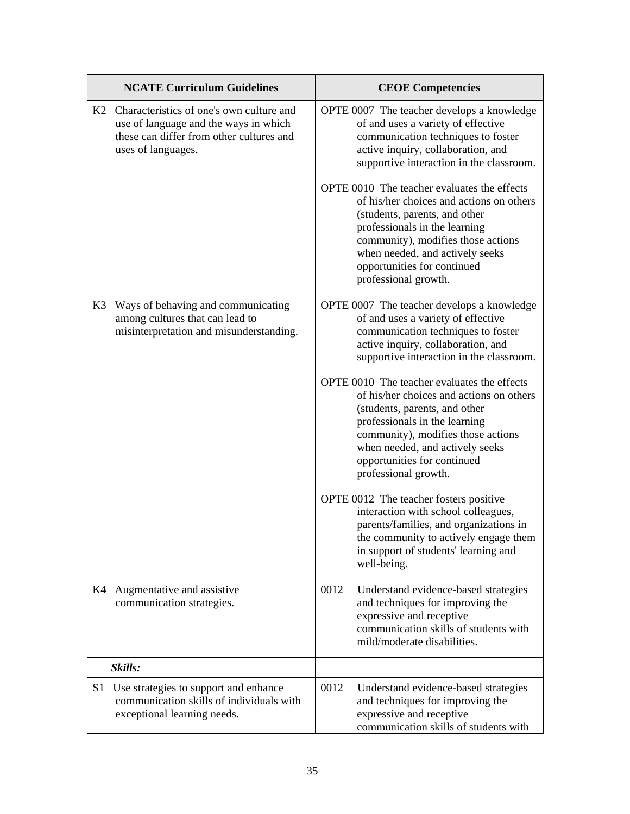|    | <b>NCATE Curriculum Guidelines</b>                                                                                                                     | <b>CEOE Competencies</b>                                                                                                                                                                                                                                                                  |
|----|--------------------------------------------------------------------------------------------------------------------------------------------------------|-------------------------------------------------------------------------------------------------------------------------------------------------------------------------------------------------------------------------------------------------------------------------------------------|
|    | K2 Characteristics of one's own culture and<br>use of language and the ways in which<br>these can differ from other cultures and<br>uses of languages. | OPTE 0007 The teacher develops a knowledge<br>of and uses a variety of effective<br>communication techniques to foster<br>active inquiry, collaboration, and<br>supportive interaction in the classroom.                                                                                  |
|    |                                                                                                                                                        | OPTE 0010 The teacher evaluates the effects<br>of his/her choices and actions on others<br>(students, parents, and other<br>professionals in the learning<br>community), modifies those actions<br>when needed, and actively seeks<br>opportunities for continued<br>professional growth. |
| K3 | Ways of behaving and communicating<br>among cultures that can lead to<br>misinterpretation and misunderstanding.                                       | OPTE 0007 The teacher develops a knowledge<br>of and uses a variety of effective<br>communication techniques to foster<br>active inquiry, collaboration, and<br>supportive interaction in the classroom.                                                                                  |
|    |                                                                                                                                                        | OPTE 0010 The teacher evaluates the effects<br>of his/her choices and actions on others<br>(students, parents, and other<br>professionals in the learning<br>community), modifies those actions<br>when needed, and actively seeks<br>opportunities for continued<br>professional growth. |
|    |                                                                                                                                                        | OPTE 0012 The teacher fosters positive<br>interaction with school colleagues,<br>parents/families, and organizations in<br>the community to actively engage them<br>in support of students' learning and<br>well-being.                                                                   |
| K4 | Augmentative and assistive<br>communication strategies.                                                                                                | 0012<br>Understand evidence-based strategies<br>and techniques for improving the<br>expressive and receptive<br>communication skills of students with<br>mild/moderate disabilities.                                                                                                      |
|    | Skills:                                                                                                                                                |                                                                                                                                                                                                                                                                                           |
| S1 | Use strategies to support and enhance<br>communication skills of individuals with<br>exceptional learning needs.                                       | 0012<br>Understand evidence-based strategies<br>and techniques for improving the<br>expressive and receptive<br>communication skills of students with                                                                                                                                     |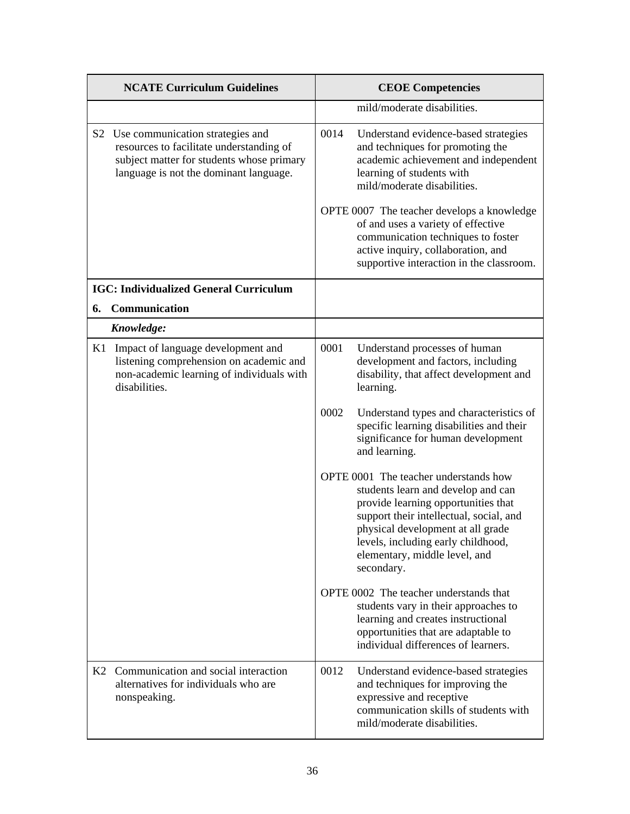|    | <b>NCATE Curriculum Guidelines</b>                                                                                                                                  | <b>CEOE Competencies</b>                                                                                                                                                                                                                                                                |  |
|----|---------------------------------------------------------------------------------------------------------------------------------------------------------------------|-----------------------------------------------------------------------------------------------------------------------------------------------------------------------------------------------------------------------------------------------------------------------------------------|--|
|    |                                                                                                                                                                     | mild/moderate disabilities.                                                                                                                                                                                                                                                             |  |
| S2 | Use communication strategies and<br>resources to facilitate understanding of<br>subject matter for students whose primary<br>language is not the dominant language. | 0014<br>Understand evidence-based strategies<br>and techniques for promoting the<br>academic achievement and independent<br>learning of students with<br>mild/moderate disabilities.                                                                                                    |  |
|    |                                                                                                                                                                     | OPTE 0007 The teacher develops a knowledge<br>of and uses a variety of effective<br>communication techniques to foster<br>active inquiry, collaboration, and<br>supportive interaction in the classroom.                                                                                |  |
|    | <b>IGC: Individualized General Curriculum</b>                                                                                                                       |                                                                                                                                                                                                                                                                                         |  |
| 6. | Communication                                                                                                                                                       |                                                                                                                                                                                                                                                                                         |  |
|    | Knowledge:                                                                                                                                                          |                                                                                                                                                                                                                                                                                         |  |
| K1 | Impact of language development and<br>listening comprehension on academic and<br>non-academic learning of individuals with<br>disabilities.                         | 0001<br>Understand processes of human<br>development and factors, including<br>disability, that affect development and<br>learning.                                                                                                                                                     |  |
|    |                                                                                                                                                                     | 0002<br>Understand types and characteristics of<br>specific learning disabilities and their<br>significance for human development<br>and learning.                                                                                                                                      |  |
|    |                                                                                                                                                                     | OPTE 0001 The teacher understands how<br>students learn and develop and can<br>provide learning opportunities that<br>support their intellectual, social, and<br>physical development at all grade<br>levels, including early childhood,<br>elementary, middle level, and<br>secondary. |  |
|    |                                                                                                                                                                     | OPTE 0002 The teacher understands that<br>students vary in their approaches to<br>learning and creates instructional<br>opportunities that are adaptable to<br>individual differences of learners.                                                                                      |  |
|    | K2 Communication and social interaction<br>alternatives for individuals who are<br>nonspeaking.                                                                     | 0012<br>Understand evidence-based strategies<br>and techniques for improving the<br>expressive and receptive<br>communication skills of students with<br>mild/moderate disabilities.                                                                                                    |  |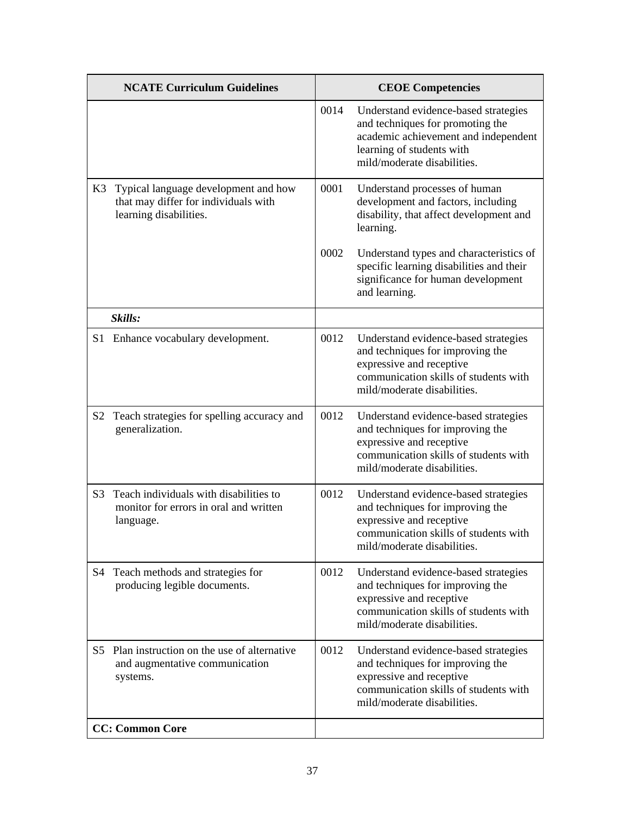| <b>NCATE Curriculum Guidelines</b> |                                                                                                        | <b>CEOE Competencies</b> |                                                                                                                                                                              |
|------------------------------------|--------------------------------------------------------------------------------------------------------|--------------------------|------------------------------------------------------------------------------------------------------------------------------------------------------------------------------|
|                                    |                                                                                                        | 0014                     | Understand evidence-based strategies<br>and techniques for promoting the<br>academic achievement and independent<br>learning of students with<br>mild/moderate disabilities. |
| K3                                 | Typical language development and how<br>that may differ for individuals with<br>learning disabilities. | 0001                     | Understand processes of human<br>development and factors, including<br>disability, that affect development and<br>learning.                                                  |
|                                    |                                                                                                        | 0002                     | Understand types and characteristics of<br>specific learning disabilities and their<br>significance for human development<br>and learning.                                   |
|                                    | Skills:                                                                                                |                          |                                                                                                                                                                              |
| S <sub>1</sub>                     | Enhance vocabulary development.                                                                        | 0012                     | Understand evidence-based strategies<br>and techniques for improving the<br>expressive and receptive<br>communication skills of students with<br>mild/moderate disabilities. |
| S2                                 | Teach strategies for spelling accuracy and<br>generalization.                                          | 0012                     | Understand evidence-based strategies<br>and techniques for improving the<br>expressive and receptive<br>communication skills of students with<br>mild/moderate disabilities. |
| S <sub>3</sub>                     | Teach individuals with disabilities to<br>monitor for errors in oral and written<br>language.          | 0012                     | Understand evidence-based strategies<br>and techniques for improving the<br>expressive and receptive<br>communication skills of students with<br>mild/moderate disabilities. |
| S4                                 | Teach methods and strategies for<br>producing legible documents.                                       | 0012                     | Understand evidence-based strategies<br>and techniques for improving the<br>expressive and receptive<br>communication skills of students with<br>mild/moderate disabilities. |
| S5.                                | Plan instruction on the use of alternative<br>and augmentative communication<br>systems.               | 0012                     | Understand evidence-based strategies<br>and techniques for improving the<br>expressive and receptive<br>communication skills of students with<br>mild/moderate disabilities. |
|                                    | <b>CC: Common Core</b>                                                                                 |                          |                                                                                                                                                                              |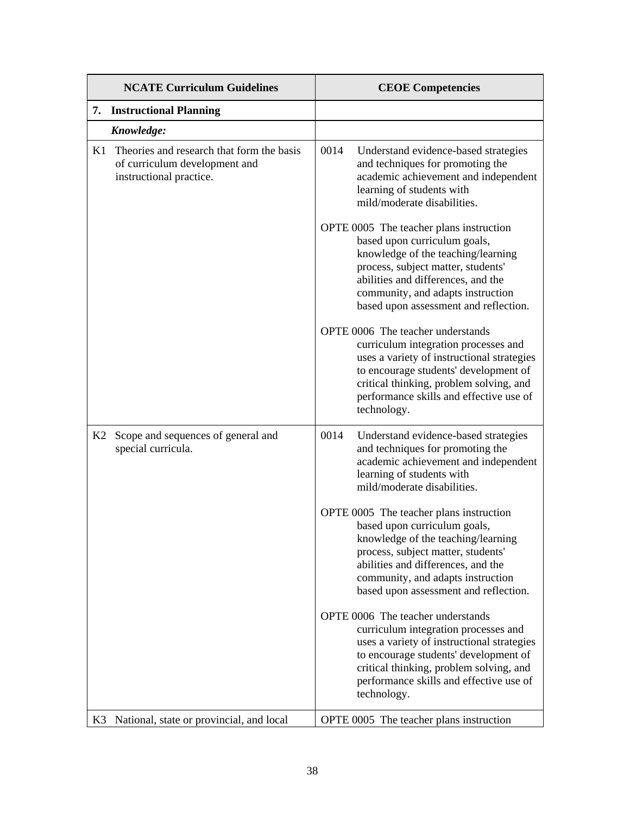| <b>NCATE Curriculum Guidelines</b> |                                                                                                       | <b>CEOE Competencies</b>                                                                                                                                                                                                                                                |  |  |
|------------------------------------|-------------------------------------------------------------------------------------------------------|-------------------------------------------------------------------------------------------------------------------------------------------------------------------------------------------------------------------------------------------------------------------------|--|--|
|                                    | 7. Instructional Planning                                                                             |                                                                                                                                                                                                                                                                         |  |  |
|                                    | Knowledge:                                                                                            |                                                                                                                                                                                                                                                                         |  |  |
| K1                                 | Theories and research that form the basis<br>of curriculum development and<br>instructional practice. | 0014<br>Understand evidence-based strategies<br>and techniques for promoting the<br>academic achievement and independent<br>learning of students with<br>mild/moderate disabilities.                                                                                    |  |  |
|                                    |                                                                                                       | OPTE 0005 The teacher plans instruction<br>based upon curriculum goals,<br>knowledge of the teaching/learning<br>process, subject matter, students'<br>abilities and differences, and the<br>community, and adapts instruction<br>based upon assessment and reflection. |  |  |
|                                    |                                                                                                       | OPTE 0006 The teacher understands<br>curriculum integration processes and<br>uses a variety of instructional strategies<br>to encourage students' development of<br>critical thinking, problem solving, and<br>performance skills and effective use of<br>technology.   |  |  |
| K2                                 | Scope and sequences of general and<br>special curricula.                                              | 0014<br>Understand evidence-based strategies<br>and techniques for promoting the<br>academic achievement and independent<br>learning of students with<br>mild/moderate disabilities.                                                                                    |  |  |
|                                    |                                                                                                       | OPTE 0005 The teacher plans instruction<br>based upon curriculum goals,<br>knowledge of the teaching/learning<br>process, subject matter, students'<br>abilities and differences, and the<br>community, and adapts instruction<br>based upon assessment and reflection. |  |  |
|                                    |                                                                                                       | OPTE 0006 The teacher understands<br>curriculum integration processes and<br>uses a variety of instructional strategies<br>to encourage students' development of<br>critical thinking, problem solving, and<br>performance skills and effective use of<br>technology.   |  |  |
| K3                                 | National, state or provincial, and local                                                              | OPTE 0005 The teacher plans instruction                                                                                                                                                                                                                                 |  |  |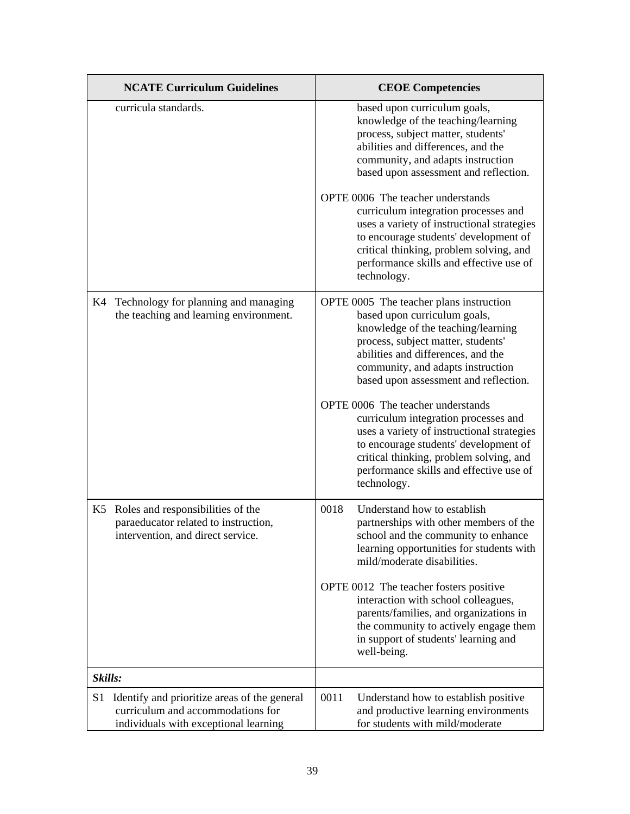|         | <b>NCATE Curriculum Guidelines</b>                                                                                         | <b>CEOE</b> Competencies                                                                                                                                                                                                                                                |
|---------|----------------------------------------------------------------------------------------------------------------------------|-------------------------------------------------------------------------------------------------------------------------------------------------------------------------------------------------------------------------------------------------------------------------|
|         | curricula standards.                                                                                                       | based upon curriculum goals,<br>knowledge of the teaching/learning<br>process, subject matter, students'<br>abilities and differences, and the<br>community, and adapts instruction<br>based upon assessment and reflection.                                            |
|         |                                                                                                                            | OPTE 0006 The teacher understands<br>curriculum integration processes and<br>uses a variety of instructional strategies<br>to encourage students' development of<br>critical thinking, problem solving, and<br>performance skills and effective use of<br>technology.   |
|         | K4 Technology for planning and managing<br>the teaching and learning environment.                                          | OPTE 0005 The teacher plans instruction<br>based upon curriculum goals,<br>knowledge of the teaching/learning<br>process, subject matter, students'<br>abilities and differences, and the<br>community, and adapts instruction<br>based upon assessment and reflection. |
|         |                                                                                                                            | OPTE 0006 The teacher understands<br>curriculum integration processes and<br>uses a variety of instructional strategies<br>to encourage students' development of<br>critical thinking, problem solving, and<br>performance skills and effective use of<br>technology.   |
| K5      | Roles and responsibilities of the<br>paraeducator related to instruction,<br>intervention, and direct service.             | 0018<br>Understand how to establish<br>partnerships with other members of the<br>school and the community to enhance<br>learning opportunities for students with<br>mild/moderate disabilities.                                                                         |
|         |                                                                                                                            | OPTE 0012 The teacher fosters positive<br>interaction with school colleagues,<br>parents/families, and organizations in<br>the community to actively engage them<br>in support of students' learning and<br>well-being.                                                 |
| Skills: |                                                                                                                            |                                                                                                                                                                                                                                                                         |
| S1      | Identify and prioritize areas of the general<br>curriculum and accommodations for<br>individuals with exceptional learning | 0011<br>Understand how to establish positive<br>and productive learning environments<br>for students with mild/moderate                                                                                                                                                 |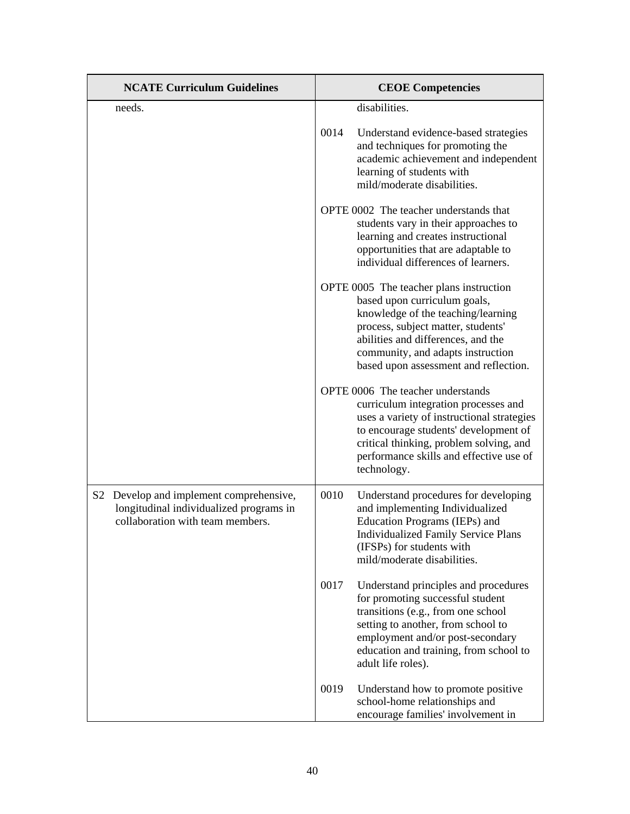| <b>NCATE Curriculum Guidelines</b>                                                                                     | <b>CEOE Competencies</b>                                                                                                                                                                                                                                                |
|------------------------------------------------------------------------------------------------------------------------|-------------------------------------------------------------------------------------------------------------------------------------------------------------------------------------------------------------------------------------------------------------------------|
| needs.                                                                                                                 | disabilities.                                                                                                                                                                                                                                                           |
|                                                                                                                        | 0014<br>Understand evidence-based strategies<br>and techniques for promoting the<br>academic achievement and independent<br>learning of students with<br>mild/moderate disabilities.                                                                                    |
|                                                                                                                        | OPTE 0002 The teacher understands that<br>students vary in their approaches to<br>learning and creates instructional<br>opportunities that are adaptable to<br>individual differences of learners.                                                                      |
|                                                                                                                        | OPTE 0005 The teacher plans instruction<br>based upon curriculum goals,<br>knowledge of the teaching/learning<br>process, subject matter, students'<br>abilities and differences, and the<br>community, and adapts instruction<br>based upon assessment and reflection. |
|                                                                                                                        | OPTE 0006 The teacher understands<br>curriculum integration processes and<br>uses a variety of instructional strategies<br>to encourage students' development of<br>critical thinking, problem solving, and<br>performance skills and effective use of<br>technology.   |
| S2 Develop and implement comprehensive,<br>longitudinal individualized programs in<br>collaboration with team members. | 0010<br>Understand procedures for developing<br>and implementing Individualized<br>Education Programs (IEPs) and<br><b>Individualized Family Service Plans</b><br>(IFSPs) for students with<br>mild/moderate disabilities.                                              |
|                                                                                                                        | 0017<br>Understand principles and procedures<br>for promoting successful student<br>transitions (e.g., from one school<br>setting to another, from school to<br>employment and/or post-secondary<br>education and training, from school to<br>adult life roles).        |
|                                                                                                                        | 0019<br>Understand how to promote positive<br>school-home relationships and<br>encourage families' involvement in                                                                                                                                                       |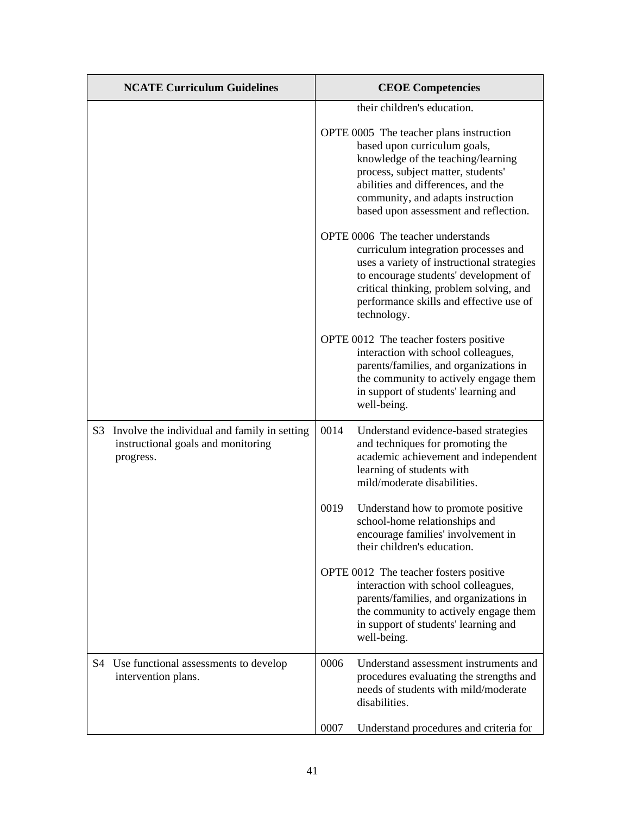| <b>NCATE Curriculum Guidelines</b>                                                                 |      | <b>CEOE Competencies</b>                                                                                                                                                                                                                                                |
|----------------------------------------------------------------------------------------------------|------|-------------------------------------------------------------------------------------------------------------------------------------------------------------------------------------------------------------------------------------------------------------------------|
|                                                                                                    |      | their children's education.                                                                                                                                                                                                                                             |
|                                                                                                    |      | OPTE 0005 The teacher plans instruction<br>based upon curriculum goals,<br>knowledge of the teaching/learning<br>process, subject matter, students'<br>abilities and differences, and the<br>community, and adapts instruction<br>based upon assessment and reflection. |
|                                                                                                    |      | OPTE 0006 The teacher understands<br>curriculum integration processes and<br>uses a variety of instructional strategies<br>to encourage students' development of<br>critical thinking, problem solving, and<br>performance skills and effective use of<br>technology.   |
|                                                                                                    |      | OPTE 0012 The teacher fosters positive<br>interaction with school colleagues,<br>parents/families, and organizations in<br>the community to actively engage them<br>in support of students' learning and<br>well-being.                                                 |
| S3 Involve the individual and family in setting<br>instructional goals and monitoring<br>progress. | 0014 | Understand evidence-based strategies<br>and techniques for promoting the<br>academic achievement and independent<br>learning of students with<br>mild/moderate disabilities.                                                                                            |
|                                                                                                    | 0019 | Understand how to promote positive<br>school-home relationships and<br>encourage families' involvement in<br>their children's education.                                                                                                                                |
|                                                                                                    |      | OPTE 0012 The teacher fosters positive<br>interaction with school colleagues,<br>parents/families, and organizations in<br>the community to actively engage them<br>in support of students' learning and<br>well-being.                                                 |
| S4 Use functional assessments to develop<br>intervention plans.                                    | 0006 | Understand assessment instruments and<br>procedures evaluating the strengths and<br>needs of students with mild/moderate<br>disabilities.                                                                                                                               |
|                                                                                                    | 0007 | Understand procedures and criteria for                                                                                                                                                                                                                                  |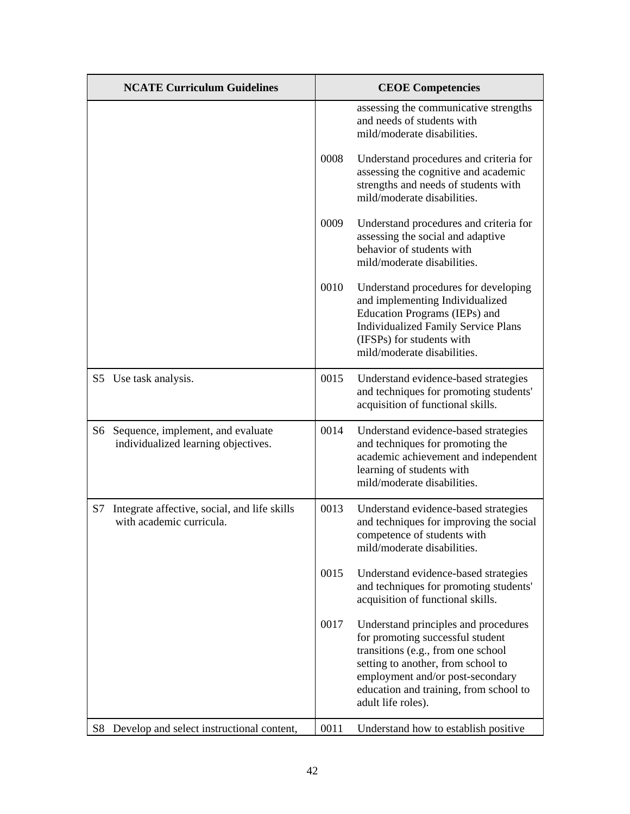|    | <b>NCATE Curriculum Guidelines</b>                                          |      | <b>CEOE</b> Competencies                                                                                                                                                                                                                                 |
|----|-----------------------------------------------------------------------------|------|----------------------------------------------------------------------------------------------------------------------------------------------------------------------------------------------------------------------------------------------------------|
|    |                                                                             |      | assessing the communicative strengths<br>and needs of students with<br>mild/moderate disabilities.                                                                                                                                                       |
|    |                                                                             | 0008 | Understand procedures and criteria for<br>assessing the cognitive and academic<br>strengths and needs of students with<br>mild/moderate disabilities.                                                                                                    |
|    |                                                                             | 0009 | Understand procedures and criteria for<br>assessing the social and adaptive<br>behavior of students with<br>mild/moderate disabilities.                                                                                                                  |
|    |                                                                             | 0010 | Understand procedures for developing<br>and implementing Individualized<br>Education Programs (IEPs) and<br><b>Individualized Family Service Plans</b><br>(IFSPs) for students with<br>mild/moderate disabilities.                                       |
|    | S5 Use task analysis.                                                       | 0015 | Understand evidence-based strategies<br>and techniques for promoting students'<br>acquisition of functional skills.                                                                                                                                      |
|    | S6 Sequence, implement, and evaluate<br>individualized learning objectives. | 0014 | Understand evidence-based strategies<br>and techniques for promoting the<br>academic achievement and independent<br>learning of students with<br>mild/moderate disabilities.                                                                             |
| S7 | Integrate affective, social, and life skills<br>with academic curricula.    | 0013 | Understand evidence-based strategies<br>and techniques for improving the social<br>competence of students with<br>mild/moderate disabilities.                                                                                                            |
|    |                                                                             | 0015 | Understand evidence-based strategies<br>and techniques for promoting students'<br>acquisition of functional skills.                                                                                                                                      |
|    |                                                                             | 0017 | Understand principles and procedures<br>for promoting successful student<br>transitions (e.g., from one school<br>setting to another, from school to<br>employment and/or post-secondary<br>education and training, from school to<br>adult life roles). |
| S8 | Develop and select instructional content,                                   | 0011 | Understand how to establish positive                                                                                                                                                                                                                     |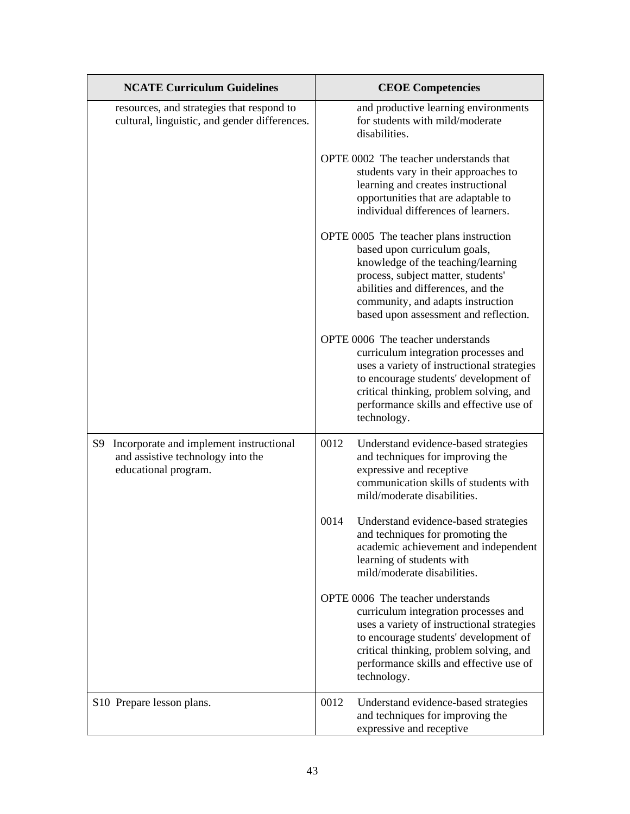| <b>NCATE Curriculum Guidelines</b>                                                                         | <b>CEOE Competencies</b>                                                                                                                                                                                                                                                |
|------------------------------------------------------------------------------------------------------------|-------------------------------------------------------------------------------------------------------------------------------------------------------------------------------------------------------------------------------------------------------------------------|
| resources, and strategies that respond to<br>cultural, linguistic, and gender differences.                 | and productive learning environments<br>for students with mild/moderate<br>disabilities.                                                                                                                                                                                |
|                                                                                                            | OPTE 0002 The teacher understands that<br>students vary in their approaches to<br>learning and creates instructional<br>opportunities that are adaptable to<br>individual differences of learners.                                                                      |
|                                                                                                            | OPTE 0005 The teacher plans instruction<br>based upon curriculum goals,<br>knowledge of the teaching/learning<br>process, subject matter, students'<br>abilities and differences, and the<br>community, and adapts instruction<br>based upon assessment and reflection. |
|                                                                                                            | OPTE 0006 The teacher understands<br>curriculum integration processes and<br>uses a variety of instructional strategies<br>to encourage students' development of<br>critical thinking, problem solving, and<br>performance skills and effective use of<br>technology.   |
| Incorporate and implement instructional<br>S9<br>and assistive technology into the<br>educational program. | 0012<br>Understand evidence-based strategies<br>and techniques for improving the<br>expressive and receptive<br>communication skills of students with<br>mild/moderate disabilities.                                                                                    |
|                                                                                                            | 0014<br>Understand evidence-based strategies<br>and techniques for promoting the<br>academic achievement and independent<br>learning of students with<br>mild/moderate disabilities.                                                                                    |
|                                                                                                            | OPTE 0006 The teacher understands<br>curriculum integration processes and<br>uses a variety of instructional strategies<br>to encourage students' development of<br>critical thinking, problem solving, and<br>performance skills and effective use of<br>technology.   |
| S10 Prepare lesson plans.                                                                                  | 0012<br>Understand evidence-based strategies<br>and techniques for improving the<br>expressive and receptive                                                                                                                                                            |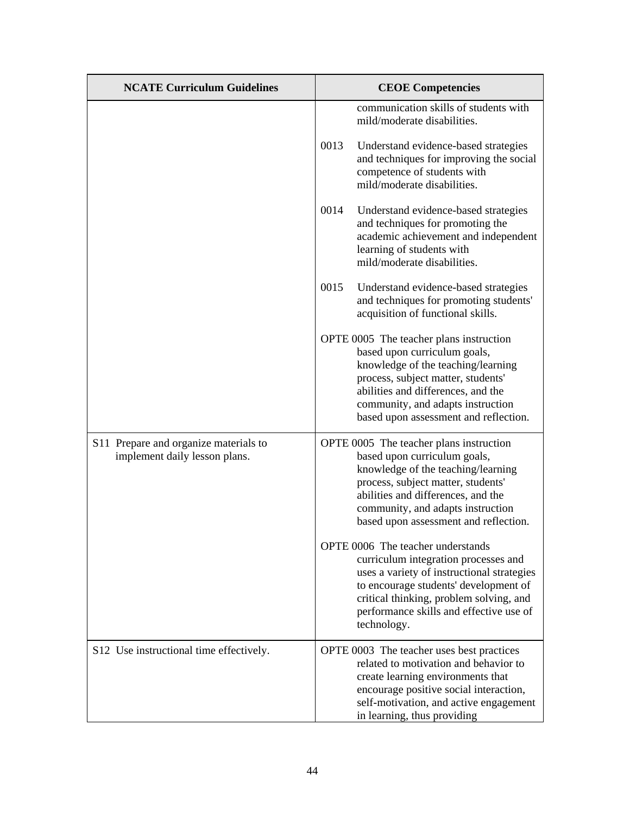| <b>NCATE Curriculum Guidelines</b>                                     | <b>CEOE</b> Competencies                                                                                                                                                                                                                                                |  |
|------------------------------------------------------------------------|-------------------------------------------------------------------------------------------------------------------------------------------------------------------------------------------------------------------------------------------------------------------------|--|
|                                                                        | communication skills of students with<br>mild/moderate disabilities.                                                                                                                                                                                                    |  |
|                                                                        | 0013<br>Understand evidence-based strategies<br>and techniques for improving the social<br>competence of students with<br>mild/moderate disabilities.                                                                                                                   |  |
|                                                                        | 0014<br>Understand evidence-based strategies<br>and techniques for promoting the<br>academic achievement and independent<br>learning of students with<br>mild/moderate disabilities.                                                                                    |  |
|                                                                        | 0015<br>Understand evidence-based strategies<br>and techniques for promoting students'<br>acquisition of functional skills.                                                                                                                                             |  |
|                                                                        | OPTE 0005 The teacher plans instruction<br>based upon curriculum goals,<br>knowledge of the teaching/learning<br>process, subject matter, students'<br>abilities and differences, and the<br>community, and adapts instruction<br>based upon assessment and reflection. |  |
| S11 Prepare and organize materials to<br>implement daily lesson plans. | OPTE 0005 The teacher plans instruction<br>based upon curriculum goals,<br>knowledge of the teaching/learning<br>process, subject matter, students'<br>abilities and differences, and the<br>community, and adapts instruction<br>based upon assessment and reflection. |  |
|                                                                        | OPTE 0006 The teacher understands<br>curriculum integration processes and<br>uses a variety of instructional strategies<br>to encourage students' development of<br>critical thinking, problem solving, and<br>performance skills and effective use of<br>technology.   |  |
| S12 Use instructional time effectively.                                | OPTE 0003 The teacher uses best practices<br>related to motivation and behavior to<br>create learning environments that<br>encourage positive social interaction,<br>self-motivation, and active engagement<br>in learning, thus providing                              |  |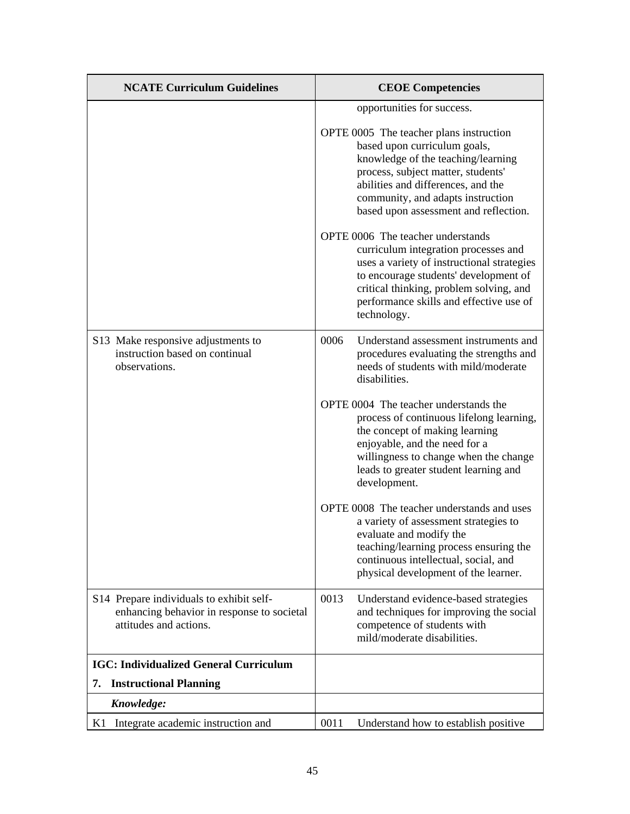| <b>NCATE Curriculum Guidelines</b>                                                                               | <b>CEOE Competencies</b>                                                                                                                                                                                                                                                |
|------------------------------------------------------------------------------------------------------------------|-------------------------------------------------------------------------------------------------------------------------------------------------------------------------------------------------------------------------------------------------------------------------|
|                                                                                                                  | opportunities for success.                                                                                                                                                                                                                                              |
|                                                                                                                  | OPTE 0005 The teacher plans instruction<br>based upon curriculum goals,<br>knowledge of the teaching/learning<br>process, subject matter, students'<br>abilities and differences, and the<br>community, and adapts instruction<br>based upon assessment and reflection. |
|                                                                                                                  | OPTE 0006 The teacher understands<br>curriculum integration processes and<br>uses a variety of instructional strategies<br>to encourage students' development of<br>critical thinking, problem solving, and<br>performance skills and effective use of<br>technology.   |
| S13 Make responsive adjustments to<br>instruction based on continual<br>observations.                            | 0006<br>Understand assessment instruments and<br>procedures evaluating the strengths and<br>needs of students with mild/moderate<br>disabilities.                                                                                                                       |
|                                                                                                                  | OPTE 0004 The teacher understands the<br>process of continuous lifelong learning,<br>the concept of making learning<br>enjoyable, and the need for a<br>willingness to change when the change<br>leads to greater student learning and<br>development.                  |
|                                                                                                                  | OPTE 0008 The teacher understands and uses<br>a variety of assessment strategies to<br>evaluate and modify the<br>teaching/learning process ensuring the<br>continuous intellectual, social, and<br>physical development of the learner.                                |
| S14 Prepare individuals to exhibit self-<br>enhancing behavior in response to societal<br>attitudes and actions. | 0013<br>Understand evidence-based strategies<br>and techniques for improving the social<br>competence of students with<br>mild/moderate disabilities.                                                                                                                   |
| <b>IGC: Individualized General Curriculum</b>                                                                    |                                                                                                                                                                                                                                                                         |
| <b>Instructional Planning</b><br>7.                                                                              |                                                                                                                                                                                                                                                                         |
| Knowledge:                                                                                                       |                                                                                                                                                                                                                                                                         |
| Integrate academic instruction and<br>K1                                                                         | 0011<br>Understand how to establish positive                                                                                                                                                                                                                            |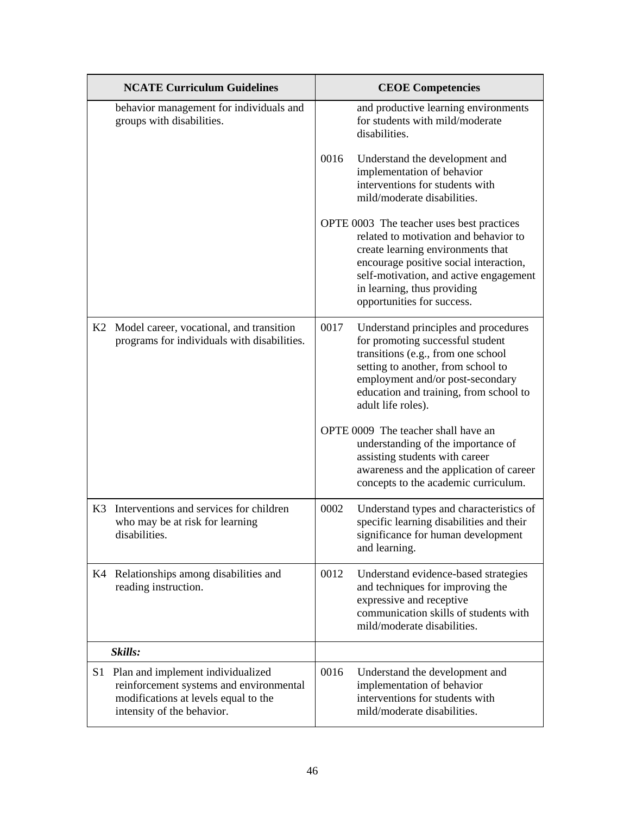|    | <b>NCATE Curriculum Guidelines</b>                                                                                                                 |      | <b>CEOE Competencies</b>                                                                                                                                                                                                                                                 |
|----|----------------------------------------------------------------------------------------------------------------------------------------------------|------|--------------------------------------------------------------------------------------------------------------------------------------------------------------------------------------------------------------------------------------------------------------------------|
|    | behavior management for individuals and<br>groups with disabilities.                                                                               |      | and productive learning environments<br>for students with mild/moderate<br>disabilities.                                                                                                                                                                                 |
|    |                                                                                                                                                    | 0016 | Understand the development and<br>implementation of behavior<br>interventions for students with<br>mild/moderate disabilities.                                                                                                                                           |
|    |                                                                                                                                                    |      | OPTE 0003 The teacher uses best practices<br>related to motivation and behavior to<br>create learning environments that<br>encourage positive social interaction,<br>self-motivation, and active engagement<br>in learning, thus providing<br>opportunities for success. |
| K2 | Model career, vocational, and transition<br>programs for individuals with disabilities.                                                            | 0017 | Understand principles and procedures<br>for promoting successful student<br>transitions (e.g., from one school<br>setting to another, from school to<br>employment and/or post-secondary<br>education and training, from school to<br>adult life roles).                 |
|    |                                                                                                                                                    |      | OPTE 0009 The teacher shall have an<br>understanding of the importance of<br>assisting students with career<br>awareness and the application of career<br>concepts to the academic curriculum.                                                                           |
| K3 | Interventions and services for children<br>who may be at risk for learning<br>disabilities.                                                        | 0002 | Understand types and characteristics of<br>specific learning disabilities and their<br>significance for human development<br>and learning.                                                                                                                               |
|    | K4 Relationships among disabilities and<br>reading instruction.                                                                                    | 0012 | Understand evidence-based strategies<br>and techniques for improving the<br>expressive and receptive<br>communication skills of students with<br>mild/moderate disabilities.                                                                                             |
|    | Skills:                                                                                                                                            |      |                                                                                                                                                                                                                                                                          |
| S1 | Plan and implement individualized<br>reinforcement systems and environmental<br>modifications at levels equal to the<br>intensity of the behavior. | 0016 | Understand the development and<br>implementation of behavior<br>interventions for students with<br>mild/moderate disabilities.                                                                                                                                           |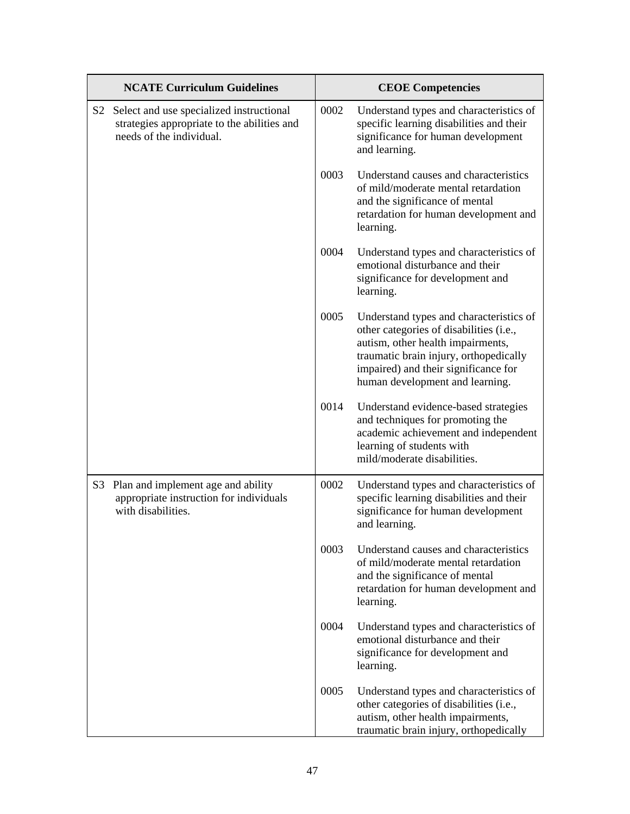|    | <b>NCATE Curriculum Guidelines</b>                                                                                  |      | <b>CEOE Competencies</b>                                                                                                                                                                                                                     |  |
|----|---------------------------------------------------------------------------------------------------------------------|------|----------------------------------------------------------------------------------------------------------------------------------------------------------------------------------------------------------------------------------------------|--|
| S2 | Select and use specialized instructional<br>strategies appropriate to the abilities and<br>needs of the individual. | 0002 | Understand types and characteristics of<br>specific learning disabilities and their<br>significance for human development<br>and learning.                                                                                                   |  |
|    |                                                                                                                     | 0003 | Understand causes and characteristics<br>of mild/moderate mental retardation<br>and the significance of mental<br>retardation for human development and<br>learning.                                                                         |  |
|    |                                                                                                                     | 0004 | Understand types and characteristics of<br>emotional disturbance and their<br>significance for development and<br>learning.                                                                                                                  |  |
|    |                                                                                                                     | 0005 | Understand types and characteristics of<br>other categories of disabilities (i.e.,<br>autism, other health impairments,<br>traumatic brain injury, orthopedically<br>impaired) and their significance for<br>human development and learning. |  |
|    |                                                                                                                     | 0014 | Understand evidence-based strategies<br>and techniques for promoting the<br>academic achievement and independent<br>learning of students with<br>mild/moderate disabilities.                                                                 |  |
| S3 | Plan and implement age and ability<br>appropriate instruction for individuals<br>with disabilities.                 | 0002 | Understand types and characteristics of<br>specific learning disabilities and their<br>significance for human development<br>and learning.                                                                                                   |  |
|    |                                                                                                                     | 0003 | Understand causes and characteristics<br>of mild/moderate mental retardation<br>and the significance of mental<br>retardation for human development and<br>learning.                                                                         |  |
|    |                                                                                                                     | 0004 | Understand types and characteristics of<br>emotional disturbance and their<br>significance for development and<br>learning.                                                                                                                  |  |
|    |                                                                                                                     | 0005 | Understand types and characteristics of<br>other categories of disabilities (i.e.,<br>autism, other health impairments,<br>traumatic brain injury, orthopedically                                                                            |  |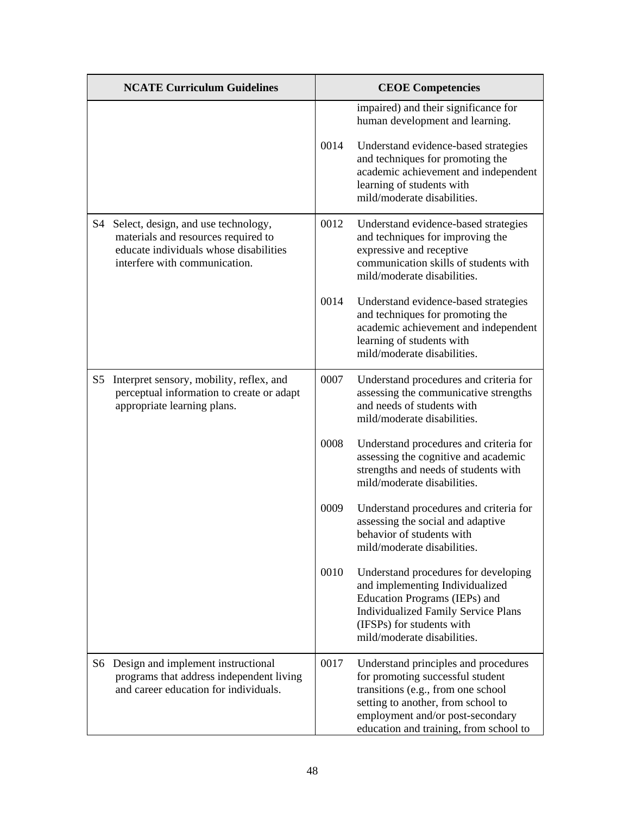| <b>NCATE Curriculum Guidelines</b> |                                                                                                                                                       | <b>CEOE Competencies</b> |                                                                                                                                                                                                                                    |
|------------------------------------|-------------------------------------------------------------------------------------------------------------------------------------------------------|--------------------------|------------------------------------------------------------------------------------------------------------------------------------------------------------------------------------------------------------------------------------|
|                                    |                                                                                                                                                       |                          | impaired) and their significance for<br>human development and learning.                                                                                                                                                            |
|                                    |                                                                                                                                                       | 0014                     | Understand evidence-based strategies<br>and techniques for promoting the<br>academic achievement and independent<br>learning of students with<br>mild/moderate disabilities.                                                       |
| S4                                 | Select, design, and use technology,<br>materials and resources required to<br>educate individuals whose disabilities<br>interfere with communication. | 0012                     | Understand evidence-based strategies<br>and techniques for improving the<br>expressive and receptive<br>communication skills of students with<br>mild/moderate disabilities.                                                       |
|                                    |                                                                                                                                                       | 0014                     | Understand evidence-based strategies<br>and techniques for promoting the<br>academic achievement and independent<br>learning of students with<br>mild/moderate disabilities.                                                       |
| S5                                 | Interpret sensory, mobility, reflex, and<br>perceptual information to create or adapt<br>appropriate learning plans.                                  | 0007                     | Understand procedures and criteria for<br>assessing the communicative strengths<br>and needs of students with<br>mild/moderate disabilities.                                                                                       |
|                                    |                                                                                                                                                       | 0008                     | Understand procedures and criteria for<br>assessing the cognitive and academic<br>strengths and needs of students with<br>mild/moderate disabilities.                                                                              |
|                                    |                                                                                                                                                       | 0009                     | Understand procedures and criteria for<br>assessing the social and adaptive<br>behavior of students with<br>mild/moderate disabilities.                                                                                            |
|                                    |                                                                                                                                                       | 0010                     | Understand procedures for developing<br>and implementing Individualized<br>Education Programs (IEPs) and<br><b>Individualized Family Service Plans</b><br>(IFSPs) for students with<br>mild/moderate disabilities.                 |
| S6                                 | Design and implement instructional<br>programs that address independent living<br>and career education for individuals.                               | 0017                     | Understand principles and procedures<br>for promoting successful student<br>transitions (e.g., from one school<br>setting to another, from school to<br>employment and/or post-secondary<br>education and training, from school to |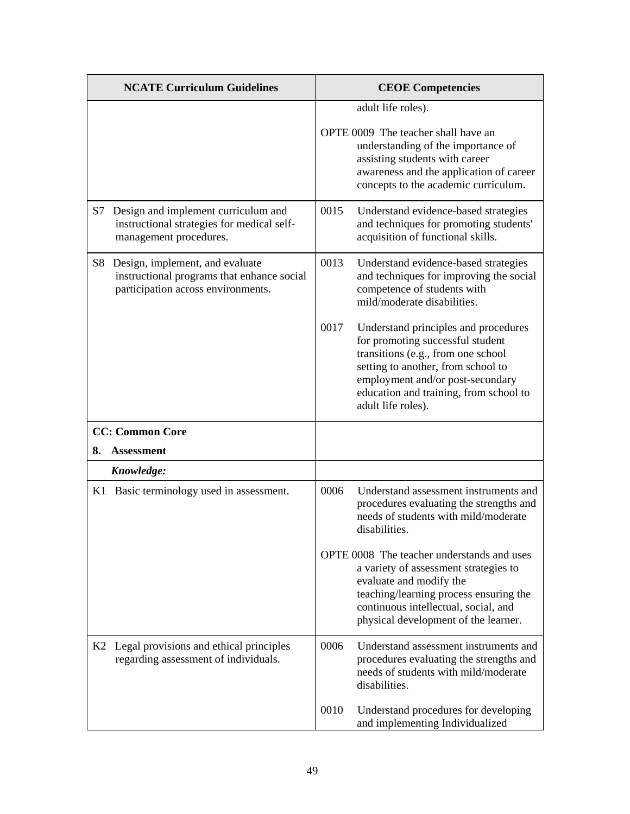| <b>NCATE Curriculum Guidelines</b>                                                                                                    | <b>CEOE Competencies</b>                                                                                                                                                                                                                                         |
|---------------------------------------------------------------------------------------------------------------------------------------|------------------------------------------------------------------------------------------------------------------------------------------------------------------------------------------------------------------------------------------------------------------|
|                                                                                                                                       | adult life roles).<br>OPTE 0009 The teacher shall have an<br>understanding of the importance of<br>assisting students with career<br>awareness and the application of career<br>concepts to the academic curriculum.                                             |
| Design and implement curriculum and<br>S7<br>instructional strategies for medical self-<br>management procedures.                     | 0015<br>Understand evidence-based strategies<br>and techniques for promoting students'<br>acquisition of functional skills.                                                                                                                                      |
| S <sub>8</sub><br>Design, implement, and evaluate<br>instructional programs that enhance social<br>participation across environments. | 0013<br>Understand evidence-based strategies<br>and techniques for improving the social<br>competence of students with<br>mild/moderate disabilities.                                                                                                            |
|                                                                                                                                       | 0017<br>Understand principles and procedures<br>for promoting successful student<br>transitions (e.g., from one school<br>setting to another, from school to<br>employment and/or post-secondary<br>education and training, from school to<br>adult life roles). |
| <b>CC: Common Core</b>                                                                                                                |                                                                                                                                                                                                                                                                  |
| <b>Assessment</b><br>8.                                                                                                               |                                                                                                                                                                                                                                                                  |
| Knowledge:                                                                                                                            |                                                                                                                                                                                                                                                                  |
| K1 Basic terminology used in assessment.                                                                                              | 0006<br>Understand assessment instruments and<br>procedures evaluating the strengths and<br>needs of students with mild/moderate<br>disabilities.                                                                                                                |
|                                                                                                                                       | OPTE 0008 The teacher understands and uses<br>a variety of assessment strategies to<br>evaluate and modify the<br>teaching/learning process ensuring the<br>continuous intellectual, social, and<br>physical development of the learner.                         |
| K2 Legal provisions and ethical principles<br>regarding assessment of individuals.                                                    | 0006<br>Understand assessment instruments and<br>procedures evaluating the strengths and<br>needs of students with mild/moderate<br>disabilities.                                                                                                                |
|                                                                                                                                       | 0010<br>Understand procedures for developing<br>and implementing Individualized                                                                                                                                                                                  |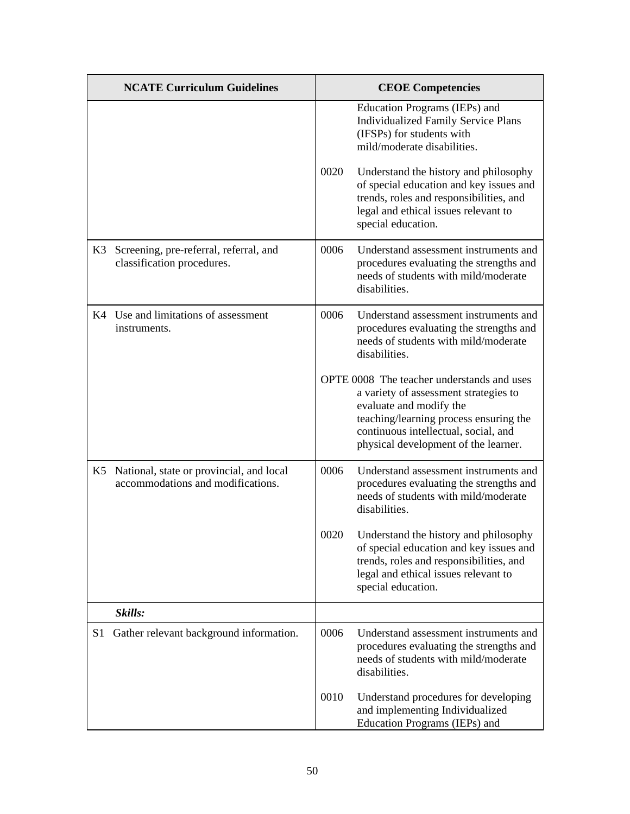|    | <b>NCATE Curriculum Guidelines</b>                                               |      | <b>CEOE</b> Competencies                                                                                                                                                                                                                 |
|----|----------------------------------------------------------------------------------|------|------------------------------------------------------------------------------------------------------------------------------------------------------------------------------------------------------------------------------------------|
|    |                                                                                  |      | Education Programs (IEPs) and<br><b>Individualized Family Service Plans</b><br>(IFSPs) for students with<br>mild/moderate disabilities.                                                                                                  |
|    |                                                                                  | 0020 | Understand the history and philosophy<br>of special education and key issues and<br>trends, roles and responsibilities, and<br>legal and ethical issues relevant to<br>special education.                                                |
| K3 | Screening, pre-referral, referral, and<br>classification procedures.             | 0006 | Understand assessment instruments and<br>procedures evaluating the strengths and<br>needs of students with mild/moderate<br>disabilities.                                                                                                |
|    | K4 Use and limitations of assessment<br>instruments.                             | 0006 | Understand assessment instruments and<br>procedures evaluating the strengths and<br>needs of students with mild/moderate<br>disabilities.                                                                                                |
|    |                                                                                  |      | OPTE 0008 The teacher understands and uses<br>a variety of assessment strategies to<br>evaluate and modify the<br>teaching/learning process ensuring the<br>continuous intellectual, social, and<br>physical development of the learner. |
|    | K5 National, state or provincial, and local<br>accommodations and modifications. | 0006 | Understand assessment instruments and<br>procedures evaluating the strengths and<br>needs of students with mild/moderate<br>disabilities.                                                                                                |
|    |                                                                                  | 0020 | Understand the history and philosophy<br>of special education and key issues and<br>trends, roles and responsibilities, and<br>legal and ethical issues relevant to<br>special education.                                                |
|    | Skills:                                                                          |      |                                                                                                                                                                                                                                          |
| S1 | Gather relevant background information.                                          | 0006 | Understand assessment instruments and<br>procedures evaluating the strengths and<br>needs of students with mild/moderate<br>disabilities.                                                                                                |
|    |                                                                                  | 0010 | Understand procedures for developing<br>and implementing Individualized<br>Education Programs (IEPs) and                                                                                                                                 |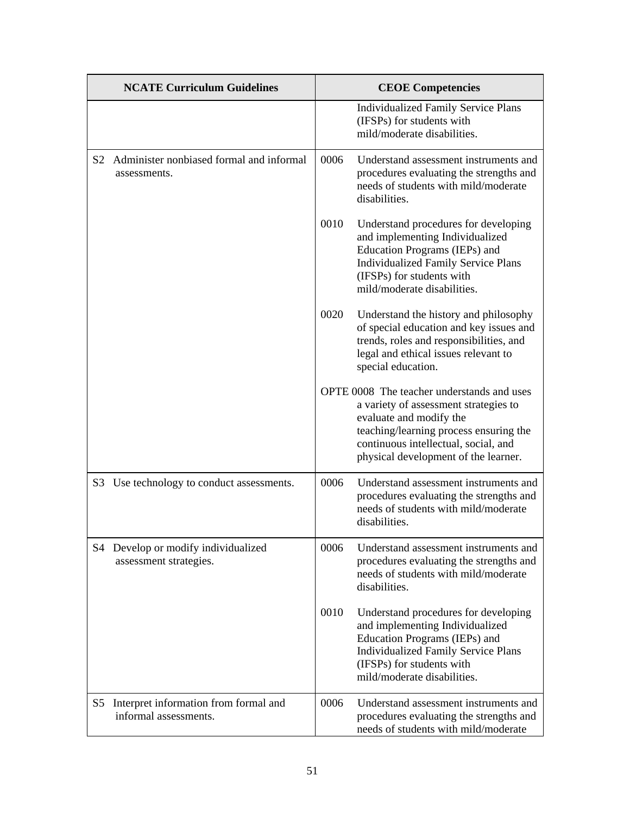|    | <b>NCATE Curriculum Guidelines</b>                             |      | <b>CEOE Competencies</b>                                                                                                                                                                                                                 |
|----|----------------------------------------------------------------|------|------------------------------------------------------------------------------------------------------------------------------------------------------------------------------------------------------------------------------------------|
|    |                                                                |      | <b>Individualized Family Service Plans</b><br>(IFSPs) for students with<br>mild/moderate disabilities.                                                                                                                                   |
| S2 | Administer nonbiased formal and informal<br>assessments.       | 0006 | Understand assessment instruments and<br>procedures evaluating the strengths and<br>needs of students with mild/moderate<br>disabilities.                                                                                                |
|    |                                                                | 0010 | Understand procedures for developing<br>and implementing Individualized<br>Education Programs (IEPs) and<br><b>Individualized Family Service Plans</b><br>(IFSPs) for students with<br>mild/moderate disabilities.                       |
|    |                                                                | 0020 | Understand the history and philosophy<br>of special education and key issues and<br>trends, roles and responsibilities, and<br>legal and ethical issues relevant to<br>special education.                                                |
|    |                                                                |      | OPTE 0008 The teacher understands and uses<br>a variety of assessment strategies to<br>evaluate and modify the<br>teaching/learning process ensuring the<br>continuous intellectual, social, and<br>physical development of the learner. |
|    | S3 Use technology to conduct assessments.                      | 0006 | Understand assessment instruments and<br>procedures evaluating the strengths and<br>needs of students with mild/moderate<br>disabilities.                                                                                                |
|    | S4 Develop or modify individualized<br>assessment strategies.  | 0006 | Understand assessment instruments and<br>procedures evaluating the strengths and<br>needs of students with mild/moderate<br>disabilities.                                                                                                |
|    |                                                                | 0010 | Understand procedures for developing<br>and implementing Individualized<br>Education Programs (IEPs) and<br><b>Individualized Family Service Plans</b><br>(IFSPs) for students with<br>mild/moderate disabilities.                       |
| S5 | Interpret information from formal and<br>informal assessments. | 0006 | Understand assessment instruments and<br>procedures evaluating the strengths and<br>needs of students with mild/moderate                                                                                                                 |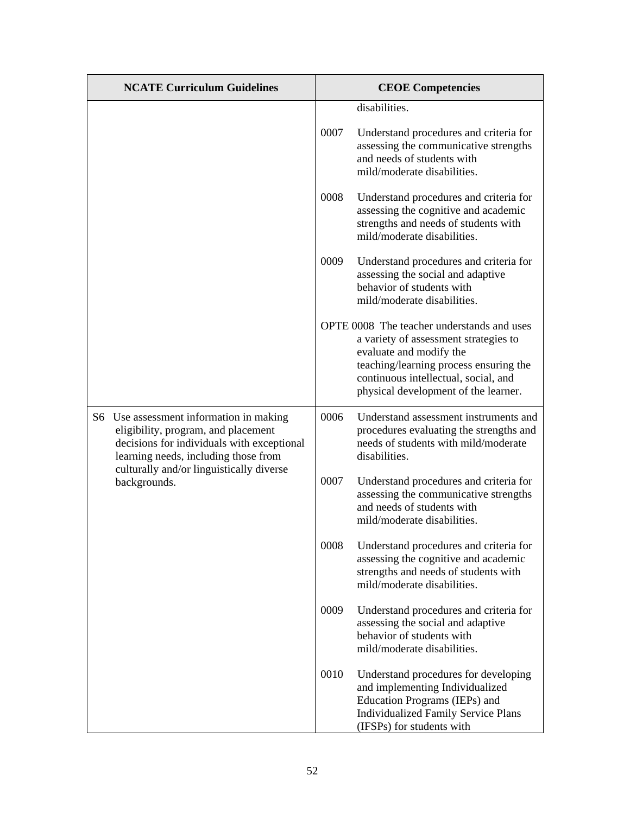| <b>NCATE Curriculum Guidelines</b>                                                                                                                                                                               |      | <b>CEOE Competencies</b>                                                                                                                                                                                                                 |
|------------------------------------------------------------------------------------------------------------------------------------------------------------------------------------------------------------------|------|------------------------------------------------------------------------------------------------------------------------------------------------------------------------------------------------------------------------------------------|
|                                                                                                                                                                                                                  |      | disabilities.                                                                                                                                                                                                                            |
|                                                                                                                                                                                                                  | 0007 | Understand procedures and criteria for<br>assessing the communicative strengths<br>and needs of students with<br>mild/moderate disabilities.                                                                                             |
|                                                                                                                                                                                                                  | 0008 | Understand procedures and criteria for<br>assessing the cognitive and academic<br>strengths and needs of students with<br>mild/moderate disabilities.                                                                                    |
|                                                                                                                                                                                                                  | 0009 | Understand procedures and criteria for<br>assessing the social and adaptive<br>behavior of students with<br>mild/moderate disabilities.                                                                                                  |
|                                                                                                                                                                                                                  |      | OPTE 0008 The teacher understands and uses<br>a variety of assessment strategies to<br>evaluate and modify the<br>teaching/learning process ensuring the<br>continuous intellectual, social, and<br>physical development of the learner. |
| S6 Use assessment information in making<br>eligibility, program, and placement<br>decisions for individuals with exceptional<br>learning needs, including those from<br>culturally and/or linguistically diverse | 0006 | Understand assessment instruments and<br>procedures evaluating the strengths and<br>needs of students with mild/moderate<br>disabilities.                                                                                                |
| backgrounds.                                                                                                                                                                                                     | 0007 | Understand procedures and criteria for<br>assessing the communicative strengths<br>and needs of students with<br>mild/moderate disabilities.                                                                                             |
|                                                                                                                                                                                                                  | 0008 | Understand procedures and criteria for<br>assessing the cognitive and academic<br>strengths and needs of students with<br>mild/moderate disabilities.                                                                                    |
|                                                                                                                                                                                                                  | 0009 | Understand procedures and criteria for<br>assessing the social and adaptive<br>behavior of students with<br>mild/moderate disabilities.                                                                                                  |
|                                                                                                                                                                                                                  | 0010 | Understand procedures for developing<br>and implementing Individualized<br>Education Programs (IEPs) and<br><b>Individualized Family Service Plans</b><br>(IFSPs) for students with                                                      |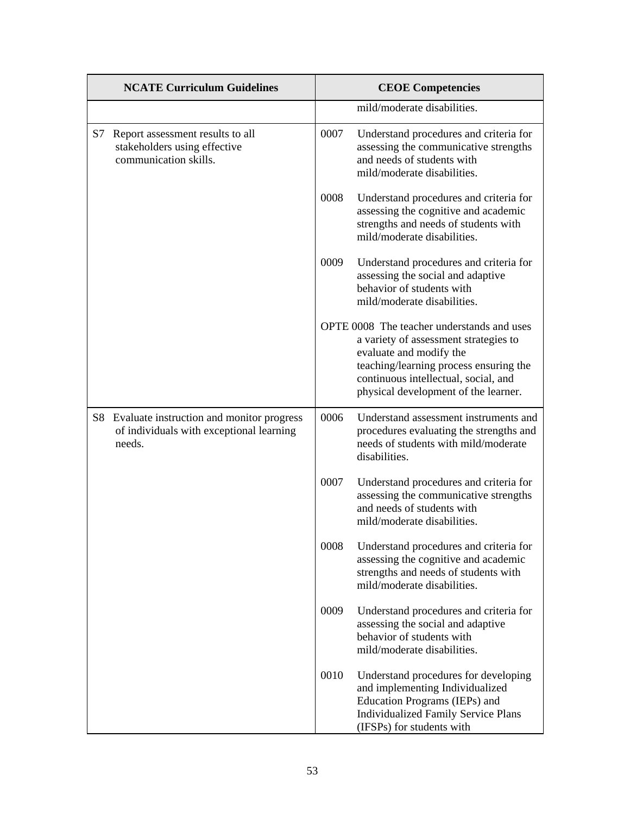| <b>NCATE Curriculum Guidelines</b> |                                                                                                    | <b>CEOE Competencies</b> |                                                                                                                                                                                                                                          |
|------------------------------------|----------------------------------------------------------------------------------------------------|--------------------------|------------------------------------------------------------------------------------------------------------------------------------------------------------------------------------------------------------------------------------------|
|                                    |                                                                                                    |                          | mild/moderate disabilities.                                                                                                                                                                                                              |
| S7                                 | Report assessment results to all<br>stakeholders using effective<br>communication skills.          | 0007                     | Understand procedures and criteria for<br>assessing the communicative strengths<br>and needs of students with<br>mild/moderate disabilities.                                                                                             |
|                                    |                                                                                                    | 0008                     | Understand procedures and criteria for<br>assessing the cognitive and academic<br>strengths and needs of students with<br>mild/moderate disabilities.                                                                                    |
|                                    |                                                                                                    | 0009                     | Understand procedures and criteria for<br>assessing the social and adaptive<br>behavior of students with<br>mild/moderate disabilities.                                                                                                  |
|                                    |                                                                                                    |                          | OPTE 0008 The teacher understands and uses<br>a variety of assessment strategies to<br>evaluate and modify the<br>teaching/learning process ensuring the<br>continuous intellectual, social, and<br>physical development of the learner. |
|                                    | S8 Evaluate instruction and monitor progress<br>of individuals with exceptional learning<br>needs. | 0006                     | Understand assessment instruments and<br>procedures evaluating the strengths and<br>needs of students with mild/moderate<br>disabilities.                                                                                                |
|                                    |                                                                                                    | 0007                     | Understand procedures and criteria for<br>assessing the communicative strengths<br>and needs of students with<br>mild/moderate disabilities.                                                                                             |
|                                    |                                                                                                    | 0008                     | Understand procedures and criteria for<br>assessing the cognitive and academic<br>strengths and needs of students with<br>mild/moderate disabilities.                                                                                    |
|                                    |                                                                                                    | 0009                     | Understand procedures and criteria for<br>assessing the social and adaptive<br>behavior of students with<br>mild/moderate disabilities.                                                                                                  |
|                                    |                                                                                                    | 0010                     | Understand procedures for developing<br>and implementing Individualized<br>Education Programs (IEPs) and<br><b>Individualized Family Service Plans</b><br>(IFSPs) for students with                                                      |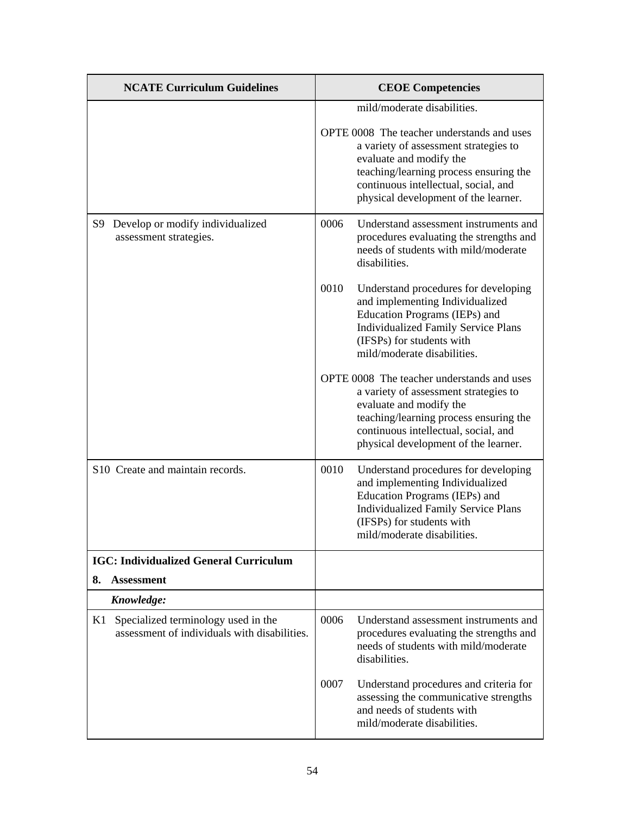| <b>NCATE Curriculum Guidelines</b>                                                        | <b>CEOE Competencies</b>                                                                                                                                                                                                                 |
|-------------------------------------------------------------------------------------------|------------------------------------------------------------------------------------------------------------------------------------------------------------------------------------------------------------------------------------------|
|                                                                                           | mild/moderate disabilities.                                                                                                                                                                                                              |
|                                                                                           | OPTE 0008 The teacher understands and uses<br>a variety of assessment strategies to<br>evaluate and modify the<br>teaching/learning process ensuring the<br>continuous intellectual, social, and<br>physical development of the learner. |
| Develop or modify individualized<br>S9<br>assessment strategies.                          | 0006<br>Understand assessment instruments and<br>procedures evaluating the strengths and<br>needs of students with mild/moderate<br>disabilities.                                                                                        |
|                                                                                           | 0010<br>Understand procedures for developing<br>and implementing Individualized<br>Education Programs (IEPs) and<br><b>Individualized Family Service Plans</b><br>(IFSPs) for students with<br>mild/moderate disabilities.               |
|                                                                                           | OPTE 0008 The teacher understands and uses<br>a variety of assessment strategies to<br>evaluate and modify the<br>teaching/learning process ensuring the<br>continuous intellectual, social, and<br>physical development of the learner. |
| S10 Create and maintain records.                                                          | 0010<br>Understand procedures for developing<br>and implementing Individualized<br>Education Programs (IEPs) and<br><b>Individualized Family Service Plans</b><br>(IFSPs) for students with<br>mild/moderate disabilities                |
| <b>IGC: Individualized General Curriculum</b>                                             |                                                                                                                                                                                                                                          |
| 8.<br><b>Assessment</b>                                                                   |                                                                                                                                                                                                                                          |
| Knowledge:                                                                                |                                                                                                                                                                                                                                          |
| Specialized terminology used in the<br>K1<br>assessment of individuals with disabilities. | 0006<br>Understand assessment instruments and<br>procedures evaluating the strengths and<br>needs of students with mild/moderate<br>disabilities.                                                                                        |
|                                                                                           | 0007<br>Understand procedures and criteria for<br>assessing the communicative strengths<br>and needs of students with<br>mild/moderate disabilities.                                                                                     |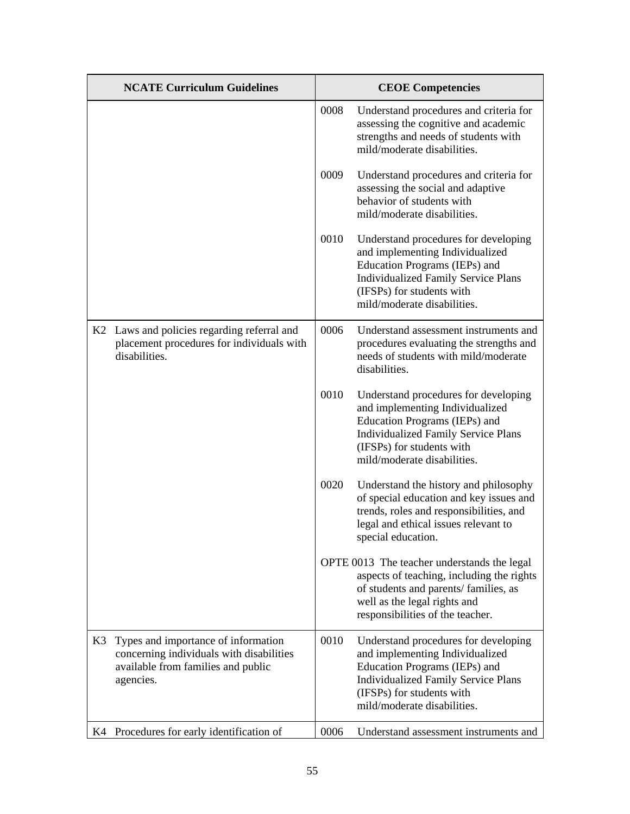|    | <b>NCATE Curriculum Guidelines</b>                                                                                                 |      | <b>CEOE Competencies</b>                                                                                                                                                                                           |
|----|------------------------------------------------------------------------------------------------------------------------------------|------|--------------------------------------------------------------------------------------------------------------------------------------------------------------------------------------------------------------------|
|    |                                                                                                                                    | 0008 | Understand procedures and criteria for<br>assessing the cognitive and academic<br>strengths and needs of students with<br>mild/moderate disabilities.                                                              |
|    |                                                                                                                                    | 0009 | Understand procedures and criteria for<br>assessing the social and adaptive<br>behavior of students with<br>mild/moderate disabilities.                                                                            |
|    |                                                                                                                                    | 0010 | Understand procedures for developing<br>and implementing Individualized<br>Education Programs (IEPs) and<br><b>Individualized Family Service Plans</b><br>(IFSPs) for students with<br>mild/moderate disabilities. |
|    | K2 Laws and policies regarding referral and<br>placement procedures for individuals with<br>disabilities.                          | 0006 | Understand assessment instruments and<br>procedures evaluating the strengths and<br>needs of students with mild/moderate<br>disabilities.                                                                          |
|    |                                                                                                                                    | 0010 | Understand procedures for developing<br>and implementing Individualized<br>Education Programs (IEPs) and<br><b>Individualized Family Service Plans</b><br>(IFSPs) for students with<br>mild/moderate disabilities. |
|    |                                                                                                                                    | 0020 | Understand the history and philosophy<br>of special education and key issues and<br>trends, roles and responsibilities, and<br>legal and ethical issues relevant to<br>special education.                          |
|    |                                                                                                                                    |      | OPTE 0013 The teacher understands the legal<br>aspects of teaching, including the rights<br>of students and parents/ families, as<br>well as the legal rights and<br>responsibilities of the teacher.              |
| K3 | Types and importance of information<br>concerning individuals with disabilities<br>available from families and public<br>agencies. | 0010 | Understand procedures for developing<br>and implementing Individualized<br>Education Programs (IEPs) and<br><b>Individualized Family Service Plans</b><br>(IFSPs) for students with<br>mild/moderate disabilities. |
| K4 | Procedures for early identification of                                                                                             | 0006 | Understand assessment instruments and                                                                                                                                                                              |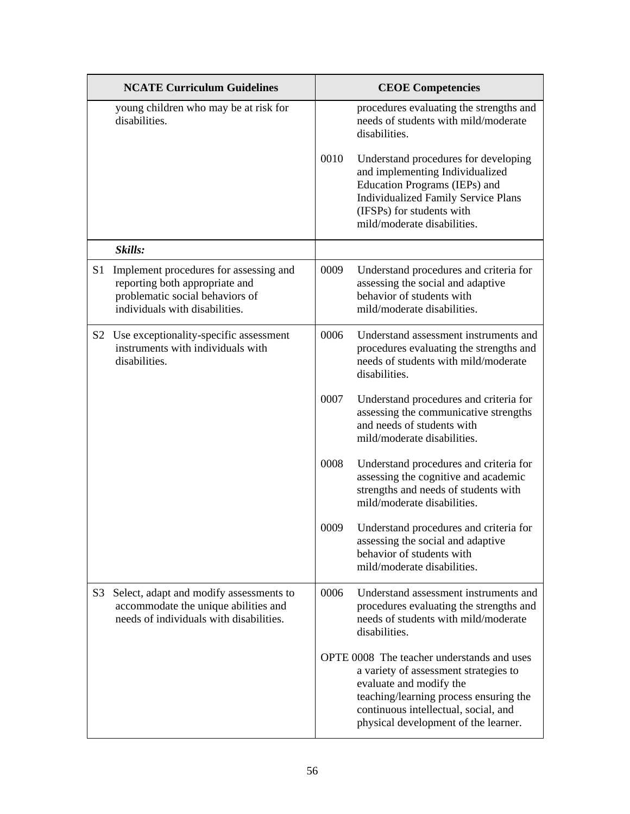|                | <b>NCATE Curriculum Guidelines</b>                                                                                                            |      | <b>CEOE</b> Competencies                                                                                                                                                                                                                 |
|----------------|-----------------------------------------------------------------------------------------------------------------------------------------------|------|------------------------------------------------------------------------------------------------------------------------------------------------------------------------------------------------------------------------------------------|
|                | young children who may be at risk for<br>disabilities.                                                                                        |      | procedures evaluating the strengths and<br>needs of students with mild/moderate<br>disabilities.                                                                                                                                         |
|                |                                                                                                                                               | 0010 | Understand procedures for developing<br>and implementing Individualized<br>Education Programs (IEPs) and<br><b>Individualized Family Service Plans</b><br>(IFSPs) for students with<br>mild/moderate disabilities.                       |
|                | Skills:                                                                                                                                       |      |                                                                                                                                                                                                                                          |
| S <sub>1</sub> | Implement procedures for assessing and<br>reporting both appropriate and<br>problematic social behaviors of<br>individuals with disabilities. | 0009 | Understand procedures and criteria for<br>assessing the social and adaptive<br>behavior of students with<br>mild/moderate disabilities.                                                                                                  |
|                | S2 Use exceptionality-specific assessment<br>instruments with individuals with<br>disabilities.                                               | 0006 | Understand assessment instruments and<br>procedures evaluating the strengths and<br>needs of students with mild/moderate<br>disabilities.                                                                                                |
|                |                                                                                                                                               | 0007 | Understand procedures and criteria for<br>assessing the communicative strengths<br>and needs of students with<br>mild/moderate disabilities.                                                                                             |
|                |                                                                                                                                               | 0008 | Understand procedures and criteria for<br>assessing the cognitive and academic<br>strengths and needs of students with<br>mild/moderate disabilities.                                                                                    |
|                |                                                                                                                                               | 0009 | Understand procedures and criteria for<br>assessing the social and adaptive<br>behavior of students with<br>mild/moderate disabilities.                                                                                                  |
| S3             | Select, adapt and modify assessments to<br>accommodate the unique abilities and<br>needs of individuals with disabilities.                    | 0006 | Understand assessment instruments and<br>procedures evaluating the strengths and<br>needs of students with mild/moderate<br>disabilities.                                                                                                |
|                |                                                                                                                                               |      | OPTE 0008 The teacher understands and uses<br>a variety of assessment strategies to<br>evaluate and modify the<br>teaching/learning process ensuring the<br>continuous intellectual, social, and<br>physical development of the learner. |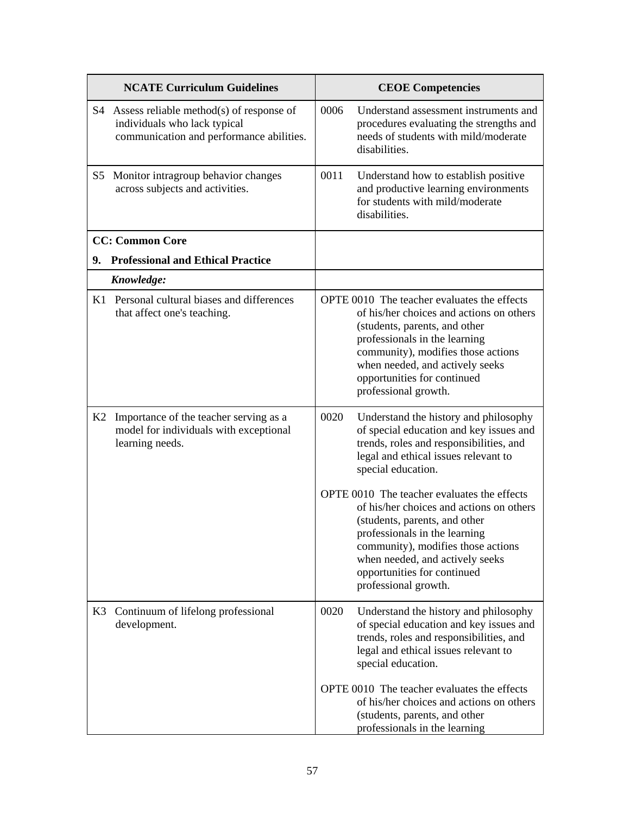|    | <b>NCATE Curriculum Guidelines</b>                                                                                      |      | <b>CEOE Competencies</b>                                                                                                                                                                                                                                                                  |
|----|-------------------------------------------------------------------------------------------------------------------------|------|-------------------------------------------------------------------------------------------------------------------------------------------------------------------------------------------------------------------------------------------------------------------------------------------|
|    | S4 Assess reliable method(s) of response of<br>individuals who lack typical<br>communication and performance abilities. | 0006 | Understand assessment instruments and<br>procedures evaluating the strengths and<br>needs of students with mild/moderate<br>disabilities.                                                                                                                                                 |
| S5 | Monitor intragroup behavior changes<br>across subjects and activities.                                                  | 0011 | Understand how to establish positive<br>and productive learning environments<br>for students with mild/moderate<br>disabilities.                                                                                                                                                          |
|    | <b>CC: Common Core</b>                                                                                                  |      |                                                                                                                                                                                                                                                                                           |
| 9. | <b>Professional and Ethical Practice</b>                                                                                |      |                                                                                                                                                                                                                                                                                           |
|    | Knowledge:                                                                                                              |      |                                                                                                                                                                                                                                                                                           |
|    | K1 Personal cultural biases and differences<br>that affect one's teaching.                                              |      | OPTE 0010 The teacher evaluates the effects<br>of his/her choices and actions on others<br>(students, parents, and other<br>professionals in the learning<br>community), modifies those actions<br>when needed, and actively seeks<br>opportunities for continued<br>professional growth. |
| K2 | Importance of the teacher serving as a<br>model for individuals with exceptional<br>learning needs.                     | 0020 | Understand the history and philosophy<br>of special education and key issues and<br>trends, roles and responsibilities, and<br>legal and ethical issues relevant to<br>special education.                                                                                                 |
|    |                                                                                                                         |      | OPTE 0010 The teacher evaluates the effects<br>of his/her choices and actions on others<br>(students, parents, and other<br>professionals in the learning<br>community), modifies those actions<br>when needed, and actively seeks<br>opportunities for continued<br>professional growth. |
| K3 | Continuum of lifelong professional<br>development.                                                                      | 0020 | Understand the history and philosophy<br>of special education and key issues and<br>trends, roles and responsibilities, and<br>legal and ethical issues relevant to<br>special education.                                                                                                 |
|    |                                                                                                                         |      | OPTE 0010 The teacher evaluates the effects<br>of his/her choices and actions on others<br>(students, parents, and other<br>professionals in the learning                                                                                                                                 |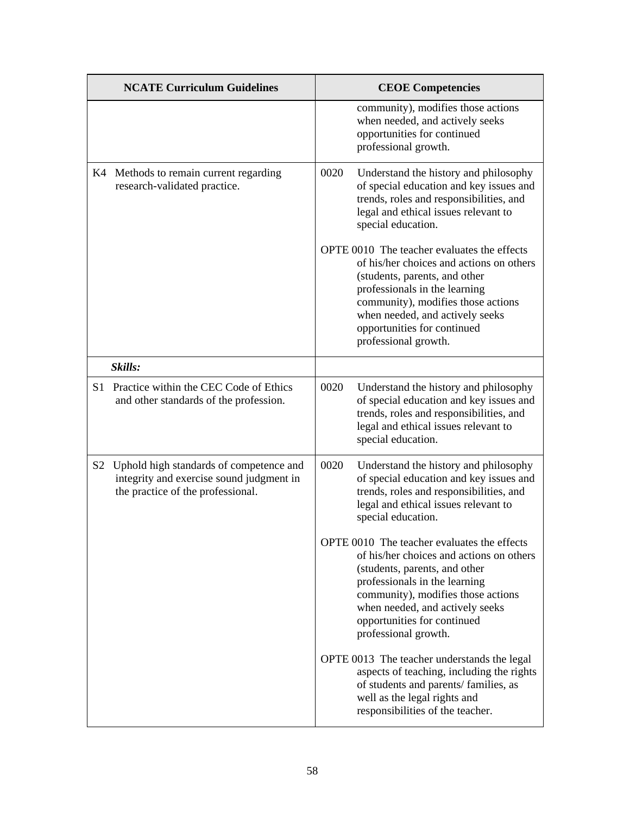|    | <b>NCATE Curriculum Guidelines</b>                                                                                       |      | <b>CEOE Competencies</b>                                                                                                                                                                                                                                                                  |
|----|--------------------------------------------------------------------------------------------------------------------------|------|-------------------------------------------------------------------------------------------------------------------------------------------------------------------------------------------------------------------------------------------------------------------------------------------|
|    |                                                                                                                          |      | community), modifies those actions<br>when needed, and actively seeks<br>opportunities for continued<br>professional growth.                                                                                                                                                              |
|    | K4 Methods to remain current regarding<br>research-validated practice.                                                   | 0020 | Understand the history and philosophy<br>of special education and key issues and<br>trends, roles and responsibilities, and<br>legal and ethical issues relevant to<br>special education.                                                                                                 |
|    |                                                                                                                          |      | OPTE 0010 The teacher evaluates the effects<br>of his/her choices and actions on others<br>(students, parents, and other<br>professionals in the learning<br>community), modifies those actions<br>when needed, and actively seeks<br>opportunities for continued<br>professional growth. |
|    | Skills:                                                                                                                  |      |                                                                                                                                                                                                                                                                                           |
|    | S1 Practice within the CEC Code of Ethics<br>and other standards of the profession.                                      | 0020 | Understand the history and philosophy<br>of special education and key issues and<br>trends, roles and responsibilities, and<br>legal and ethical issues relevant to<br>special education.                                                                                                 |
| S2 | Uphold high standards of competence and<br>integrity and exercise sound judgment in<br>the practice of the professional. | 0020 | Understand the history and philosophy<br>of special education and key issues and<br>trends, roles and responsibilities, and<br>legal and ethical issues relevant to<br>special education.                                                                                                 |
|    |                                                                                                                          |      | OPTE 0010 The teacher evaluates the effects<br>of his/her choices and actions on others<br>(students, parents, and other<br>professionals in the learning<br>community), modifies those actions<br>when needed, and actively seeks<br>opportunities for continued<br>professional growth. |
|    |                                                                                                                          |      | OPTE 0013 The teacher understands the legal<br>aspects of teaching, including the rights<br>of students and parents/ families, as<br>well as the legal rights and<br>responsibilities of the teacher.                                                                                     |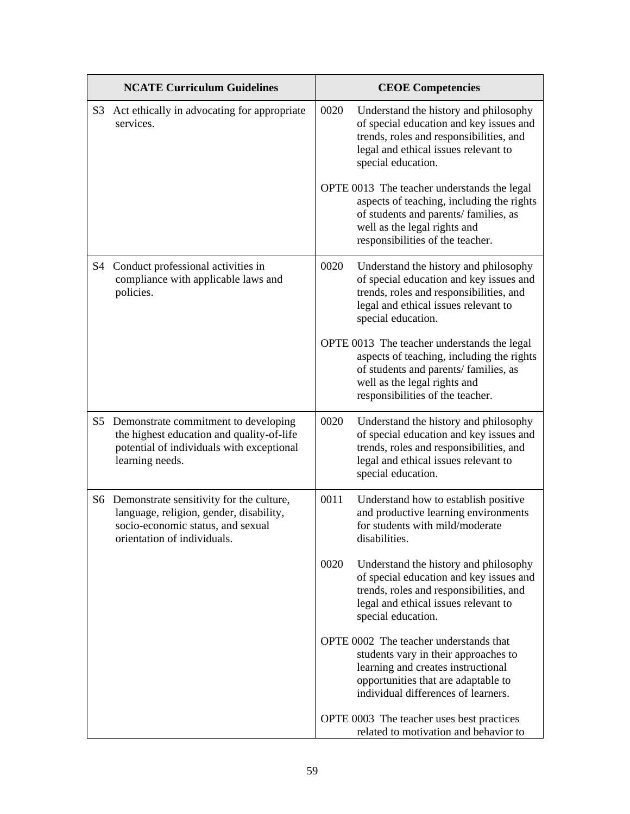|    | <b>NCATE Curriculum Guidelines</b>                                                                                                                         |      | <b>CEOE Competencies</b>                                                                                                                                                                              |
|----|------------------------------------------------------------------------------------------------------------------------------------------------------------|------|-------------------------------------------------------------------------------------------------------------------------------------------------------------------------------------------------------|
| S3 | Act ethically in advocating for appropriate<br>services.                                                                                                   | 0020 | Understand the history and philosophy<br>of special education and key issues and<br>trends, roles and responsibilities, and<br>legal and ethical issues relevant to<br>special education.             |
|    |                                                                                                                                                            |      | OPTE 0013 The teacher understands the legal<br>aspects of teaching, including the rights<br>of students and parents/ families, as<br>well as the legal rights and<br>responsibilities of the teacher. |
| S4 | Conduct professional activities in<br>compliance with applicable laws and<br>policies.                                                                     | 0020 | Understand the history and philosophy<br>of special education and key issues and<br>trends, roles and responsibilities, and<br>legal and ethical issues relevant to<br>special education.             |
|    |                                                                                                                                                            |      | OPTE 0013 The teacher understands the legal<br>aspects of teaching, including the rights<br>of students and parents/ families, as<br>well as the legal rights and<br>responsibilities of the teacher. |
| S5 | Demonstrate commitment to developing<br>the highest education and quality-of-life<br>potential of individuals with exceptional<br>learning needs.          | 0020 | Understand the history and philosophy<br>of special education and key issues and<br>trends, roles and responsibilities, and<br>legal and ethical issues relevant to<br>special education.             |
|    | S6 Demonstrate sensitivity for the culture,<br>language, religion, gender, disability,<br>socio-economic status, and sexual<br>orientation of individuals. | 0011 | Understand how to establish positive<br>and productive learning environments<br>for students with mild/moderate<br>disabilities.                                                                      |
|    |                                                                                                                                                            | 0020 | Understand the history and philosophy<br>of special education and key issues and<br>trends, roles and responsibilities, and<br>legal and ethical issues relevant to<br>special education.             |
|    |                                                                                                                                                            |      | OPTE 0002 The teacher understands that<br>students vary in their approaches to<br>learning and creates instructional<br>opportunities that are adaptable to<br>individual differences of learners.    |
|    |                                                                                                                                                            |      | OPTE 0003 The teacher uses best practices<br>related to motivation and behavior to                                                                                                                    |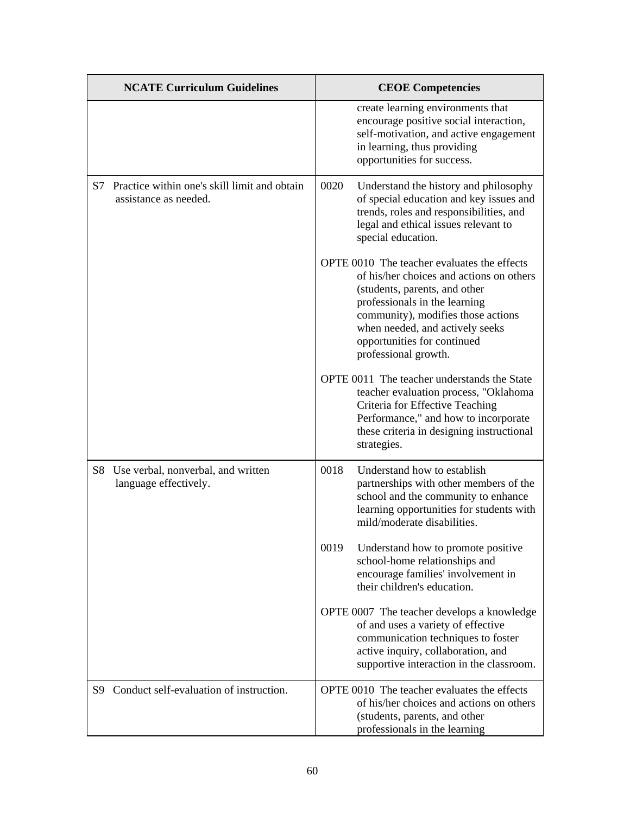|    | <b>NCATE Curriculum Guidelines</b>                                    | <b>CEOE Competencies</b>                                                                                                                                                                                                                                                                  |
|----|-----------------------------------------------------------------------|-------------------------------------------------------------------------------------------------------------------------------------------------------------------------------------------------------------------------------------------------------------------------------------------|
|    |                                                                       | create learning environments that<br>encourage positive social interaction,<br>self-motivation, and active engagement<br>in learning, thus providing<br>opportunities for success.                                                                                                        |
| S7 | Practice within one's skill limit and obtain<br>assistance as needed. | 0020<br>Understand the history and philosophy<br>of special education and key issues and<br>trends, roles and responsibilities, and<br>legal and ethical issues relevant to<br>special education.                                                                                         |
|    |                                                                       | OPTE 0010 The teacher evaluates the effects<br>of his/her choices and actions on others<br>(students, parents, and other<br>professionals in the learning<br>community), modifies those actions<br>when needed, and actively seeks<br>opportunities for continued<br>professional growth. |
|    |                                                                       | OPTE 0011 The teacher understands the State<br>teacher evaluation process, "Oklahoma<br>Criteria for Effective Teaching<br>Performance," and how to incorporate<br>these criteria in designing instructional<br>strategies.                                                               |
|    | S8 Use verbal, nonverbal, and written<br>language effectively.        | 0018<br>Understand how to establish<br>partnerships with other members of the<br>school and the community to enhance<br>learning opportunities for students with<br>mild/moderate disabilities.                                                                                           |
|    |                                                                       | 0019<br>Understand how to promote positive<br>school-home relationships and<br>encourage families' involvement in<br>their children's education.                                                                                                                                          |
|    |                                                                       | OPTE 0007 The teacher develops a knowledge<br>of and uses a variety of effective<br>communication techniques to foster<br>active inquiry, collaboration, and<br>supportive interaction in the classroom.                                                                                  |
|    | S9 Conduct self-evaluation of instruction.                            | OPTE 0010 The teacher evaluates the effects<br>of his/her choices and actions on others<br>(students, parents, and other<br>professionals in the learning                                                                                                                                 |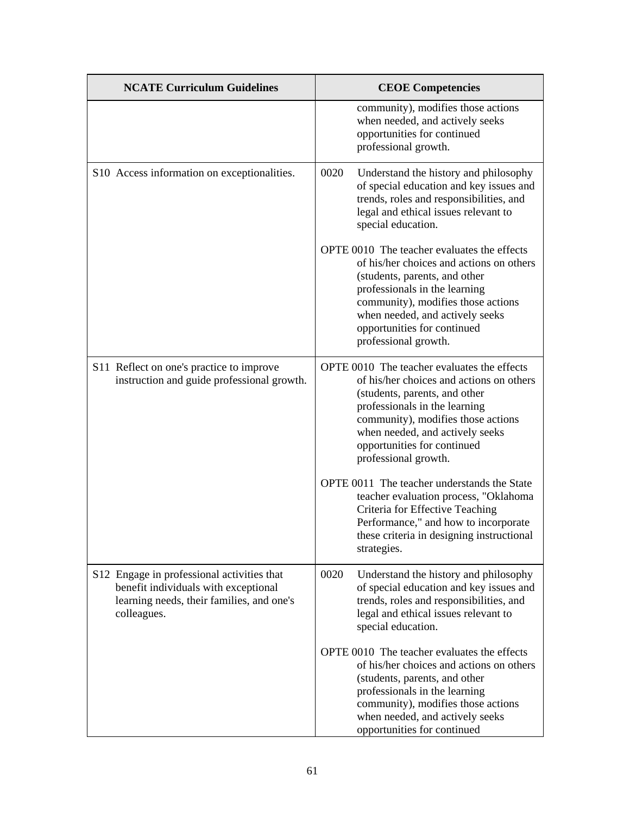| <b>NCATE Curriculum Guidelines</b>                                                                                                             | <b>CEOE</b> Competencies                                                                                                                                                                                                                                                                  |
|------------------------------------------------------------------------------------------------------------------------------------------------|-------------------------------------------------------------------------------------------------------------------------------------------------------------------------------------------------------------------------------------------------------------------------------------------|
|                                                                                                                                                | community), modifies those actions<br>when needed, and actively seeks<br>opportunities for continued<br>professional growth.                                                                                                                                                              |
| S10 Access information on exceptionalities.                                                                                                    | 0020<br>Understand the history and philosophy<br>of special education and key issues and<br>trends, roles and responsibilities, and<br>legal and ethical issues relevant to<br>special education.                                                                                         |
|                                                                                                                                                | OPTE 0010 The teacher evaluates the effects<br>of his/her choices and actions on others<br>(students, parents, and other<br>professionals in the learning<br>community), modifies those actions<br>when needed, and actively seeks<br>opportunities for continued<br>professional growth. |
| S11 Reflect on one's practice to improve<br>instruction and guide professional growth.                                                         | OPTE 0010 The teacher evaluates the effects<br>of his/her choices and actions on others<br>(students, parents, and other<br>professionals in the learning<br>community), modifies those actions<br>when needed, and actively seeks<br>opportunities for continued<br>professional growth. |
|                                                                                                                                                | OPTE 0011 The teacher understands the State<br>teacher evaluation process, "Oklahoma<br>Criteria for Effective Teaching<br>Performance," and how to incorporate<br>these criteria in designing instructional<br>strategies.                                                               |
| S12 Engage in professional activities that<br>benefit individuals with exceptional<br>learning needs, their families, and one's<br>colleagues. | 0020<br>Understand the history and philosophy<br>of special education and key issues and<br>trends, roles and responsibilities, and<br>legal and ethical issues relevant to<br>special education.                                                                                         |
|                                                                                                                                                | OPTE 0010 The teacher evaluates the effects<br>of his/her choices and actions on others<br>(students, parents, and other<br>professionals in the learning<br>community), modifies those actions<br>when needed, and actively seeks<br>opportunities for continued                         |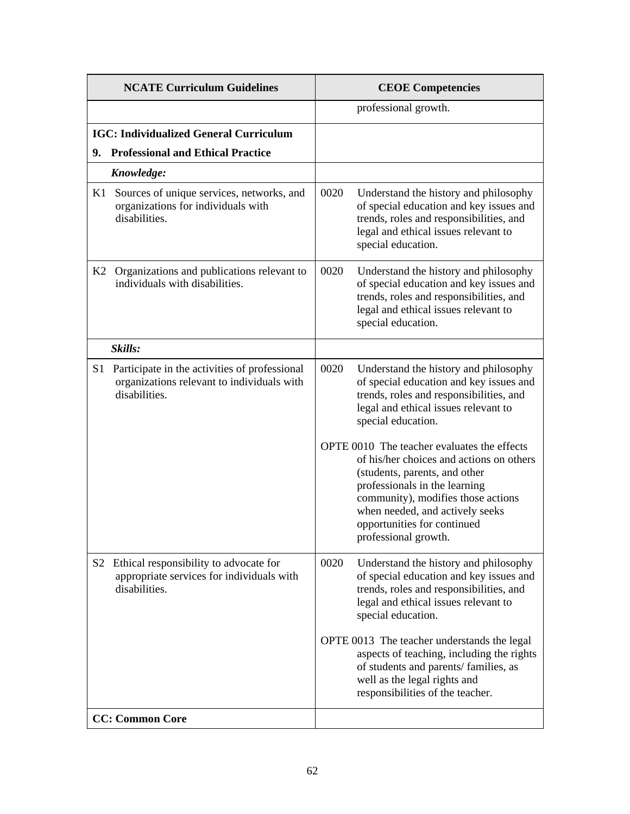|                | <b>NCATE Curriculum Guidelines</b>                                                                           |      | <b>CEOE Competencies</b>                                                                                                                                                                                                                                                                  |
|----------------|--------------------------------------------------------------------------------------------------------------|------|-------------------------------------------------------------------------------------------------------------------------------------------------------------------------------------------------------------------------------------------------------------------------------------------|
|                |                                                                                                              |      | professional growth.                                                                                                                                                                                                                                                                      |
|                | <b>IGC: Individualized General Curriculum</b>                                                                |      |                                                                                                                                                                                                                                                                                           |
| 9.             | <b>Professional and Ethical Practice</b>                                                                     |      |                                                                                                                                                                                                                                                                                           |
|                | Knowledge:                                                                                                   |      |                                                                                                                                                                                                                                                                                           |
| K1             | Sources of unique services, networks, and<br>organizations for individuals with<br>disabilities.             | 0020 | Understand the history and philosophy<br>of special education and key issues and<br>trends, roles and responsibilities, and<br>legal and ethical issues relevant to<br>special education.                                                                                                 |
|                | K2 Organizations and publications relevant to<br>individuals with disabilities.                              | 0020 | Understand the history and philosophy<br>of special education and key issues and<br>trends, roles and responsibilities, and<br>legal and ethical issues relevant to<br>special education.                                                                                                 |
|                | Skills:                                                                                                      |      |                                                                                                                                                                                                                                                                                           |
| S1             | Participate in the activities of professional<br>organizations relevant to individuals with<br>disabilities. | 0020 | Understand the history and philosophy<br>of special education and key issues and<br>trends, roles and responsibilities, and<br>legal and ethical issues relevant to<br>special education.                                                                                                 |
|                |                                                                                                              |      | OPTE 0010 The teacher evaluates the effects<br>of his/her choices and actions on others<br>(students, parents, and other<br>professionals in the learning<br>community), modifies those actions<br>when needed, and actively seeks<br>opportunities for continued<br>professional growth. |
| S <sub>2</sub> | Ethical responsibility to advocate for<br>appropriate services for individuals with<br>disabilities.         | 0020 | Understand the history and philosophy<br>of special education and key issues and<br>trends, roles and responsibilities, and<br>legal and ethical issues relevant to<br>special education.                                                                                                 |
|                |                                                                                                              |      | OPTE 0013 The teacher understands the legal<br>aspects of teaching, including the rights<br>of students and parents/ families, as<br>well as the legal rights and<br>responsibilities of the teacher.                                                                                     |
|                | <b>CC: Common Core</b>                                                                                       |      |                                                                                                                                                                                                                                                                                           |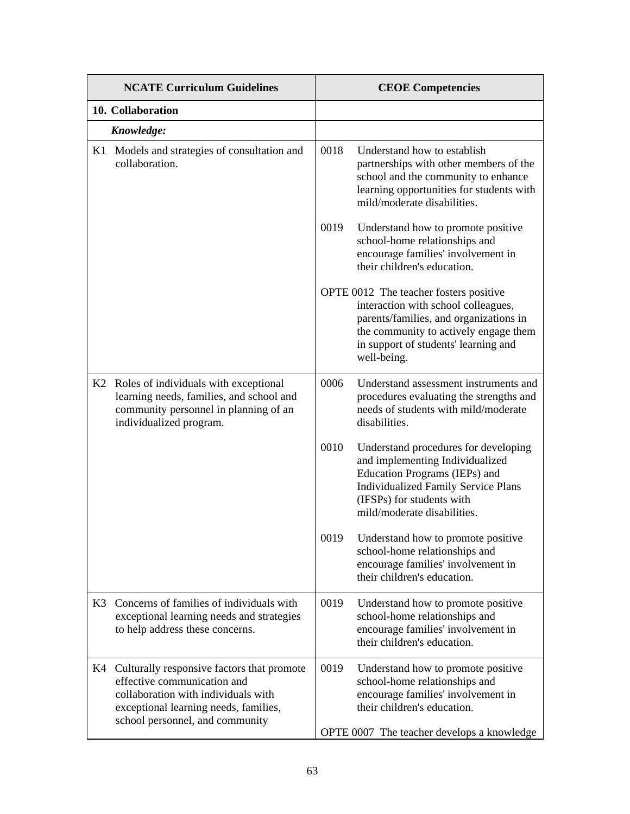|    | <b>NCATE Curriculum Guidelines</b>                                                                                                                                                              |      | <b>CEOE Competencies</b>                                                                                                                                                                                                |
|----|-------------------------------------------------------------------------------------------------------------------------------------------------------------------------------------------------|------|-------------------------------------------------------------------------------------------------------------------------------------------------------------------------------------------------------------------------|
|    | 10. Collaboration                                                                                                                                                                               |      |                                                                                                                                                                                                                         |
|    | Knowledge:                                                                                                                                                                                      |      |                                                                                                                                                                                                                         |
| K1 | Models and strategies of consultation and<br>collaboration.                                                                                                                                     | 0018 | Understand how to establish<br>partnerships with other members of the<br>school and the community to enhance<br>learning opportunities for students with<br>mild/moderate disabilities.                                 |
|    |                                                                                                                                                                                                 | 0019 | Understand how to promote positive<br>school-home relationships and<br>encourage families' involvement in<br>their children's education.                                                                                |
|    |                                                                                                                                                                                                 |      | OPTE 0012 The teacher fosters positive<br>interaction with school colleagues,<br>parents/families, and organizations in<br>the community to actively engage them<br>in support of students' learning and<br>well-being. |
|    | K2 Roles of individuals with exceptional<br>learning needs, families, and school and<br>community personnel in planning of an<br>individualized program.                                        | 0006 | Understand assessment instruments and<br>procedures evaluating the strengths and<br>needs of students with mild/moderate<br>disabilities.                                                                               |
|    |                                                                                                                                                                                                 | 0010 | Understand procedures for developing<br>and implementing Individualized<br>Education Programs (IEPs) and<br><b>Individualized Family Service Plans</b><br>(IFSPs) for students with<br>mild/moderate disabilities.      |
|    |                                                                                                                                                                                                 | 0019 | Understand how to promote positive<br>school-home relationships and<br>encourage families' involvement in<br>their children's education.                                                                                |
|    | K3 Concerns of families of individuals with<br>exceptional learning needs and strategies<br>to help address these concerns.                                                                     | 0019 | Understand how to promote positive<br>school-home relationships and<br>encourage families' involvement in<br>their children's education.                                                                                |
|    | K4 Culturally responsive factors that promote<br>effective communication and<br>collaboration with individuals with<br>exceptional learning needs, families,<br>school personnel, and community | 0019 | Understand how to promote positive<br>school-home relationships and<br>encourage families' involvement in<br>their children's education.<br>OPTE 0007 The teacher develops a knowledge                                  |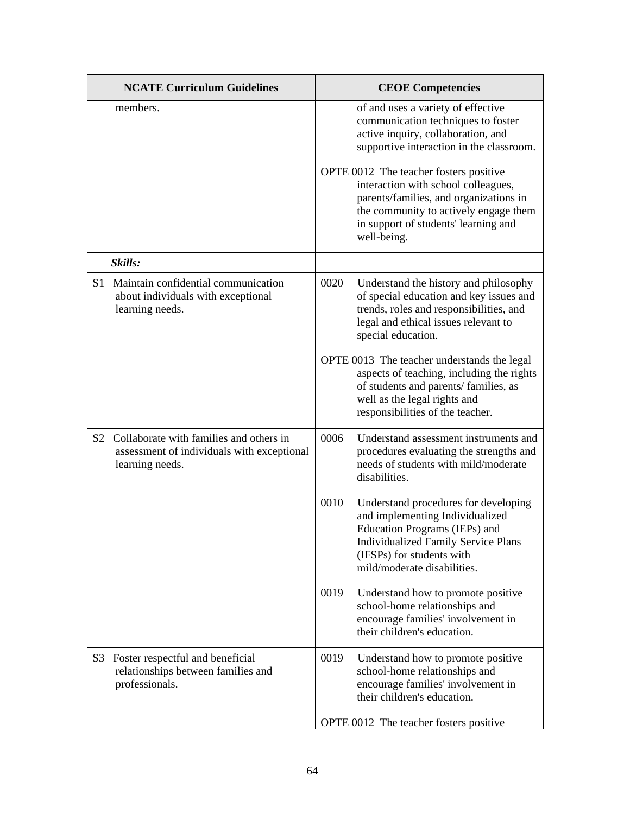|                | <b>NCATE Curriculum Guidelines</b>                                                                       |      | <b>CEOE Competencies</b>                                                                                                                                                                                                |
|----------------|----------------------------------------------------------------------------------------------------------|------|-------------------------------------------------------------------------------------------------------------------------------------------------------------------------------------------------------------------------|
|                | members.                                                                                                 |      | of and uses a variety of effective<br>communication techniques to foster<br>active inquiry, collaboration, and<br>supportive interaction in the classroom.                                                              |
|                |                                                                                                          |      | OPTE 0012 The teacher fosters positive<br>interaction with school colleagues,<br>parents/families, and organizations in<br>the community to actively engage them<br>in support of students' learning and<br>well-being. |
|                | Skills:                                                                                                  |      |                                                                                                                                                                                                                         |
| S1             | Maintain confidential communication<br>about individuals with exceptional<br>learning needs.             | 0020 | Understand the history and philosophy<br>of special education and key issues and<br>trends, roles and responsibilities, and<br>legal and ethical issues relevant to<br>special education.                               |
|                |                                                                                                          |      | OPTE 0013 The teacher understands the legal<br>aspects of teaching, including the rights<br>of students and parents/ families, as<br>well as the legal rights and<br>responsibilities of the teacher.                   |
| S <sub>2</sub> | Collaborate with families and others in<br>assessment of individuals with exceptional<br>learning needs. | 0006 | Understand assessment instruments and<br>procedures evaluating the strengths and<br>needs of students with mild/moderate<br>disabilities.                                                                               |
|                |                                                                                                          | 0010 | Understand procedures for developing<br>and implementing Individualized<br>Education Programs (IEPs) and<br><b>Individualized Family Service Plans</b><br>(IFSPs) for students with<br>mild/moderate disabilities.      |
|                |                                                                                                          | 0019 | Understand how to promote positive<br>school-home relationships and<br>encourage families' involvement in<br>their children's education.                                                                                |
| S3             | Foster respectful and beneficial<br>relationships between families and<br>professionals.                 | 0019 | Understand how to promote positive<br>school-home relationships and<br>encourage families' involvement in<br>their children's education.                                                                                |
|                |                                                                                                          |      | OPTE 0012 The teacher fosters positive                                                                                                                                                                                  |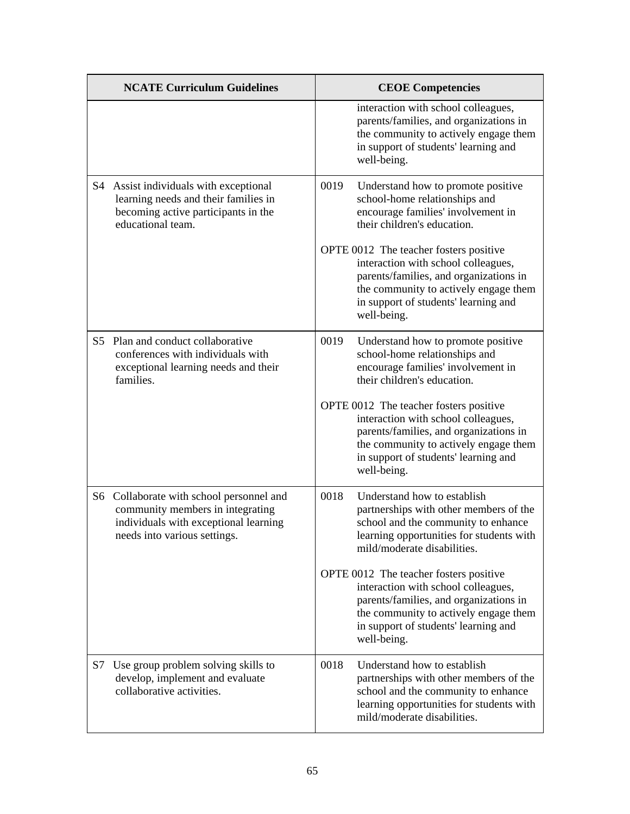|    | <b>NCATE Curriculum Guidelines</b>                                                                                                                    | <b>CEOE Competencies</b>                                                                                                                                                                                                |
|----|-------------------------------------------------------------------------------------------------------------------------------------------------------|-------------------------------------------------------------------------------------------------------------------------------------------------------------------------------------------------------------------------|
|    |                                                                                                                                                       | interaction with school colleagues,<br>parents/families, and organizations in<br>the community to actively engage them<br>in support of students' learning and<br>well-being.                                           |
|    | S4 Assist individuals with exceptional<br>learning needs and their families in<br>becoming active participants in the<br>educational team.            | Understand how to promote positive<br>0019<br>school-home relationships and<br>encourage families' involvement in<br>their children's education.                                                                        |
|    |                                                                                                                                                       | OPTE 0012 The teacher fosters positive<br>interaction with school colleagues,<br>parents/families, and organizations in<br>the community to actively engage them<br>in support of students' learning and<br>well-being. |
| S5 | Plan and conduct collaborative<br>conferences with individuals with<br>exceptional learning needs and their<br>families.                              | Understand how to promote positive<br>0019<br>school-home relationships and<br>encourage families' involvement in<br>their children's education.                                                                        |
|    |                                                                                                                                                       | OPTE 0012 The teacher fosters positive<br>interaction with school colleagues,<br>parents/families, and organizations in<br>the community to actively engage them<br>in support of students' learning and<br>well-being. |
|    | S6 Collaborate with school personnel and<br>community members in integrating<br>individuals with exceptional learning<br>needs into various settings. | 0018<br>Understand how to establish<br>partnerships with other members of the<br>school and the community to enhance<br>learning opportunities for students with<br>mild/moderate disabilities.                         |
|    |                                                                                                                                                       | OPTE 0012 The teacher fosters positive<br>interaction with school colleagues,<br>parents/families, and organizations in<br>the community to actively engage them<br>in support of students' learning and<br>well-being. |
| S7 | Use group problem solving skills to<br>develop, implement and evaluate<br>collaborative activities.                                                   | 0018<br>Understand how to establish<br>partnerships with other members of the<br>school and the community to enhance<br>learning opportunities for students with<br>mild/moderate disabilities.                         |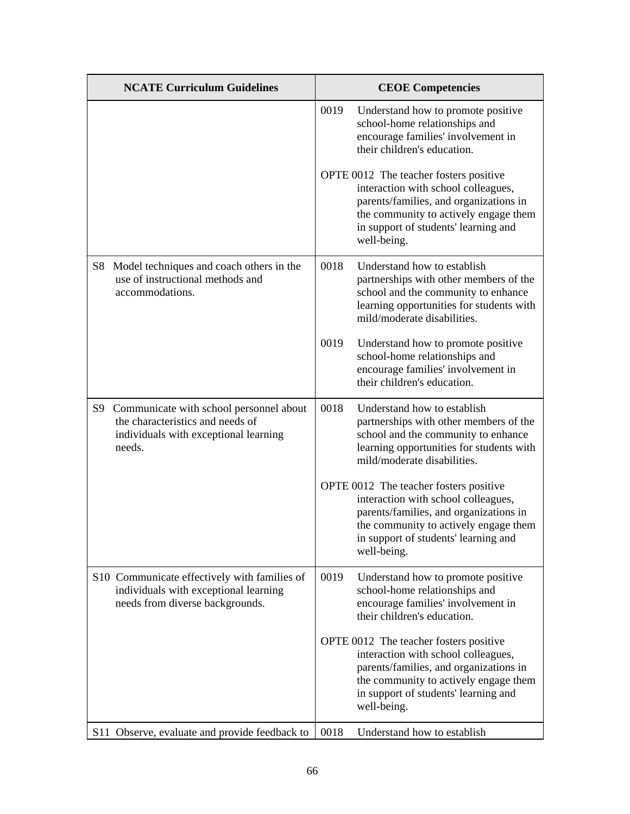| <b>NCATE Curriculum Guidelines</b>                                                                                                   | <b>CEOE Competencies</b>                                                                                                                                                                                                |
|--------------------------------------------------------------------------------------------------------------------------------------|-------------------------------------------------------------------------------------------------------------------------------------------------------------------------------------------------------------------------|
|                                                                                                                                      | 0019<br>Understand how to promote positive<br>school-home relationships and<br>encourage families' involvement in<br>their children's education.                                                                        |
|                                                                                                                                      | OPTE 0012 The teacher fosters positive<br>interaction with school colleagues,<br>parents/families, and organizations in<br>the community to actively engage them<br>in support of students' learning and<br>well-being. |
| Model techniques and coach others in the<br>S <sub>8</sub><br>use of instructional methods and<br>accommodations.                    | 0018<br>Understand how to establish<br>partnerships with other members of the<br>school and the community to enhance<br>learning opportunities for students with<br>mild/moderate disabilities.                         |
|                                                                                                                                      | 0019<br>Understand how to promote positive<br>school-home relationships and<br>encourage families' involvement in<br>their children's education.                                                                        |
| S9<br>Communicate with school personnel about<br>the characteristics and needs of<br>individuals with exceptional learning<br>needs. | 0018<br>Understand how to establish<br>partnerships with other members of the<br>school and the community to enhance<br>learning opportunities for students with<br>mild/moderate disabilities.                         |
|                                                                                                                                      | OPTE 0012 The teacher fosters positive<br>interaction with school colleagues,<br>parents/families, and organizations in<br>the community to actively engage them<br>in support of students' learning and<br>well-being. |
| S10 Communicate effectively with families of<br>individuals with exceptional learning<br>needs from diverse backgrounds.             | 0019<br>Understand how to promote positive<br>school-home relationships and<br>encourage families' involvement in<br>their children's education.                                                                        |
|                                                                                                                                      | OPTE 0012 The teacher fosters positive<br>interaction with school colleagues,<br>parents/families, and organizations in<br>the community to actively engage them<br>in support of students' learning and<br>well-being. |
| S11 Observe, evaluate and provide feedback to                                                                                        | 0018<br>Understand how to establish                                                                                                                                                                                     |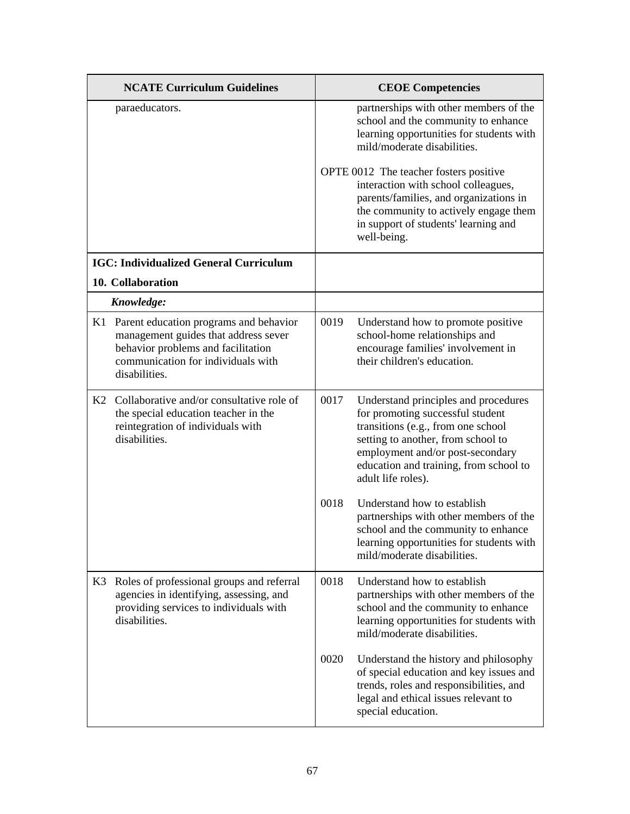|    | <b>NCATE Curriculum Guidelines</b>                                                                                                                                          |      | <b>CEOE Competencies</b>                                                                                                                                                                                                                                 |
|----|-----------------------------------------------------------------------------------------------------------------------------------------------------------------------------|------|----------------------------------------------------------------------------------------------------------------------------------------------------------------------------------------------------------------------------------------------------------|
|    | paraeducators.                                                                                                                                                              |      | partnerships with other members of the<br>school and the community to enhance<br>learning opportunities for students with<br>mild/moderate disabilities.                                                                                                 |
|    |                                                                                                                                                                             |      | OPTE 0012 The teacher fosters positive<br>interaction with school colleagues,<br>parents/families, and organizations in<br>the community to actively engage them<br>in support of students' learning and<br>well-being.                                  |
|    | <b>IGC: Individualized General Curriculum</b>                                                                                                                               |      |                                                                                                                                                                                                                                                          |
|    | 10. Collaboration                                                                                                                                                           |      |                                                                                                                                                                                                                                                          |
|    | Knowledge:                                                                                                                                                                  |      |                                                                                                                                                                                                                                                          |
| K1 | Parent education programs and behavior<br>management guides that address sever<br>behavior problems and facilitation<br>communication for individuals with<br>disabilities. | 0019 | Understand how to promote positive<br>school-home relationships and<br>encourage families' involvement in<br>their children's education.                                                                                                                 |
|    | K2 Collaborative and/or consultative role of<br>the special education teacher in the<br>reintegration of individuals with<br>disabilities.                                  | 0017 | Understand principles and procedures<br>for promoting successful student<br>transitions (e.g., from one school<br>setting to another, from school to<br>employment and/or post-secondary<br>education and training, from school to<br>adult life roles). |
|    |                                                                                                                                                                             | 0018 | Understand how to establish<br>partnerships with other members of the<br>school and the community to enhance<br>learning opportunities for students with<br>mild/moderate disabilities.                                                                  |
| K3 | Roles of professional groups and referral<br>agencies in identifying, assessing, and<br>providing services to individuals with<br>disabilities.                             | 0018 | Understand how to establish<br>partnerships with other members of the<br>school and the community to enhance<br>learning opportunities for students with<br>mild/moderate disabilities.                                                                  |
|    |                                                                                                                                                                             | 0020 | Understand the history and philosophy<br>of special education and key issues and<br>trends, roles and responsibilities, and<br>legal and ethical issues relevant to<br>special education.                                                                |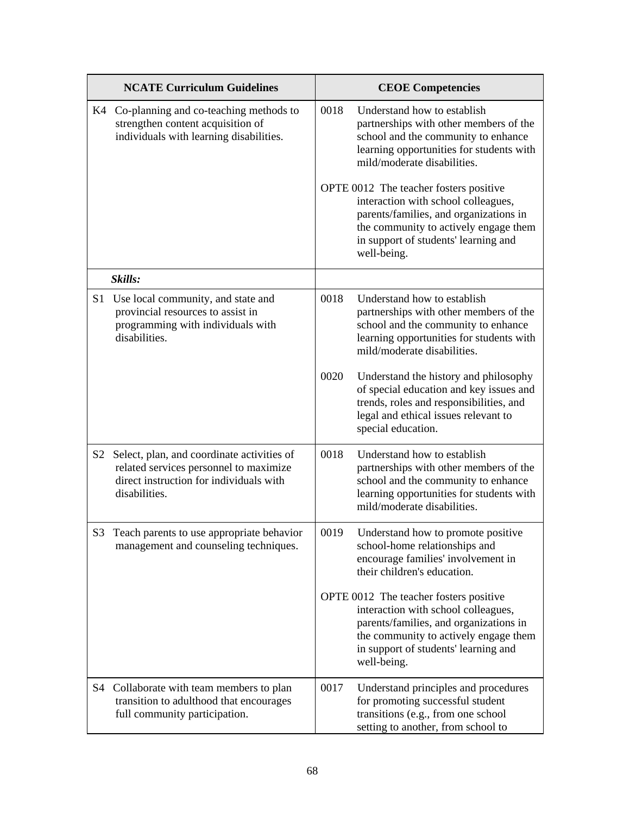|                | <b>NCATE Curriculum Guidelines</b>                                                                                                               |      | <b>CEOE Competencies</b>                                                                                                                                                                                                |
|----------------|--------------------------------------------------------------------------------------------------------------------------------------------------|------|-------------------------------------------------------------------------------------------------------------------------------------------------------------------------------------------------------------------------|
|                | K4 Co-planning and co-teaching methods to<br>strengthen content acquisition of<br>individuals with learning disabilities.                        | 0018 | Understand how to establish<br>partnerships with other members of the<br>school and the community to enhance<br>learning opportunities for students with<br>mild/moderate disabilities.                                 |
|                |                                                                                                                                                  |      | OPTE 0012 The teacher fosters positive<br>interaction with school colleagues,<br>parents/families, and organizations in<br>the community to actively engage them<br>in support of students' learning and<br>well-being. |
|                | Skills:                                                                                                                                          |      |                                                                                                                                                                                                                         |
| S <sub>1</sub> | Use local community, and state and<br>provincial resources to assist in<br>programming with individuals with<br>disabilities.                    | 0018 | Understand how to establish<br>partnerships with other members of the<br>school and the community to enhance<br>learning opportunities for students with<br>mild/moderate disabilities.                                 |
|                |                                                                                                                                                  | 0020 | Understand the history and philosophy<br>of special education and key issues and<br>trends, roles and responsibilities, and<br>legal and ethical issues relevant to<br>special education.                               |
| S2             | Select, plan, and coordinate activities of<br>related services personnel to maximize<br>direct instruction for individuals with<br>disabilities. | 0018 | Understand how to establish<br>partnerships with other members of the<br>school and the community to enhance<br>learning opportunities for students with<br>mild/moderate disabilities.                                 |
| S3             | Teach parents to use appropriate behavior<br>management and counseling techniques.                                                               | 0019 | Understand how to promote positive<br>school-home relationships and<br>encourage families' involvement in<br>their children's education.                                                                                |
|                |                                                                                                                                                  |      | OPTE 0012 The teacher fosters positive<br>interaction with school colleagues,<br>parents/families, and organizations in<br>the community to actively engage them<br>in support of students' learning and<br>well-being. |
| S4             | Collaborate with team members to plan<br>transition to adulthood that encourages<br>full community participation.                                | 0017 | Understand principles and procedures<br>for promoting successful student<br>transitions (e.g., from one school<br>setting to another, from school to                                                                    |